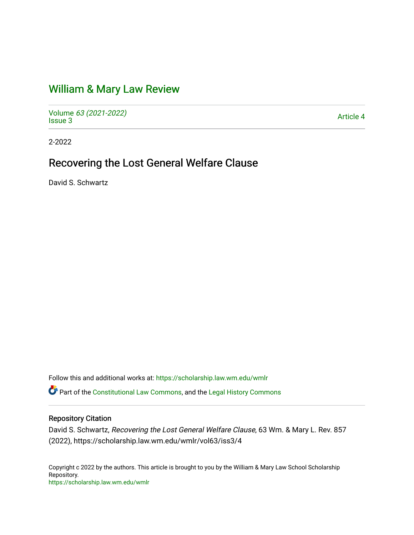# [William & Mary Law Review](https://scholarship.law.wm.edu/wmlr)

Volume [63 \(2021-2022\)](https://scholarship.law.wm.edu/wmlr/vol63)  volume os (2027-2022)<br>[Issue 3](https://scholarship.law.wm.edu/wmlr/vol63/iss3) Article 4

2-2022

# Recovering the Lost General Welfare Clause

David S. Schwartz

Follow this and additional works at: [https://scholarship.law.wm.edu/wmlr](https://scholarship.law.wm.edu/wmlr?utm_source=scholarship.law.wm.edu%2Fwmlr%2Fvol63%2Fiss3%2F4&utm_medium=PDF&utm_campaign=PDFCoverPages)

Part of the [Constitutional Law Commons,](http://network.bepress.com/hgg/discipline/589?utm_source=scholarship.law.wm.edu%2Fwmlr%2Fvol63%2Fiss3%2F4&utm_medium=PDF&utm_campaign=PDFCoverPages) and the [Legal History Commons](http://network.bepress.com/hgg/discipline/904?utm_source=scholarship.law.wm.edu%2Fwmlr%2Fvol63%2Fiss3%2F4&utm_medium=PDF&utm_campaign=PDFCoverPages) 

# Repository Citation

David S. Schwartz, Recovering the Lost General Welfare Clause, 63 Wm. & Mary L. Rev. 857 (2022), https://scholarship.law.wm.edu/wmlr/vol63/iss3/4

Copyright c 2022 by the authors. This article is brought to you by the William & Mary Law School Scholarship Repository. <https://scholarship.law.wm.edu/wmlr>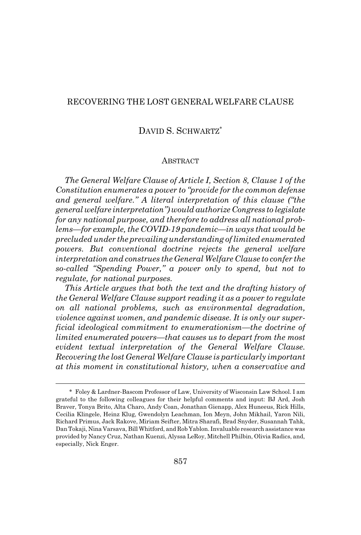## RECOVERING THE LOST GENERAL WELFARE CLAUSE

# DAVID S. SCHWARTZ\*

#### **ABSTRACT**

*The General Welfare Clause of Article I, Section 8, Clause 1 of the Constitution enumerates a power to "provide for the common defense and general welfare." A literal interpretation of this clause ("the general welfare interpretation") would authorize Congress to legislate for any national purpose, and therefore to address all national problems—for example, the COVID-19 pandemic—in ways that would be precluded under the prevailing understanding of limited enumerated powers. But conventional doctrine rejects the general welfare interpretation and construes the General Welfare Clause to confer the so-called "Spending Power," a power only to spend, but not to regulate, for national purposes.*

*This Article argues that both the text and the drafting history of the General Welfare Clause support reading it as a power to regulate on all national problems, such as environmental degradation, violence against women, and pandemic disease. It is only our superficial ideological commitment to enumerationism—the doctrine of limited enumerated powers—that causes us to depart from the most evident textual interpretation of the General Welfare Clause. Recovering the lost General Welfare Clause is particularly important at this moment in constitutional history, when a conservative and*

<sup>\*</sup> Foley & Lardner-Bascom Professor of Law, University of Wisconsin Law School. I am grateful to the following colleagues for their helpful comments and input: BJ Ard, Josh Braver, Tonya Brito, Alta Charo, Andy Coan, Jonathan Gienapp, Alex Huneeus, Rick Hills, Cecilia Klingele, Heinz Klug, Gwendolyn Leachman, Ion Meyn, John Mikhail, Yaron Nili, Richard Primus, Jack Rakove, Miriam Seifter, Mitra Sharafi, Brad Snyder, Susannah Tahk, Dan Tokaji, Nina Varsava, Bill Whitford, and Rob Yablon. Invaluable research assistance was provided by Nancy Cruz, Nathan Kuenzi, Alyssa LeRoy, Mitchell Philbin, Olivia Radics, and, especially, Nick Enger.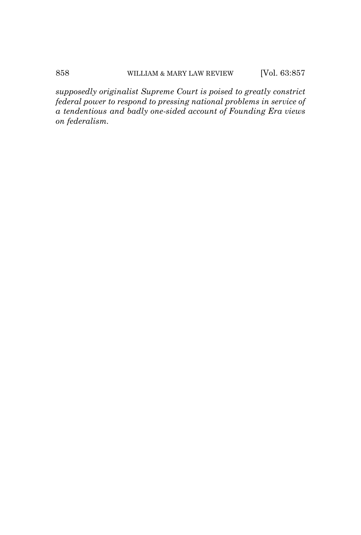*supposedly originalist Supreme Court is poised to greatly constrict federal power to respond to pressing national problems in service of a tendentious and badly one-sided account of Founding Era views on federalism.*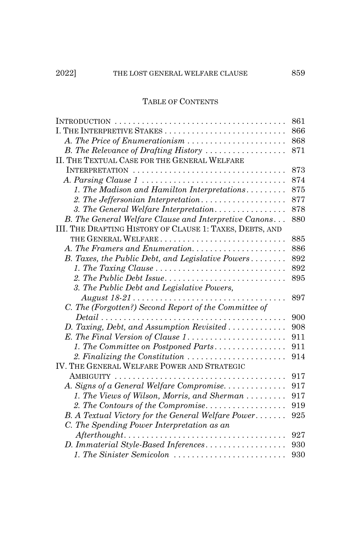# TABLE OF CONTENTS

|                                                                                               | 861 |
|-----------------------------------------------------------------------------------------------|-----|
| I. THE INTERPRETIVE STAKES                                                                    | 866 |
| A. The Price of Enumerationism                                                                | 868 |
| B. The Relevance of Drafting History                                                          | 871 |
| II. THE TEXTUAL CASE FOR THE GENERAL WELFARE                                                  |     |
| INTERPRETATION                                                                                | 873 |
|                                                                                               | 874 |
| 1. The Madison and Hamilton Interpretations                                                   | 875 |
| 2. The Jeffersonian Interpretation                                                            | 877 |
| 3. The General Welfare Interpretation                                                         | 878 |
| B. The General Welfare Clause and Interpretive Canons                                         | 880 |
| III. THE DRAFTING HISTORY OF CLAUSE 1: TAXES, DEBTS, AND                                      |     |
|                                                                                               | 885 |
| A. The Framers and Enumeration                                                                | 886 |
| B. Taxes, the Public Debt, and Legislative Powers                                             | 892 |
|                                                                                               | 892 |
|                                                                                               | 895 |
| 3. The Public Debt and Legislative Powers,                                                    |     |
|                                                                                               | 897 |
| C. The (Forgotten?) Second Report of the Committee of                                         |     |
| $Delta$ i                                                                                     | 900 |
| D. Taxing, Debt, and Assumption Revisited                                                     | 908 |
| E. The Final Version of Clause 1                                                              | 911 |
| 1. The Committee on Postponed Parts                                                           | 911 |
| 2. Finalizing the Constitution                                                                | 914 |
| IV. THE GENERAL WELFARE POWER AND STRATEGIC                                                   |     |
|                                                                                               | 917 |
| A. Signs of a General Welfare Compromise                                                      | 917 |
| 1. The Views of Wilson, Morris, and Sherman                                                   | 917 |
| 2. The Contours of the Compromise                                                             | 919 |
| B. A Textual Victory for the General Welfare Power                                            | 925 |
| C. The Spending Power Interpretation as an                                                    |     |
| $After thought \dots \dots \dots \dots \dots \dots \dots \dots \dots \dots \dots \dots \dots$ | 927 |
| D. Immaterial Style-Based Inferences                                                          | 930 |
| 1. The Sinister Semicolon                                                                     | 930 |
|                                                                                               |     |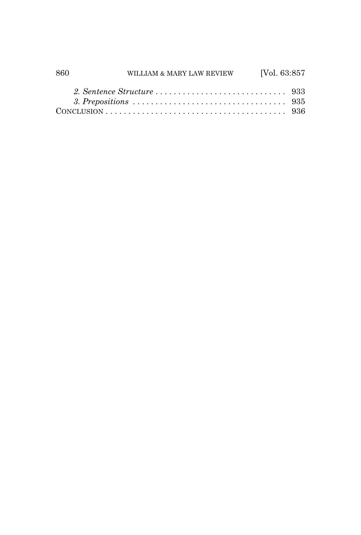| 860 | WILLIAM & MARY LAW REVIEW [Vol. 63:857 |  |
|-----|----------------------------------------|--|
|     |                                        |  |
|     |                                        |  |
|     |                                        |  |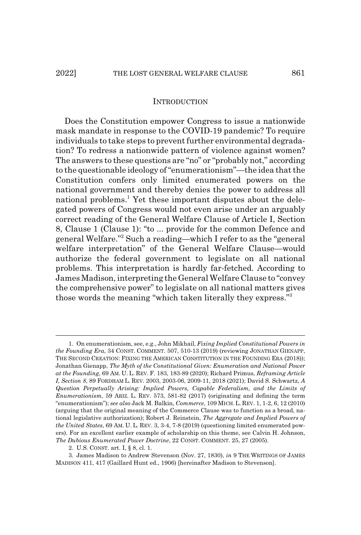#### **INTRODUCTION**

Does the Constitution empower Congress to issue a nationwide mask mandate in response to the COVID-19 pandemic? To require individuals to take steps to prevent further environmental degradation? To redress a nationwide pattern of violence against women? The answers to these questions are "no" or "probably not," according to the questionable ideology of "enumerationism"—the idea that the Constitution confers only limited enumerated powers on the national government and thereby denies the power to address all national problems.<sup>1</sup> Yet these important disputes about the delegated powers of Congress would not even arise under an arguably correct reading of the General Welfare Clause of Article I, Section 8, Clause 1 (Clause 1): "to ... provide for the common Defence and general Welfare."2 Such a reading—which I refer to as the "general welfare interpretation" of the General Welfare Clause—would authorize the federal government to legislate on all national problems. This interpretation is hardly far-fetched. According to James Madison, interpreting the General Welfare Clause to "convey the comprehensive power" to legislate on all national matters gives those words the meaning "which taken literally they express."3

<sup>1.</sup> On enumerationism, see, e.g., John Mikhail, *Fixing Implied Constitutional Powers in the Founding Era*, 34 CONST. COMMENT. 507, 510-13 (2019) (reviewing JONATHAN GIENAPP, THE SECOND CREATION: FIXING THE AMERICAN CONSTITUTION IN THE FOUNDING ERA (2018)); Jonathan Gienapp, *The Myth of the Constitutional Given: Enumeration and National Power at the Founding*, 69 AM. U. L. REV. F. 183, 183-89 (2020); Richard Primus, *Reframing Article I, Section 8*, 89 FORDHAM L. REV. 2003, 2003-06, 2009-11, 2018 (2021); David S. Schwartz, *A Question Perpetually Arising: Implied Powers, Capable Federalism, and the Limits of Enumerationism*, 59 ARIZ. L. REV. 573, 581-82 (2017) (originating and defining the term "enumerationism"); *see also* Jack M. Balkin, *Commerce*, 109 MICH. L. REV. 1, 1-2, 6, 12 (2010) (arguing that the original meaning of the Commerce Clause was to function as a broad, national legislative authorization); Robert J. Reinstein, *The Aggregate and Implied Powers of the United States*, 69 AM. U. L. REV. 3, 3-4, 7-8 (2019) (questioning limited enumerated powers). For an excellent earlier example of scholarship on this theme, see Calvin H. Johnson, *The Dubious Enumerated Power Doctrine*, 22 CONST. COMMENT. 25, 27 (2005).

<sup>2.</sup> U.S. CONST. art. I, § 8, cl. 1.

<sup>3.</sup> James Madison to Andrew Stevenson (Nov. 27, 1830), *in* 9 THE WRITINGS OF JAMES MADISON 411, 417 (Gaillard Hunt ed., 1906) [hereinafter Madison to Stevenson].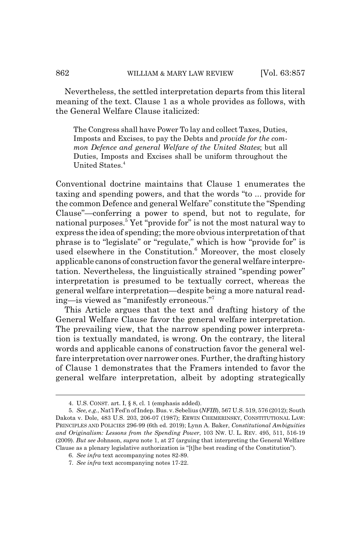Nevertheless, the settled interpretation departs from this literal meaning of the text. Clause 1 as a whole provides as follows, with the General Welfare Clause italicized:

The Congress shall have Power To lay and collect Taxes, Duties, Imposts and Excises, to pay the Debts and *provide for the common Defence and general Welfare of the United States*; but all Duties, Imposts and Excises shall be uniform throughout the United States.<sup>4</sup>

Conventional doctrine maintains that Clause 1 enumerates the taxing and spending powers, and that the words "to ... provide for the common Defence and general Welfare" constitute the "Spending Clause"—conferring a power to spend, but not to regulate, for national purposes.<sup>5</sup> Yet "provide for" is not the most natural way to express the idea of spending; the more obvious interpretation of that phrase is to "legislate" or "regulate," which is how "provide for" is used elsewhere in the Constitution.<sup>6</sup> Moreover, the most closely applicable canons of construction favor the general welfare interpretation. Nevertheless, the linguistically strained "spending power" interpretation is presumed to be textually correct, whereas the general welfare interpretation—despite being a more natural reading—is viewed as "manifestly erroneous."7

This Article argues that the text and drafting history of the General Welfare Clause favor the general welfare interpretation. The prevailing view, that the narrow spending power interpretation is textually mandated, is wrong. On the contrary, the literal words and applicable canons of construction favor the general welfare interpretation over narrower ones. Further, the drafting history of Clause 1 demonstrates that the Framers intended to favor the general welfare interpretation, albeit by adopting strategically

<sup>4.</sup> U.S. CONST. art. I, § 8, cl. 1 (emphasis added).

<sup>5.</sup> *See, e.g.*, Nat'l Fed'n of Indep. Bus. v. Sebelius (*NFIB*), 567 U.S. 519, 576 (2012); South Dakota v. Dole, 483 U.S. 203, 206-07 (1987); ERWIN CHEMERINSKY, CONSTITUTIONAL LAW: PRINCIPLES AND POLICIES 296-99 (6th ed. 2019); Lynn A. Baker, *Constitutional Ambiguities and Originalism: Lessons from the Spending Power*, 103 NW. U. L. REV. 495, 511, 516-19 (2009). *But see* Johnson, *supra* note 1, at 27 (arguing that interpreting the General Welfare Clause as a plenary legislative authorization is "[t]he best reading of the Constitution").

<sup>6.</sup> *See infra* text accompanying notes 82-89.

<sup>7.</sup> *See infra* text accompanying notes 17-22.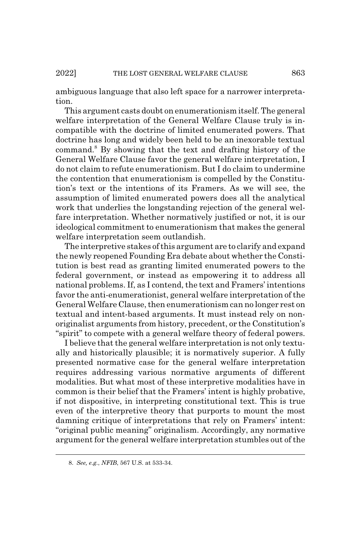ambiguous language that also left space for a narrower interpretation.

This argument casts doubt on enumerationism itself. The general welfare interpretation of the General Welfare Clause truly is incompatible with the doctrine of limited enumerated powers. That doctrine has long and widely been held to be an inexorable textual command.<sup>8</sup> By showing that the text and drafting history of the General Welfare Clause favor the general welfare interpretation, I do not claim to refute enumerationism. But I do claim to undermine the contention that enumerationism is compelled by the Constitution's text or the intentions of its Framers. As we will see, the assumption of limited enumerated powers does all the analytical work that underlies the longstanding rejection of the general welfare interpretation. Whether normatively justified or not, it is our ideological commitment to enumerationism that makes the general welfare interpretation seem outlandish.

The interpretive stakes of this argument are to clarify and expand the newly reopened Founding Era debate about whether the Constitution is best read as granting limited enumerated powers to the federal government, or instead as empowering it to address all national problems. If, as I contend, the text and Framers' intentions favor the anti-enumerationist, general welfare interpretation of the General Welfare Clause, then enumerationism can no longer rest on textual and intent-based arguments. It must instead rely on nonoriginalist arguments from history, precedent, or the Constitution's "spirit" to compete with a general welfare theory of federal powers.

I believe that the general welfare interpretation is not only textually and historically plausible; it is normatively superior. A fully presented normative case for the general welfare interpretation requires addressing various normative arguments of different modalities. But what most of these interpretive modalities have in common is their belief that the Framers' intent is highly probative, if not dispositive, in interpreting constitutional text. This is true even of the interpretive theory that purports to mount the most damning critique of interpretations that rely on Framers' intent: "original public meaning" originalism. Accordingly, any normative argument for the general welfare interpretation stumbles out of the

<sup>8.</sup> *See, e.g.*, *NFIB*, 567 U.S. at 533-34.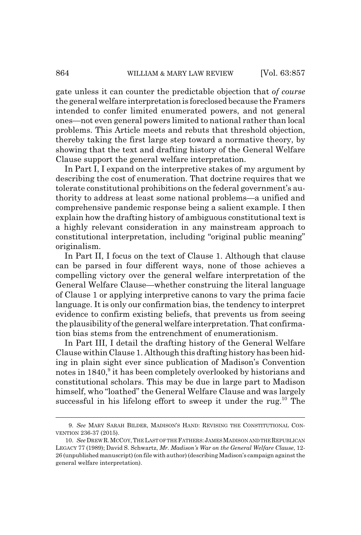gate unless it can counter the predictable objection that *of course* the general welfare interpretation is foreclosed because the Framers intended to confer limited enumerated powers, and not general ones—not even general powers limited to national rather than local problems. This Article meets and rebuts that threshold objection, thereby taking the first large step toward a normative theory, by showing that the text and drafting history of the General Welfare Clause support the general welfare interpretation.

In Part I, I expand on the interpretive stakes of my argument by describing the cost of enumeration. That doctrine requires that we tolerate constitutional prohibitions on the federal government's authority to address at least some national problems—a unified and comprehensive pandemic response being a salient example. I then explain how the drafting history of ambiguous constitutional text is a highly relevant consideration in any mainstream approach to constitutional interpretation, including "original public meaning" originalism.

In Part II, I focus on the text of Clause 1. Although that clause can be parsed in four different ways, none of those achieves a compelling victory over the general welfare interpretation of the General Welfare Clause—whether construing the literal language of Clause 1 or applying interpretive canons to vary the prima facie language. It is only our confirmation bias, the tendency to interpret evidence to confirm existing beliefs, that prevents us from seeing the plausibility of the general welfare interpretation. That confirmation bias stems from the entrenchment of enumerationism.

In Part III, I detail the drafting history of the General Welfare Clause within Clause 1. Although this drafting history has been hiding in plain sight ever since publication of Madison's Convention notes in 1840,<sup>9</sup> it has been completely overlooked by historians and constitutional scholars. This may be due in large part to Madison himself, who "loathed" the General Welfare Clause and was largely successful in his lifelong effort to sweep it under the rug.<sup>10</sup> The

<sup>9.</sup> *See* MARY SARAH BILDER, MADISON'S HAND: REVISING THE CONSTITUTIONAL CON-VENTION 236-37 (2015).

<sup>10.</sup> *See* DREW R.MCCOY,THE LAST OF THE FATHERS:JAMESMADISON AND THE REPUBLICAN LEGACY 77 (1989); David S. Schwartz, *Mr. Madison's War on the General Welfare Clause*, 12- 26 (unpublished manuscript) (on file with author) (describing Madison's campaign against the general welfare interpretation).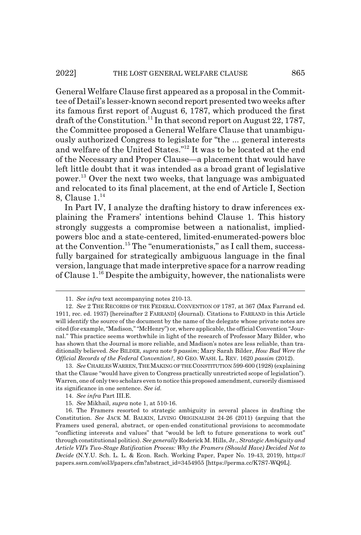General Welfare Clause first appeared as a proposal in the Committee of Detail's lesser-known second report presented two weeks after its famous first report of August 6, 1787, which produced the first draft of the Constitution.<sup>11</sup> In that second report on August 22, 1787, the Committee proposed a General Welfare Clause that unambiguously authorized Congress to legislate for "the ... general interests and welfare of the United States."12 It was to be located at the end of the Necessary and Proper Clause—a placement that would have left little doubt that it was intended as a broad grant of legislative power.13 Over the next two weeks, that language was ambiguated and relocated to its final placement, at the end of Article I, Section 8, Clause 1.<sup>14</sup>

In Part IV, I analyze the drafting history to draw inferences explaining the Framers' intentions behind Clause 1. This history strongly suggests a compromise between a nationalist, impliedpowers bloc and a state-centered, limited-enumerated-powers bloc at the Convention.<sup>15</sup> The "enumerationists," as I call them, successfully bargained for strategically ambiguous language in the final version, language that made interpretive space for a narrow reading of Clause  $1^{16}$  Despite the ambiguity, however, the nationalists were

<sup>11.</sup> *See infra* text accompanying notes 210-13.

<sup>12.</sup> *See* 2 THE RECORDS OF THE FEDERAL CONVENTION OF 1787, at 367 (Max Farrand ed. 1911, rec. ed. 1937) [hereinafter 2 FARRAND] (Journal). Citations to FARRAND in this Article will identify the source of the document by the name of the delegate whose private notes are cited (for example, "Madison," "McHenry") or, where applicable, the official Convention "Journal." This practice seems worthwhile in light of the research of Professor Mary Bilder, who has shown that the Journal is more reliable, and Madison's notes are less reliable, than traditionally believed. *See* BILDER, *supra* note 9 *passim*; Mary Sarah Bilder, *How Bad Were the Official Records of the Federal Convention?*, 80 GEO. WASH. L. REV. 1620 *passim* (2012).

<sup>13.</sup> *See* CHARLES WARREN, THE MAKING OF THE CONSTITUTION 599-600 (1928) (explaining that the Clause "would have given to Congress practically unrestricted scope of legislation"). Warren, one of only two scholars even to notice this proposed amendment, cursorily dismissed its significance in one sentence. *See id.*

<sup>14.</sup> *See infra* Part III.E.

<sup>15.</sup> *See* Mikhail, *supra* note 1, at 510-16.

<sup>16.</sup> The Framers resorted to strategic ambiguity in several places in drafting the Constitution. *See* JACK M. BALKIN, LIVING ORIGINALISM 24-26 (2011) (arguing that the Framers used general, abstract, or open-ended constitutional provisions to accommodate "conflicting interests and values" that "would be left to future generations to work out" through constitutional politics). *See generally* Roderick M. Hills, Jr., *Strategic Ambiguity and Article VII's Two-Stage Ratification Process: Why the Framers (Should Have) Decided Not to Decide* (N.Y.U. Sch. L. L. & Econ. Rsch. Working Paper, Paper No. 19-43, 2019), https:// papers.ssrn.com/sol3/papers.cfm?abstract\_id=3454955 [https://perma.cc/K7S7-WQ9L].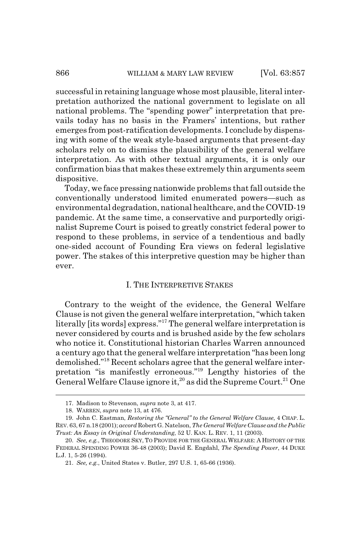successful in retaining language whose most plausible, literal interpretation authorized the national government to legislate on all national problems. The "spending power" interpretation that prevails today has no basis in the Framers' intentions, but rather emerges from post-ratification developments. I conclude by dispensing with some of the weak style-based arguments that present-day scholars rely on to dismiss the plausibility of the general welfare interpretation. As with other textual arguments, it is only our confirmation bias that makes these extremely thin arguments seem dispositive.

Today, we face pressing nationwide problems that fall outside the conventionally understood limited enumerated powers—such as environmental degradation, national healthcare, and the COVID-19 pandemic. At the same time, a conservative and purportedly originalist Supreme Court is poised to greatly constrict federal power to respond to these problems, in service of a tendentious and badly one-sided account of Founding Era views on federal legislative power. The stakes of this interpretive question may be higher than ever.

#### I. THE INTERPRETIVE STAKES

Contrary to the weight of the evidence, the General Welfare Clause is not given the general welfare interpretation, "which taken literally [its words] express."17 The general welfare interpretation is never considered by courts and is brushed aside by the few scholars who notice it. Constitutional historian Charles Warren announced a century ago that the general welfare interpretation "has been long demolished."18 Recent scholars agree that the general welfare interpretation "is manifestly erroneous."19 Lengthy histories of the General Welfare Clause ignore it,<sup>20</sup> as did the Supreme Court.<sup>21</sup> One

<sup>17.</sup> Madison to Stevenson, *supra* note 3, at 417.

<sup>18.</sup> WARREN, *supra* note 13, at 476.

<sup>19.</sup> John C. Eastman, *Restoring the "General" to the General Welfare Clause*, 4 CHAP. L. REV. 63, 67 n.18 (2001); *accord* Robert G. Natelson, *The General Welfare Clause and the Public Trust: An Essay in Original Understanding*, 52 U. KAN. L. REV. 1, 11 (2003).

<sup>20.</sup> *See, e.g.*, THEODORE SKY, TO PROVIDE FOR THE GENERAL WELFARE: A HISTORY OF THE FEDERAL SPENDING POWER 36-48 (2003); David E. Engdahl, *The Spending Power*, 44 DUKE L.J. 1, 5-26 (1994).

<sup>21.</sup> *See, e.g.*, United States v. Butler, 297 U.S. 1, 65-66 (1936).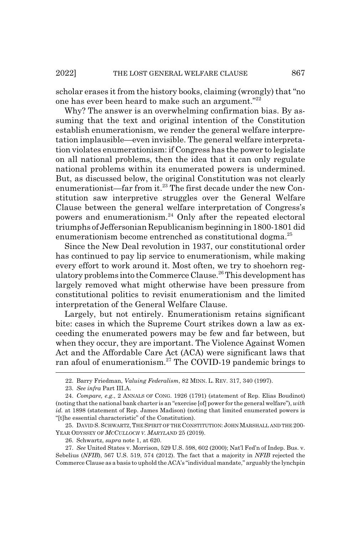scholar erases it from the history books, claiming (wrongly) that "no one has ever been heard to make such an argument."22

Why? The answer is an overwhelming confirmation bias. By assuming that the text and original intention of the Constitution establish enumerationism, we render the general welfare interpretation implausible—even invisible. The general welfare interpretation violates enumerationism: if Congress has the power to legislate on all national problems, then the idea that it can only regulate national problems within its enumerated powers is undermined. But, as discussed below, the original Constitution was not clearly enumerationist—far from it.<sup>23</sup> The first decade under the new Constitution saw interpretive struggles over the General Welfare Clause between the general welfare interpretation of Congress's powers and enumerationism.<sup>24</sup> Only after the repeated electoral triumphs of Jeffersonian Republicanism beginning in 1800-1801 did enumerationism become entrenched as constitutional dogma.<sup>25</sup>

Since the New Deal revolution in 1937, our constitutional order has continued to pay lip service to enumerationism, while making every effort to work around it. Most often, we try to shoehorn regulatory problems into the Commerce Clause.26 This development has largely removed what might otherwise have been pressure from constitutional politics to revisit enumerationism and the limited interpretation of the General Welfare Clause.

Largely, but not entirely. Enumerationism retains significant bite: cases in which the Supreme Court strikes down a law as exceeding the enumerated powers may be few and far between, but when they occur, they are important. The Violence Against Women Act and the Affordable Care Act (ACA) were significant laws that ran afoul of enumerationism.<sup>27</sup> The COVID-19 pandemic brings to

26. Schwartz, *supra* note 1, at 620.

<sup>22.</sup> Barry Friedman, *Valuing Federalism*, 82 MINN. L. REV. 317, 340 (1997).

<sup>23.</sup> *See infra* Part III.A.

<sup>24.</sup> *Compare, e.g.*, 2 ANNALS OF CONG. 1926 (1791) (statement of Rep. Elias Boudinot) (noting that the national bank charter is an "exercise [of] power for the general welfare"), *with id.* at 1898 (statement of Rep. James Madison) (noting that limited enumerated powers is "[t]he essential characteristic" of the Constitution).

<sup>25.</sup> DAVID S. SCHWARTZ, THE SPIRIT OF THE CONSTITUTION: JOHN MARSHALL AND THE 200- YEAR ODYSSEY OF *MCCULLOCH V. MARYLAND* 25 (2019).

<sup>27.</sup> *See* United States v. Morrison, 529 U.S. 598, 602 (2000); Nat'l Fed'n of Indep. Bus. v. Sebelius (*NFIB*), 567 U.S. 519, 574 (2012). The fact that a majority in *NFIB* rejected the Commerce Clause as a basis to uphold the ACA's "individual mandate," arguably the lynchpin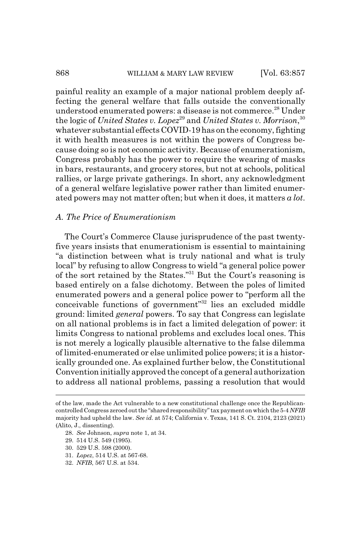#### 868 WILLIAM & MARY LAW REVIEW [Vol. 63:857

painful reality an example of a major national problem deeply affecting the general welfare that falls outside the conventionally understood enumerated powers: a disease is not commerce.<sup>28</sup> Under the logic of *United States v. Lopez*<sup>29</sup> and *United States v. Morrison*, <sup>30</sup> whatever substantial effects COVID-19 has on the economy, fighting it with health measures is not within the powers of Congress because doing so is not economic activity. Because of enumerationism, Congress probably has the power to require the wearing of masks in bars, restaurants, and grocery stores, but not at schools, political rallies, or large private gatherings. In short, any acknowledgment of a general welfare legislative power rather than limited enumerated powers may not matter often; but when it does, it matters *a lot*.

#### *A. The Price of Enumerationism*

The Court's Commerce Clause jurisprudence of the past twentyfive years insists that enumerationism is essential to maintaining "a distinction between what is truly national and what is truly local" by refusing to allow Congress to wield "a general police power of the sort retained by the States."31 But the Court's reasoning is based entirely on a false dichotomy. Between the poles of limited enumerated powers and a general police power to "perform all the conceivable functions of government"32 lies an excluded middle ground: limited *general* powers. To say that Congress can legislate on all national problems is in fact a limited delegation of power: it limits Congress to national problems and excludes local ones. This is not merely a logically plausible alternative to the false dilemma of limited-enumerated or else unlimited police powers; it is a historically grounded one. As explained further below, the Constitutional Convention initially approved the concept of a general authorization to address all national problems, passing a resolution that would

- 28. *See* Johnson, *supra* note 1, at 34.
- 29. 514 U.S. 549 (1995).
- 30. 529 U.S. 598 (2000).
- 31. *Lopez*, 514 U.S. at 567-68.
- 32. *NFIB*, 567 U.S. at 534.

of the law, made the Act vulnerable to a new constitutional challenge once the Republicancontrolled Congress zeroed out the "shared responsibility" tax payment on which the 5-4 *NFIB* majority had upheld the law. *See id.* at 574; California v. Texas, 141 S. Ct. 2104, 2123 (2021) (Alito, J., dissenting).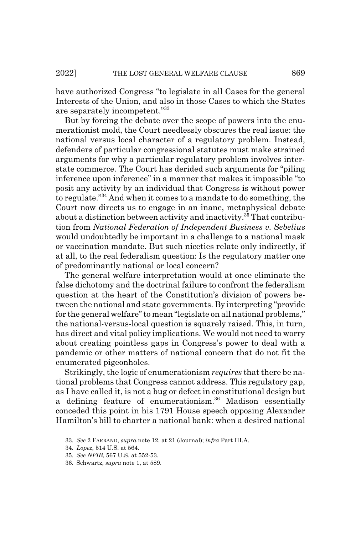have authorized Congress "to legislate in all Cases for the general Interests of the Union, and also in those Cases to which the States are separately incompetent."33

But by forcing the debate over the scope of powers into the enumerationist mold, the Court needlessly obscures the real issue: the national versus local character of a regulatory problem. Instead, defenders of particular congressional statutes must make strained arguments for why a particular regulatory problem involves interstate commerce. The Court has derided such arguments for "piling inference upon inference" in a manner that makes it impossible "to posit any activity by an individual that Congress is without power to regulate."34 And when it comes to a mandate to do something, the Court now directs us to engage in an inane, metaphysical debate about a distinction between activity and inactivity.<sup>35</sup> That contribution from *National Federation of Independent Business v. Sebelius* would undoubtedly be important in a challenge to a national mask or vaccination mandate. But such niceties relate only indirectly, if at all, to the real federalism question: Is the regulatory matter one of predominantly national or local concern?

The general welfare interpretation would at once eliminate the false dichotomy and the doctrinal failure to confront the federalism question at the heart of the Constitution's division of powers between the national and state governments. By interpreting "provide for the general welfare" to mean "legislate on all national problems," the national-versus-local question is squarely raised. This, in turn, has direct and vital policy implications. We would not need to worry about creating pointless gaps in Congress's power to deal with a pandemic or other matters of national concern that do not fit the enumerated pigeonholes.

Strikingly, the logic of enumerationism *requires* that there be national problems that Congress cannot address. This regulatory gap, as I have called it, is not a bug or defect in constitutional design but a defining feature of enumerationism.<sup>36</sup> Madison essentially conceded this point in his 1791 House speech opposing Alexander Hamilton's bill to charter a national bank: when a desired national

<sup>33.</sup> *See* 2 FARRAND, *supra* note 12, at 21 (Journal); *infra* Part III.A.

<sup>34.</sup> *Lopez*, 514 U.S. at 564.

<sup>35.</sup> *See NFIB*, 567 U.S. at 552-53.

<sup>36.</sup> Schwartz, *supra* note 1, at 589.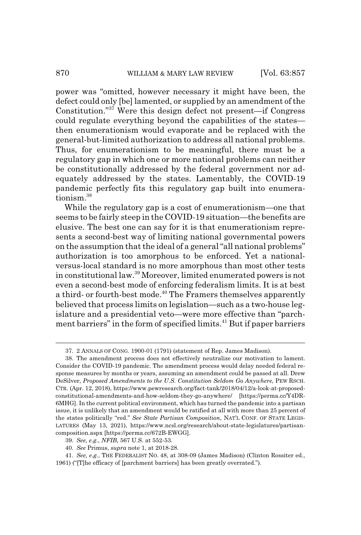power was "omitted, however necessary it might have been, the defect could only [be] lamented, or supplied by an amendment of the Constitution."<sup>37</sup> Were this design defect not present—if Congress could regulate everything beyond the capabilities of the states then enumerationism would evaporate and be replaced with the general-but-limited authorization to address all national problems. Thus, for enumerationism to be meaningful, there must be a regulatory gap in which one or more national problems can neither be constitutionally addressed by the federal government nor adequately addressed by the states. Lamentably, the COVID-19 pandemic perfectly fits this regulatory gap built into enumerationism.<sup>38</sup>

While the regulatory gap is a cost of enumerationism—one that seems to be fairly steep in the COVID-19 situation—the benefits are elusive. The best one can say for it is that enumerationism represents a second-best way of limiting national governmental powers on the assumption that the ideal of a general "all national problems" authorization is too amorphous to be enforced. Yet a nationalversus-local standard is no more amorphous than most other tests in constitutional law.39 Moreover, limited enumerated powers is not even a second-best mode of enforcing federalism limits. It is at best a third- or fourth-best mode.<sup>40</sup> The Framers themselves apparently believed that process limits on legislation—such as a two-house legislature and a presidential veto—were more effective than "parchment barriers" in the form of specified limits.<sup>41</sup> But if paper barriers

39. *See, e.g.*, *NFIB*, 567 U.S. at 552-53.

41. *See, e.g.*, THE FEDERALIST NO. 48, at 308-09 (James Madison) (Clinton Rossiter ed., 1961) ("[T]he efficacy of [parchment barriers] has been greatly overrated.").

<sup>37. 2</sup> ANNALS OF CONG. 1900-01 (1791) (statement of Rep. James Madison).

<sup>38.</sup> The amendment process does not effectively neutralize our motivation to lament. Consider the COVID-19 pandemic. The amendment process would delay needed federal response measures by months or years, assuming an amendment could be passed at all. Drew DeSilver, *Proposed Amendments to the U.S. Constitution Seldom Go Anywhere*, PEW RSCH. CTR. (Apr. 12, 2018), https://www.pewresearch.org/fact-tank/2018/04/12/a-look-at-proposedconstitutional-amendments-and-how-seldom-they-go-anywhere/ [https://perma.cc/Y4DR-6MHG]. In the current political environment, which has turned the pandemic into a partisan issue, it is unlikely that an amendment would be ratified at all with more than 25 percent of the states politically "red." *See State Partisan Composition*, NAT'L CONF. OF STATE LEGIS-LATURES (May 13, 2021), https://www.ncsl.org/research/about-state-legislatures/partisancomposition.aspx [https://perma.cc/672B-EWGG].

<sup>40.</sup> *See* Primus, *supra* note 1, at 2018-28.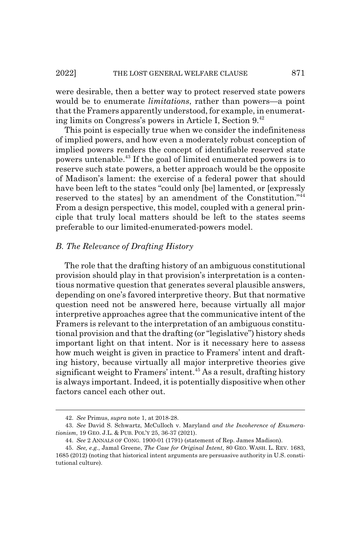#### 2022] THE LOST GENERAL WELFARE CLAUSE 871

were desirable, then a better way to protect reserved state powers would be to enumerate *limitations*, rather than powers—a point that the Framers apparently understood, for example, in enumerating limits on Congress's powers in Article I, Section 9.42

This point is especially true when we consider the indefiniteness of implied powers, and how even a moderately robust conception of implied powers renders the concept of identifiable reserved state powers untenable.43 If the goal of limited enumerated powers is to reserve such state powers, a better approach would be the opposite of Madison's lament: the exercise of a federal power that should have been left to the states "could only [be] lamented, or [expressly reserved to the states] by an amendment of the Constitution."44 From a design perspective, this model, coupled with a general principle that truly local matters should be left to the states seems preferable to our limited-enumerated-powers model.

#### *B. The Relevance of Drafting History*

The role that the drafting history of an ambiguous constitutional provision should play in that provision's interpretation is a contentious normative question that generates several plausible answers, depending on one's favored interpretive theory. But that normative question need not be answered here, because virtually all major interpretive approaches agree that the communicative intent of the Framers is relevant to the interpretation of an ambiguous constitutional provision and that the drafting (or "legislative") history sheds important light on that intent. Nor is it necessary here to assess how much weight is given in practice to Framers' intent and drafting history, because virtually all major interpretive theories give significant weight to Framers' intent.<sup>45</sup> As a result, drafting history is always important. Indeed, it is potentially dispositive when other factors cancel each other out.

<sup>42.</sup> *See* Primus, *supra* note 1, at 2018-28.

<sup>43.</sup> *See* David S. Schwartz, McCulloch v. Maryland *and the Incoherence of Enumerationism*, 19 GEO. J.L. & PUB. POL'Y 25, 36-37 (2021).

<sup>44.</sup> *See* 2 ANNALS OF CONG. 1900-01 (1791) (statement of Rep. James Madison).

<sup>45.</sup> *See, e.g.*, Jamal Greene, *The Case for Original Intent*, 80 GEO. WASH. L. REV. 1683, 1685 (2012) (noting that historical intent arguments are persuasive authority in U.S. constitutional culture).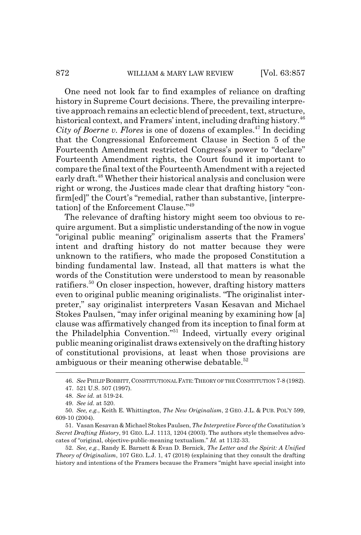One need not look far to find examples of reliance on drafting history in Supreme Court decisions. There, the prevailing interpretive approach remains an eclectic blend of precedent, text, structure, historical context, and Framers' intent, including drafting history.<sup>46</sup> *City of Boerne v. Flores* is one of dozens of examples.<sup>47</sup> In deciding that the Congressional Enforcement Clause in Section 5 of the Fourteenth Amendment restricted Congress's power to "declare" Fourteenth Amendment rights, the Court found it important to compare the final text of the Fourteenth Amendment with a rejected early draft.<sup>48</sup> Whether their historical analysis and conclusion were right or wrong, the Justices made clear that drafting history "confirm[ed]" the Court's "remedial, rather than substantive, [interpretation] of the Enforcement Clause."49

The relevance of drafting history might seem too obvious to require argument. But a simplistic understanding of the now in vogue "original public meaning" originalism asserts that the Framers' intent and drafting history do not matter because they were unknown to the ratifiers, who made the proposed Constitution a binding fundamental law. Instead, all that matters is what the words of the Constitution were understood to mean by reasonable ratifiers.<sup>50</sup> On closer inspection, however, drafting history matters even to original public meaning originalists. "The originalist interpreter," say originalist interpreters Vasan Kesavan and Michael Stokes Paulsen, "may infer original meaning by examining how [a] clause was affirmatively changed from its inception to final form at the Philadelphia Convention."51 Indeed, virtually every original public meaning originalist draws extensively on the drafting history of constitutional provisions, at least when those provisions are ambiguous or their meaning otherwise debatable. $52$ 

<sup>46.</sup> *See* PHILIPBOBBITT, CONSTITUTIONAL FATE: THEORY OF THE CONSTITUTION 7-8 (1982).

<sup>47. 521</sup> U.S. 507 (1997).

<sup>48.</sup> *See id.* at 519-24.

<sup>49.</sup> *See id.* at 520.

<sup>50.</sup> *See, e.g.*, Keith E. Whittington, *The New Originalism*, 2 GEO. J.L. & PUB. POL'Y 599, 609-10 (2004).

<sup>51.</sup> Vasan Kesavan & Michael Stokes Paulsen, *The Interpretive Force of the Constitution's Secret Drafting History*, 91 GEO. L.J. 1113, 1204 (2003). The authors style themselves advocates of "original, objective-public-meaning textualism." *Id.* at 1132-33.

<sup>52.</sup> *See, e.g.*, Randy E. Barnett & Evan D. Bernick, *The Letter and the Spirit: A Unified Theory of Originalism*, 107 GEO. L.J. 1, 47 (2018) (explaining that they consult the drafting history and intentions of the Framers because the Framers "might have special insight into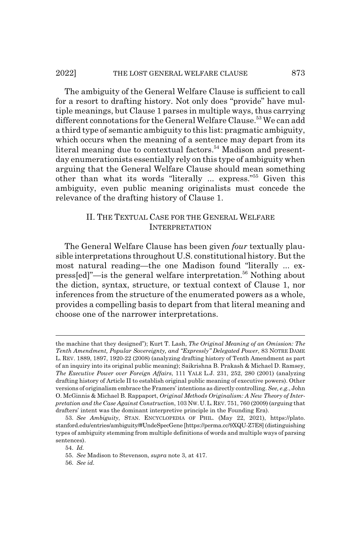#### 2022] THE LOST GENERAL WELFARE CLAUSE 873

The ambiguity of the General Welfare Clause is sufficient to call for a resort to drafting history. Not only does "provide" have multiple meanings, but Clause 1 parses in multiple ways, thus carrying different connotations for the General Welfare Clause.<sup>53</sup> We can add a third type of semantic ambiguity to this list: pragmatic ambiguity, which occurs when the meaning of a sentence may depart from its literal meaning due to contextual factors.<sup>54</sup> Madison and presentday enumerationists essentially rely on this type of ambiguity when arguing that the General Welfare Clause should mean something other than what its words "literally ... express."55 Given this ambiguity, even public meaning originalists must concede the relevance of the drafting history of Clause 1.

## II. THE TEXTUAL CASE FOR THE GENERAL WELFARE INTERPRETATION

The General Welfare Clause has been given *four* textually plausible interpretations throughout U.S. constitutional history. But the most natural reading—the one Madison found "literally ... express[ed]"—is the general welfare interpretation.<sup>56</sup> Nothing about the diction, syntax, structure, or textual context of Clause 1, nor inferences from the structure of the enumerated powers as a whole, provides a compelling basis to depart from that literal meaning and choose one of the narrower interpretations.

the machine that they designed"); Kurt T. Lash, *The Original Meaning of an Omission: The Tenth Amendment, Popular Sovereignty, and "Expressly" Delegated Power*, 83 NOTRE DAME L. REV. 1889, 1897, 1920-22 (2008) (analyzing drafting history of Tenth Amendment as part of an inquiry into its original public meaning); Saikrishna B. Prakash & Michael D. Ramsey, *The Executive Power over Foreign Affairs*, 111 YALE L.J. 231, 252, 280 (2001) (analyzing drafting history of Article II to establish original public meaning of executive powers). Other versions of originalism embrace the Framers' intentions as directly controlling. *See, e.g.*, John O. McGinnis & Michael B. Rappaport, *Original Methods Originalism: A New Theory of Interpretation and the Case Against Construction*, 103 NW.U.L.REV. 751, 760 (2009) (arguing that drafters' intent was the dominant interpretive principle in the Founding Era).

<sup>53.</sup> *See Ambiguity*, STAN. ENCYCLOPEDIA OF PHIL. (May 22, 2021), https://plato. stanford.edu/entries/ambiguity/#UndeSpecGene [https://perma.cc/9XQU-Z7E8] (distinguishing types of ambiguity stemming from multiple definitions of words and multiple ways of parsing sentences).

<sup>54.</sup> *Id.*

<sup>55.</sup> *See* Madison to Stevenson, *supra* note 3, at 417.

<sup>56.</sup> *See id.*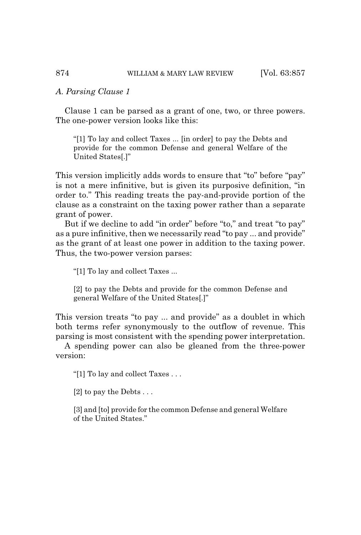#### *A. Parsing Clause 1*

Clause 1 can be parsed as a grant of one, two, or three powers. The one-power version looks like this:

"[1] To lay and collect Taxes ... [in order] to pay the Debts and provide for the common Defense and general Welfare of the United States[.]"

This version implicitly adds words to ensure that "to" before "pay" is not a mere infinitive, but is given its purposive definition, "in order to." This reading treats the pay-and-provide portion of the clause as a constraint on the taxing power rather than a separate grant of power.

But if we decline to add "in order" before "to," and treat "to pay" as a pure infinitive, then we necessarily read "to pay ... and provide" as the grant of at least one power in addition to the taxing power. Thus, the two-power version parses:

"[1] To lay and collect Taxes ...

[2] to pay the Debts and provide for the common Defense and general Welfare of the United States[.]"

This version treats "to pay ... and provide" as a doublet in which both terms refer synonymously to the outflow of revenue. This parsing is most consistent with the spending power interpretation.

A spending power can also be gleaned from the three-power version:

"[1] To lay and collect Taxes . . .

[2] to pay the Debts . . .

[3] and [to] provide for the common Defense and general Welfare of the United States."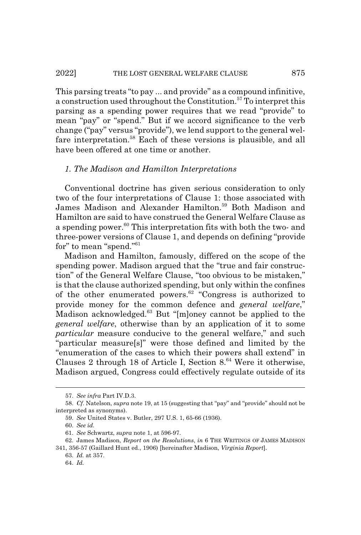This parsing treats "to pay ... and provide" as a compound infinitive, a construction used throughout the Constitution. $57$  To interpret this parsing as a spending power requires that we read "provide" to mean "pay" or "spend." But if we accord significance to the verb change ("pay" versus "provide"), we lend support to the general welfare interpretation.<sup>58</sup> Each of these versions is plausible, and all have been offered at one time or another.

### *1. The Madison and Hamilton Interpretations*

Conventional doctrine has given serious consideration to only two of the four interpretations of Clause 1: those associated with James Madison and Alexander Hamilton.<sup>59</sup> Both Madison and Hamilton are said to have construed the General Welfare Clause as a spending power.<sup>60</sup> This interpretation fits with both the two- and three-power versions of Clause 1, and depends on defining "provide for" to mean "spend."<sup>61</sup>

Madison and Hamilton, famously, differed on the scope of the spending power. Madison argued that the "true and fair construction" of the General Welfare Clause, "too obvious to be mistaken," is that the clause authorized spending, but only within the confines of the other enumerated powers. $62$  "Congress is authorized to provide money for the common defence and *general welfare*," Madison acknowledged.63 But "[m]oney cannot be applied to the *general welfare*, otherwise than by an application of it to some *particular* measure conducive to the general welfare," and such "particular measure[s]" were those defined and limited by the "enumeration of the cases to which their powers shall extend" in Clauses 2 through 18 of Article I, Section  $8^{64}$  Were it otherwise, Madison argued, Congress could effectively regulate outside of its

<sup>57.</sup> *See infra* Part IV.D.3.

<sup>58.</sup> *Cf*. Natelson, *supra* note 19, at 15 (suggesting that "pay" and "provide" should not be interpreted as synonyms).

<sup>59.</sup> *See* United States v. Butler, 297 U.S. 1, 65-66 (1936).

<sup>60.</sup> *See id.*

<sup>61.</sup> *See* Schwartz, *supra* note 1, at 596-97.

<sup>62.</sup> James Madison, *Report on the Resolutions*, *in* 6 THE WRITINGS OF JAMES MADISON

<sup>341, 356-57 (</sup>Gaillard Hunt ed., 1906) [hereinafter Madison, *Virginia Report*]. 63. *Id.* at 357.

<sup>64.</sup> *Id.*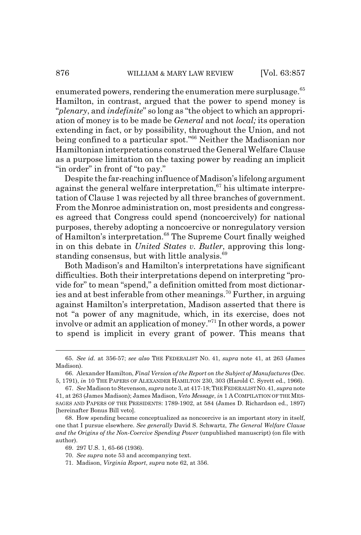enumerated powers, rendering the enumeration mere surplusage.<sup>65</sup> Hamilton, in contrast, argued that the power to spend money is "*plenary*, and *indefinite*" so long as "the object to which an appropriation of money is to be made be *General* and not *local;* its operation extending in fact, or by possibility, throughout the Union, and not being confined to a particular spot."<sup>66</sup> Neither the Madisonian nor Hamiltonian interpretations construed the General Welfare Clause as a purpose limitation on the taxing power by reading an implicit "in order" in front of "to pay."

Despite the far-reaching influence of Madison's lifelong argument against the general welfare interpretation,  $67$  his ultimate interpretation of Clause 1 was rejected by all three branches of government. From the Monroe administration on, most presidents and congresses agreed that Congress could spend (noncoercively) for national purposes, thereby adopting a noncoercive or nonregulatory version of Hamilton's interpretation.<sup>68</sup> The Supreme Court finally weighed in on this debate in *United States v. Butler*, approving this longstanding consensus, but with little analysis.<sup>69</sup>

Both Madison's and Hamilton's interpretations have significant difficulties. Both their interpretations depend on interpreting "provide for" to mean "spend," a definition omitted from most dictionaries and at best inferable from other meanings.<sup>70</sup> Further, in arguing against Hamilton's interpretation, Madison asserted that there is not "a power of any magnitude, which, in its exercise, does not involve or admit an application of money."71 In other words, a power to spend is implicit in every grant of power. This means that

<sup>65.</sup> *See id.* at 356-57; *see also* THE FEDERALIST NO. 41, *supra* note 41, at 263 (James Madison).

<sup>66.</sup> Alexander Hamilton, *Final Version of the Report on the Subject of Manufactures* (Dec. 5, 1791), *in* 10 THE PAPERS OF ALEXANDER HAMILTON 230, 303 (Harold C. Syrett ed., 1966).

<sup>67.</sup> *See* Madison to Stevenson, *supra* note 3, at 417-18; THE FEDERALIST NO.41, *supra* note 41, at 263 (James Madison); James Madison, *Veto Message*, *in* 1 A COMPILATION OF THE MES-SAGES AND PAPERS OF THE PRESIDENTS: 1789-1902, at 584 (James D. Richardson ed., 1897) [hereinafter Bonus Bill veto].

<sup>68.</sup> How spending became conceptualized as noncoercive is an important story in itself, one that I pursue elsewhere. *See generally* David S. Schwartz, *The General Welfare Clause and the Origins of the Non-Coercive Spending Power* (unpublished manuscript) (on file with author).

<sup>69. 297</sup> U.S. 1, 65-66 (1936).

<sup>70.</sup> *See supra* note 53 and accompanying text.

<sup>71.</sup> Madison, *Virginia Report*, *supra* note 62, at 356.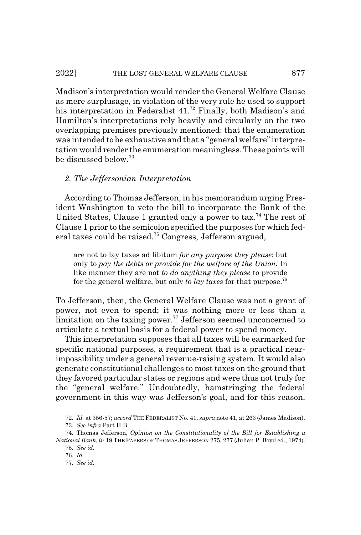Madison's interpretation would render the General Welfare Clause as mere surplusage, in violation of the very rule he used to support his interpretation in Federalist 41.<sup>72</sup> Finally, both Madison's and Hamilton's interpretations rely heavily and circularly on the two overlapping premises previously mentioned: that the enumeration was intended to be exhaustive and that a "general welfare" interpretation would render the enumeration meaningless. These points will be discussed below.<sup>73</sup>

#### *2. The Jeffersonian Interpretation*

According to Thomas Jefferson, in his memorandum urging President Washington to veto the bill to incorporate the Bank of the United States, Clause 1 granted only a power to tax.<sup>74</sup> The rest of Clause 1 prior to the semicolon specified the purposes for which federal taxes could be raised.75 Congress, Jefferson argued,

are not to lay taxes ad libitum *for any purpose they please*; but only to *pay the debts or provide for the welfare of the Union*. In like manner they are not *to do anything they please* to provide for the general welfare, but only *to lay taxes* for that purpose.76

To Jefferson, then, the General Welfare Clause was not a grant of power, not even to spend; it was nothing more or less than a limitation on the taxing power.<sup>77</sup> Jefferson seemed unconcerned to articulate a textual basis for a federal power to spend money.

This interpretation supposes that all taxes will be earmarked for specific national purposes, a requirement that is a practical nearimpossibility under a general revenue-raising system. It would also generate constitutional challenges to most taxes on the ground that they favored particular states or regions and were thus not truly for the "general welfare." Undoubtedly, hamstringing the federal government in this way was Jefferson's goal, and for this reason,

<sup>72.</sup> *Id.* at 356-57; *accord* THE FEDERALIST No. 41, *supra* note 41, at 263 (James Madison).

<sup>73.</sup> *See infra* Part II.B.

<sup>74.</sup> Thomas Jefferson, *Opinion on the Constitutionality of the Bill for Establishing a National Bank*, *in* 19 THE PAPERS OF THOMAS JEFFERSON 275, 277 (Julian P. Boyd ed., 1974).

<sup>75.</sup> *See id.*

<sup>76.</sup> *Id.*

<sup>77.</sup> *See id.*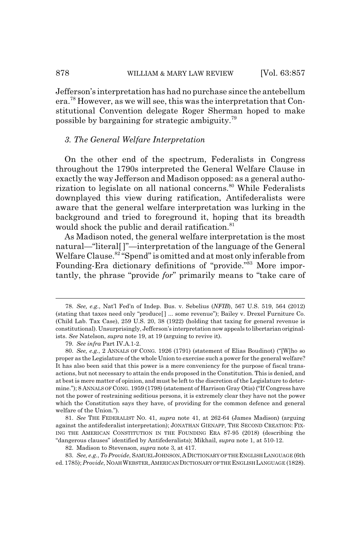Jefferson's interpretation has had no purchase since the antebellum era.78 However, as we will see, this was the interpretation that Constitutional Convention delegate Roger Sherman hoped to make possible by bargaining for strategic ambiguity.<sup>79</sup>

#### *3. The General Welfare Interpretation*

On the other end of the spectrum, Federalists in Congress throughout the 1790s interpreted the General Welfare Clause in exactly the way Jefferson and Madison opposed: as a general authorization to legislate on all national concerns.<sup>80</sup> While Federalists downplayed this view during ratification, Antifederalists were aware that the general welfare interpretation was lurking in the background and tried to foreground it, hoping that its breadth would shock the public and derail ratification.<sup>81</sup>

As Madison noted, the general welfare interpretation is the most natural—"literal[ ]"—interpretation of the language of the General Welfare Clause.<sup>82</sup> "Spend" is omitted and at most only inferable from Founding-Era dictionary definitions of "provide."<sup>83</sup> More importantly, the phrase "provide *for*" primarily means to "take care of

<sup>78.</sup> *See, e.g.*, Nat'l Fed'n of Indep. Bus. v. Sebelius (*NFIB*), 567 U.S. 519, 564 (2012) (stating that taxes need only "produce[ ] ... some revenue"); Bailey v. Drexel Furniture Co. (Child Lab. Tax Case), 259 U.S. 20, 38 (1922) (holding that taxing for general revenue is constitutional). Unsurprisingly, Jefferson's interpretation now appeals to libertarian originalists. *See* Natelson, *supra* note 19, at 19 (arguing to revive it).

<sup>79.</sup> *See infra* Part IV.A.1-2.

<sup>80.</sup> *See, e.g.*, 2 ANNALS OF CONG. 1926 (1791) (statement of Elias Boudinot) ("[W]ho so proper as the Legislature of the whole Union to exercise such a power for the general welfare? It has also been said that this power is a mere conveniency for the purpose of fiscal transactions, but not necessary to attain the ends proposed in the Constitution. This is denied, and at best is mere matter of opinion, and must be left to the discretion of the Legislature to determine."); 8 ANNALS OF CONG. 1959 (1798) (statement of Harrison Gray Otis) ("If Congress have not the power of restraining seditious persons, it is extremely clear they have not the power which the Constitution says they have, of providing for the common defence and general welfare of the Union.").

<sup>81.</sup> *See* THE FEDERALIST NO. 41, *supra* note 41, at 262-64 (James Madison) (arguing against the antifederalist interpretation); JONATHAN GIENAPP, THE SECOND CREATION: FIX-ING THE AMERICAN CONSTITUTION IN THE FOUNDING ERA 87-95 (2018) (describing the "dangerous clauses" identified by Antifederalists); Mikhail, *supra* note 1, at 510-12.

<sup>82.</sup> Madison to Stevenson, *supra* note 3, at 417.

<sup>83.</sup> *See, e.g.*, *To Provide*, SAMUEL JOHNSON,ADICTIONARY OF THE ENGLISH LANGUAGE (6th ed. 1785); *Provide*, NOAH WEBSTER,AMERICAN DICTIONARY OF THE ENGLISH LANGUAGE (1828).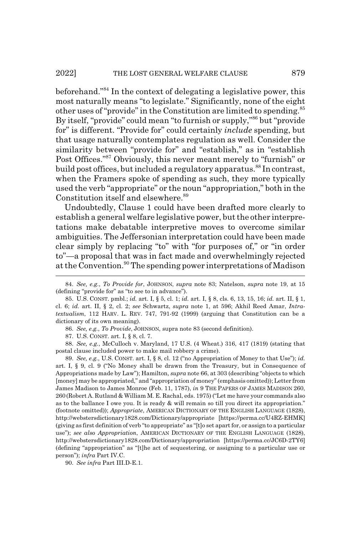beforehand."84 In the context of delegating a legislative power, this most naturally means "to legislate." Significantly, none of the eight other uses of "provide" in the Constitution are limited to spending.<sup>85</sup> By itself, "provide" could mean "to furnish or supply,"86 but "provide for" is different. "Provide for" could certainly *include* spending, but that usage naturally contemplates regulation as well. Consider the similarity between "provide for" and "establish," as in "establish Post Offices."87 Obviously, this never meant merely to "furnish" or build post offices, but included a regulatory apparatus.<sup>88</sup> In contrast, when the Framers spoke of spending as such, they more typically used the verb "appropriate" or the noun "appropriation," both in the Constitution itself and elsewhere.<sup>89</sup>

Undoubtedly, Clause 1 could have been drafted more clearly to establish a general welfare legislative power, but the other interpretations make debatable interpretive moves to overcome similar ambiguities. The Jeffersonian interpretation could have been made clear simply by replacing "to" with "for purposes of," or "in order to"—a proposal that was in fact made and overwhelmingly rejected at the Convention.<sup>90</sup> The spending power interpretations of Madison

86. *See, e.g.*, *To Provide*, JOHNSON, supra note 83 (second definition).

87. U.S. CONST. art. I, § 8, cl. 7.

88. *See, e.g.*, McCulloch v. Maryland, 17 U.S. (4 Wheat.) 316, 417 (1819) (stating that postal clause included power to make mail robbery a crime).

89. *See, e.g.*, U.S. CONST. art. I, § 8, cl. 12 ("no Appropriation of Money to that Use"); *id.* art. I, § 9, cl. 9 ("No Money shall be drawn from the Treasury, but in Consequence of Appropriations made by Law"); Hamilton, *supra* note 66, at 303 (describing "objects to which [money] may be appropriated," and "appropriation of money" (emphasis omitted)); Letter from James Madison to James Monroe (Feb. 11, 1787), *in* 9 THE PAPERS OF JAMES MADISON 260, 260(Robert A. Rutland & William M. E. Rachal, eds. 1975) ("Let me have your commands also as to the ballance I owe you. It is ready & will remain so till you direct its appropriation." (footnote omitted)); *Appropriate*, AMERICAN DICTIONARY OF THE ENGLISH LANGUAGE (1828), http://webstersdictionary1828.com/Dictionary/appropriate [https://perma.cc/U4RZ-EHMK] (giving as first definition of verb "to appropriate" as "[t]o set apart for, or assign to a particular use"); *see also Appropriation*, AMERICAN DICTIONARY OF THE ENGLISH LANGUAGE (1828), http://webstersdictionary1828.com/Dictionary/appropriation [https://perma.cc/JC6D-2TY6] (defining "appropriation" as "[t]he act of sequestering, or assigning to a particular use or person"); *infra* Part IV.C.

90. *See infra* Part III.D-E.1.

<sup>84.</sup> *See, e.g.*, *To Provide for*, JOHNSON, *supra* note 83; Natelson, *supra* note 19, at 15 (defining "provide for" as "to see to in advance").

<sup>85.</sup> U.S. CONST. pmbl.; *id.* art. I, § 5, cl. 1; *id.* art. I, § 8, cls. 6, 13, 15, 16; *id.* art. II, § 1, cl. 6; *id.* art. II, § 2, cl. 2; *see* Schwartz, *supra* note 1, at 596; Akhil Reed Amar, *Intratextualism*, 112 HARV. L. REV. 747, 791-92 (1999) (arguing that Constitution can be a dictionary of its own meaning).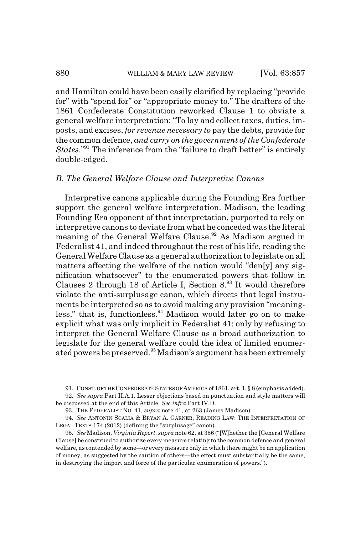and Hamilton could have been easily clarified by replacing "provide for" with "spend for" or "appropriate money to." The drafters of the 1861 Confederate Constitution reworked Clause 1 to obviate a general welfare interpretation: "To lay and collect taxes, duties, imposts, and excises, *for revenue necessary to* pay the debts, provide for the common defence, *and carry on the government of the Confederate States*."91 The inference from the "failure to draft better" is entirely double-edged.

# *B. The General Welfare Clause and Interpretive Canons*

Interpretive canons applicable during the Founding Era further support the general welfare interpretation. Madison, the leading Founding Era opponent of that interpretation, purported to rely on interpretive canons to deviate from what he conceded was the literal meaning of the General Welfare Clause.<sup>92</sup> As Madison argued in Federalist 41, and indeed throughout the rest of his life, reading the General Welfare Clause as a general authorization to legislate on all matters affecting the welfare of the nation would "den[y] any signification whatsoever" to the enumerated powers that follow in Clauses 2 through 18 of Article I, Section  $8<sup>93</sup>$  It would therefore violate the anti-surplusage canon, which directs that legal instruments be interpreted so as to avoid making any provision "meaningless," that is, functionless. $94$  Madison would later go on to make explicit what was only implicit in Federalist 41: only by refusing to interpret the General Welfare Clause as a broad authorization to legislate for the general welfare could the idea of limited enumerated powers be preserved.95 Madison's argument has been extremely

<sup>91.</sup> CONST. OF THE CONFEDERATE STATES OF AMERICA of 1861, art. 1, § 8 (emphasis added). 92. *See supra* Part II.A.1. Lesser objections based on punctuation and style matters will

be discussed at the end of this Article. *See infra* Part IV.D.

<sup>93.</sup> THE FEDERALIST NO. 41, *supra* note 41, at 263 (James Madison).

<sup>94.</sup> *See* ANTONIN SCALIA & BRYAN A. GARNER, READING LAW: THE INTERPRETATION OF LEGAL TEXTS 174 (2012) (defining the "surplusage" canon).

<sup>95.</sup> *See* Madison, *Virginia Report*, *supra* note 62, at 356 ("[W]hether the [General Welfare Clause] be construed to authorize every measure relating to the common defence and general welfare, as contended by some—or every measure only in which there might be an application of money, as suggested by the caution of others—the effect must substantially be the same, in destroying the import and force of the particular enumeration of powers.").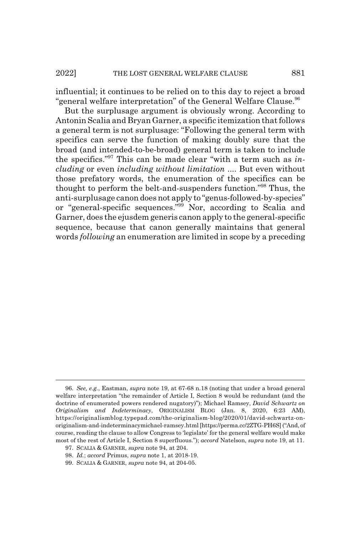influential; it continues to be relied on to this day to reject a broad "general welfare interpretation" of the General Welfare Clause.<sup>96</sup>

But the surplusage argument is obviously wrong. According to Antonin Scalia and Bryan Garner, a specific itemization that follows a general term is not surplusage: "Following the general term with specifics can serve the function of making doubly sure that the broad (and intended-to-be-broad) general term is taken to include the specifics."97 This can be made clear "with a term such as *including* or even *including without limitation* .... But even without those prefatory words, the enumeration of the specifics can be thought to perform the belt-and-suspenders function."98 Thus, the anti-surplusage canon does not apply to "genus-followed-by-species" or "general-specific sequences."99 Nor, according to Scalia and Garner, does the ejusdem generis canon apply to the general-specific sequence, because that canon generally maintains that general words *following* an enumeration are limited in scope by a preceding

<sup>96.</sup> *See, e.g.*, Eastman, *supra* note 19, at 67-68 n.18 (noting that under a broad general welfare interpretation "the remainder of Article I, Section 8 would be redundant (and the doctrine of enumerated powers rendered nugatory)"); Michael Ramsey, *David Schwartz on Originalism and Indeterminacy*, ORIGINALISM BLOG (Jan. 8, 2020, 6:23 AM), https://originalismblog.typepad.com/the-originalism-blog/2020/01/david-schwartz-onoriginalism-and-indeterminacymichael-ramsey.html [https://perma.cc/2ZTG-PH6S] ("And, of course, reading the clause to allow Congress to 'legislate' for the general welfare would make most of the rest of Article I, Section 8 superfluous."); *accord* Natelson, *supra* note 19, at 11.

<sup>97.</sup> SCALIA & GARNER, *supra* note 94, at 204.

<sup>98.</sup> *Id.*; *accord* Primus, *supra* note 1, at 2018-19.

<sup>99.</sup> SCALIA & GARNER, *supra* note 94, at 204-05.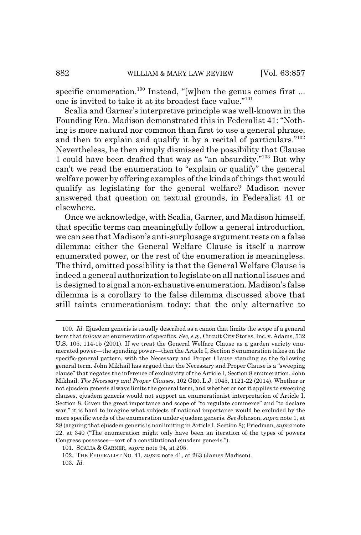specific enumeration.<sup>100</sup> Instead, "[w]hen the genus comes first ... one is invited to take it at its broadest face value."101

Scalia and Garner's interpretive principle was well-known in the Founding Era. Madison demonstrated this in Federalist 41: "Nothing is more natural nor common than first to use a general phrase, and then to explain and qualify it by a recital of particulars."102 Nevertheless, he then simply dismissed the possibility that Clause 1 could have been drafted that way as "an absurdity."103 But why can't we read the enumeration to "explain or qualify" the general welfare power by offering examples of the kinds of things that would qualify as legislating for the general welfare? Madison never answered that question on textual grounds, in Federalist 41 or elsewhere.

Once we acknowledge, with Scalia, Garner, and Madison himself, that specific terms can meaningfully follow a general introduction, we can see that Madison's anti-surplusage argument rests on a false dilemma: either the General Welfare Clause is itself a narrow enumerated power, or the rest of the enumeration is meaningless. The third, omitted possibility is that the General Welfare Clause is indeed a general authorization to legislate on all national issues and is designed to signal a non-exhaustive enumeration. Madison's false dilemma is a corollary to the false dilemma discussed above that still taints enumerationism today: that the only alternative to

<sup>100.</sup> *Id.* Ejusdem generis is usually described as a canon that limits the scope of a general term that *follows* an enumeration of specifics. *See, e.g.*, Circuit City Stores, Inc. v. Adams, 532 U.S. 105, 114-15 (2001). If we treat the General Welfare Clause as a garden variety enumerated power—the spending power—then the Article I, Section 8 enumeration takes on the specific-general pattern, with the Necessary and Proper Clause standing as the following general term. John Mikhail has argued that the Necessary and Proper Clause is a "sweeping clause" that negates the inference of exclusivity of the Article I, Section 8 enumeration. John Mikhail, *The Necessary and Proper Clauses*, 102 GEO. L.J. 1045, 1121-22 (2014). Whether or not ejusdem generis always limits the general term, and whether or not it applies to sweeping clauses, ejusdem generis would not support an enumerationist interpretation of Article I, Section 8. Given the great importance and scope of "to regulate commerce" and "to declare war," it is hard to imagine what subjects of national importance would be excluded by the more specific words of the enumeration under ejusdem generis. *See* Johnson, *supra* note 1, at 28 (arguing that ejusdem generis is nonlimiting in Article I, Section 8); Friedman, *supra* note 22, at 340 ("The enumeration might only have been an iteration of the types of powers Congress possesses—sort of a constitutional ejusdem generis.").

<sup>101.</sup> SCALIA & GARNER, *supra* note 94, at 205.

<sup>102.</sup> THE FEDERALIST NO. 41, *supra* note 41, at 263 (James Madison).

<sup>103.</sup> *Id.*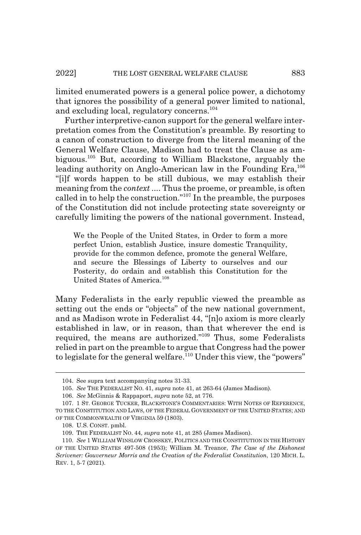limited enumerated powers is a general police power, a dichotomy that ignores the possibility of a general power limited to national, and excluding local, regulatory concerns.<sup>104</sup>

Further interpretive-canon support for the general welfare interpretation comes from the Constitution's preamble. By resorting to a canon of construction to diverge from the literal meaning of the General Welfare Clause, Madison had to treat the Clause as ambiguous.105 But, according to William Blackstone, arguably the leading authority on Anglo-American law in the Founding Era,<sup>106</sup> "[i]f words happen to be still dubious, we may establish their meaning from the *context* .... Thus the proeme, or preamble, is often called in to help the construction."107 In the preamble, the purposes of the Constitution did not include protecting state sovereignty or carefully limiting the powers of the national government. Instead,

We the People of the United States, in Order to form a more perfect Union, establish Justice, insure domestic Tranquility, provide for the common defence, promote the general Welfare, and secure the Blessings of Liberty to ourselves and our Posterity, do ordain and establish this Constitution for the United States of America.<sup>108</sup>

Many Federalists in the early republic viewed the preamble as setting out the ends or "objects" of the new national government, and as Madison wrote in Federalist 44, "[n]o axiom is more clearly established in law, or in reason, than that wherever the end is required, the means are authorized."109 Thus, some Federalists relied in part on the preamble to argue that Congress had the power to legislate for the general welfare.<sup>110</sup> Under this view, the "powers"

<sup>104.</sup> See supra text accompanying notes 31-33.

<sup>105.</sup> *See* THE FEDERALIST NO. 41, *supra* note 41, at 263-64 (James Madison).

<sup>106.</sup> *See* McGinnis & Rappaport, *supra* note 52, at 776.

<sup>107. 1</sup> ST. GEORGE TUCKER, BLACKSTONE'S COMMENTARIES: WITH NOTES OF REFERENCE, TO THE CONSTITUTION AND LAWS, OF THE FEDERAL GOVERNMENT OF THE UNITED STATES; AND OF THE COMMONWEALTH OF VIRGINIA 59 (1803).

<sup>108.</sup> U.S. CONST. pmbl.

<sup>109.</sup> THE FEDERALIST NO. 44, *supra* note 41, at 285 (James Madison).

<sup>110.</sup> *See* 1 WILLIAM WINSLOW CROSSKEY, POLITICS AND THE CONSTITUTION IN THE HISTORY OF THE UNITED STATES 497-508 (1953); William M. Treanor, *The Case of the Dishonest Scrivener: Gouverneur Morris and the Creation of the Federalist Constitution*, 120 MICH. L. REV. 1, 5-7 (2021).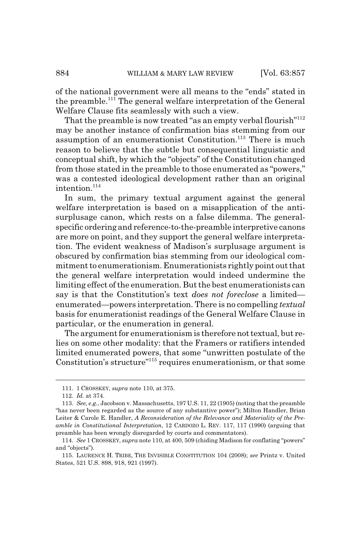of the national government were all means to the "ends" stated in the preamble.111 The general welfare interpretation of the General Welfare Clause fits seamlessly with such a view.

That the preamble is now treated "as an empty verbal flourish"<sup>112</sup> may be another instance of confirmation bias stemming from our assumption of an enumerationist Constitution.<sup>113</sup> There is much reason to believe that the subtle but consequential linguistic and conceptual shift, by which the "objects" of the Constitution changed from those stated in the preamble to those enumerated as "powers," was a contested ideological development rather than an original intention.<sup>114</sup>

In sum, the primary textual argument against the general welfare interpretation is based on a misapplication of the antisurplusage canon, which rests on a false dilemma. The generalspecific ordering and reference-to-the-preamble interpretive canons are more on point, and they support the general welfare interpretation. The evident weakness of Madison's surplusage argument is obscured by confirmation bias stemming from our ideological commitment to enumerationism. Enumerationists rightly point out that the general welfare interpretation would indeed undermine the limiting effect of the enumeration. But the best enumerationists can say is that the Constitution's text *does not foreclose* a limited enumerated—powers interpretation. There is no compelling *textual* basis for enumerationist readings of the General Welfare Clause in particular, or the enumeration in general.

The argument for enumerationism is therefore not textual, but relies on some other modality: that the Framers or ratifiers intended limited enumerated powers, that some "unwritten postulate of the Constitution's structure"115 requires enumerationism, or that some

<sup>111. 1</sup> CROSSKEY, *supra* note 110, at 375.

<sup>112.</sup> *Id.* at 374.

<sup>113.</sup> *See, e.g.*, Jacobson v. Massachusetts, 197 U.S. 11, 22 (1905) (noting that the preamble "has never been regarded as the source of any substantive power"); Milton Handler, Brian Leiter & Carole E. Handler, *A Reconsideration of the Relevance and Materiality of the Preamble in Constitutional Interpretation*, 12 CARDOZO L. REV. 117, 117 (1990) (arguing that preamble has been wrongly disregarded by courts and commentators).

<sup>114.</sup> *See* 1 CROSSKEY, *supra* note 110, at 400, 509 (chiding Madison for conflating "powers" and "objects").

<sup>115.</sup> LAURENCE H. TRIBE, THE INVISIBLE CONSTITUTION 104 (2008); *see* Printz v. United States, 521 U.S. 898, 918, 921 (1997).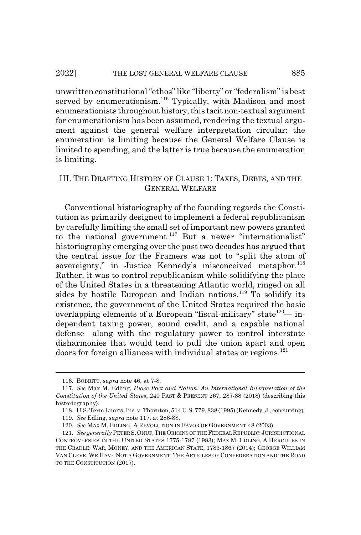unwritten constitutional "ethos" like "liberty" or "federalism" is best served by enumerationism.<sup>116</sup> Typically, with Madison and most enumerationists throughout history, this tacit non-textual argument for enumerationism has been assumed, rendering the textual argument against the general welfare interpretation circular: the enumeration is limiting because the General Welfare Clause is limited to spending, and the latter is true because the enumeration is limiting.

# III. THE DRAFTING HISTORY OF CLAUSE 1: TAXES, DEBTS, AND THE GENERAL WELFARE

Conventional historiography of the founding regards the Constitution as primarily designed to implement a federal republicanism by carefully limiting the small set of important new powers granted to the national government.<sup>117</sup> But a newer "internationalist" historiography emerging over the past two decades has argued that the central issue for the Framers was not to "split the atom of sovereignty," in Justice Kennedy's misconceived metaphor.<sup>118</sup> Rather, it was to control republicanism while solidifying the place of the United States in a threatening Atlantic world, ringed on all sides by hostile European and Indian nations.<sup>119</sup> To solidify its existence, the government of the United States required the basic overlapping elements of a European "fiscal-military" state<sup>120</sup>— independent taxing power, sound credit, and a capable national defense—along with the regulatory power to control interstate disharmonies that would tend to pull the union apart and open doors for foreign alliances with individual states or regions.<sup>121</sup>

<sup>116.</sup> BOBBITT, *supra* note 46, at 7-8.

<sup>117.</sup> *See* Max M. Edling, *Peace Pact and Nation: An International Interpretation of the Constitution of the United States*, 240 PAST & PRESENT 267, 287-88 (2018) (describing this historiography).

<sup>118.</sup> U.S. Term Limits, Inc. v. Thornton, 514 U.S. 779, 838 (1995) (Kennedy, J., concurring).

<sup>119.</sup> *See* Edling, *supra* note 117, at 286-88.

<sup>120.</sup> *See* MAX M. EDLING, A REVOLUTION IN FAVOR OF GOVERNMENT 48 (2003).

<sup>121.</sup> *See generally* PETER S.ONUF,THE ORIGINS OF THE FEDERAL REPUBLIC:JURISDICTIONAL CONTROVERSIES IN THE UNITED STATES 1775-1787 (1983); MAX M. EDLING,AHERCULES IN THE CRADLE: WAR, MONEY, AND THE AMERICAN STATE, 1783-1867 (2014); GEORGE WILLIAM VAN CLEVE, WE HAVE NOT A GOVERNMENT: THE ARTICLES OF CONFEDERATION AND THE ROAD TO THE CONSTITUTION (2017).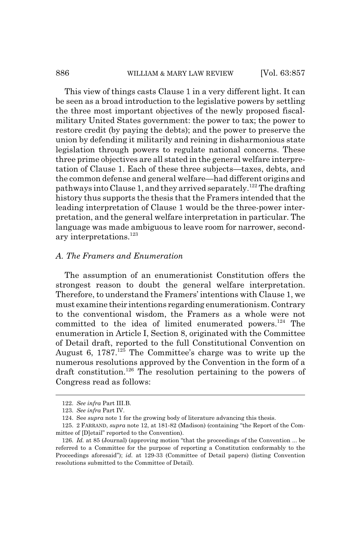#### 886 WILLIAM & MARY LAW REVIEW [Vol. 63:857]

This view of things casts Clause 1 in a very different light. It can be seen as a broad introduction to the legislative powers by settling the three most important objectives of the newly proposed fiscalmilitary United States government: the power to tax; the power to restore credit (by paying the debts); and the power to preserve the union by defending it militarily and reining in disharmonious state legislation through powers to regulate national concerns. These three prime objectives are all stated in the general welfare interpretation of Clause 1. Each of these three subjects—taxes, debts, and the common defense and general welfare—had different origins and pathways into Clause 1, and they arrived separately.<sup>122</sup> The drafting history thus supports the thesis that the Framers intended that the leading interpretation of Clause 1 would be the three-power interpretation, and the general welfare interpretation in particular. The language was made ambiguous to leave room for narrower, secondary interpretations.<sup>123</sup>

#### *A. The Framers and Enumeration*

The assumption of an enumerationist Constitution offers the strongest reason to doubt the general welfare interpretation. Therefore, to understand the Framers' intentions with Clause 1, we must examine their intentions regarding enumerationism. Contrary to the conventional wisdom, the Framers as a whole were not committed to the idea of limited enumerated powers.<sup>124</sup> The enumeration in Article I, Section 8, originated with the Committee of Detail draft, reported to the full Constitutional Convention on August 6,  $1787<sup>125</sup>$  The Committee's charge was to write up the numerous resolutions approved by the Convention in the form of a draft constitution.<sup>126</sup> The resolution pertaining to the powers of Congress read as follows:

<sup>122.</sup> *See infra* Part III.B.

<sup>123.</sup> *See infra* Part IV.

<sup>124.</sup> See *supra* note 1 for the growing body of literature advancing this thesis.

<sup>125. 2</sup> FARRAND, *supra* note 12, at 181-82 (Madison) (containing "the Report of the Committee of [D]etail" reported to the Convention).

<sup>126.</sup> *Id.* at 85 (Journal) (approving motion "that the proceedings of the Convention ... be referred to a Committee for the purpose of reporting a Constitution conformably to the Proceedings aforesaid"); *id.* at 129-33 (Committee of Detail papers) (listing Convention resolutions submitted to the Committee of Detail).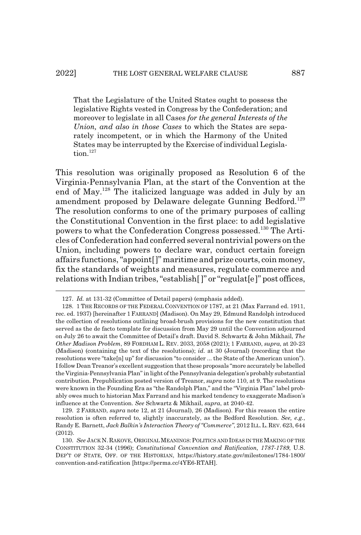That the Legislature of the United States ought to possess the legislative Rights vested in Congress by the Confederation; and moreover to legislate in all Cases *for the general Interests of the Union, and also in those Cases* to which the States are separately incompetent, or in which the Harmony of the United States may be interrupted by the Exercise of individual Legislation.<sup>127</sup>

This resolution was originally proposed as Resolution 6 of the Virginia-Pennsylvania Plan, at the start of the Convention at the end of May.<sup>128</sup> The italicized language was added in July by an amendment proposed by Delaware delegate Gunning Bedford.<sup>129</sup> The resolution conforms to one of the primary purposes of calling the Constitutional Convention in the first place: to add legislative powers to what the Confederation Congress possessed.130 The Articles of Confederation had conferred several nontrivial powers on the Union, including powers to declare war, conduct certain foreign affairs functions, "appoint[]" maritime and prize courts, coin money, fix the standards of weights and measures, regulate commerce and relations with Indian tribes, "establish[ ]" or "regulat[e]" post offices,

<sup>127.</sup> *Id.* at 131-32 (Committee of Detail papers) (emphasis added).

<sup>128. 1</sup> THE RECORDS OF THE FEDERAL CONVENTION OF 1787, at 21 (Max Farrand ed. 1911, rec. ed. 1937) [hereinafter 1 FARRAND] (Madison). On May 29, Edmund Randolph introduced the collection of resolutions outlining broad-brush provisions for the new constitution that served as the de facto template for discussion from May 29 until the Convention adjourned on July 26 to await the Committee of Detail's draft. David S. Schwartz & John Mikhail, *The Other Madison Problem*, 89 FORDHAM L. REV. 2033, 2058 (2021); 1 FARRAND, *supra*, at 20-23 (Madison) (containing the text of the resolutions); *id.* at 30 (Journal) (recording that the resolutions were "take[n] up" for discussion "to consider ... the State of the American union"). I follow Dean Treanor's excellent suggestion that these proposals "more accurately be labelled the Virginia-Pennsylvania Plan" in light of the Pennsylvania delegation's probably substantial contribution. Prepublication posted version of Treanor, *supra* note 110, at 9. The resolutions were known in the Founding Era as "the Randolph Plan," and the "Virginia Plan" label probably owes much to historian Max Farrand and his marked tendency to exaggerate Madison's influence at the Convention. *See* Schwartz & Mikhail, *supra*, at 2040-42.

<sup>129. 2</sup> FARRAND, *supra* note 12, at 21 (Journal), 26 (Madison). For this reason the entire resolution is often referred to, slightly inaccurately, as the Bedford Resolution. *See, e.g.*, Randy E. Barnett, *Jack Balkin's Interaction Theory of "Commerce"*, 2012 ILL.L.REV. 623, 644 (2012).

<sup>130.</sup> *See* JACK N. RAKOVE, ORIGINAL MEANINGS: POLITICS AND IDEAS IN THE MAKING OF THE CONSTITUTION 32-34 (1996); *Constitutional Convention and Ratification, 1787-1789*, U.S. DEP'T OF STATE, OFF. OF THE HISTORIAN, https://history.state.gov/milestones/1784-1800/ convention-and-ratification [https://perma.cc/4YE6-RTAH].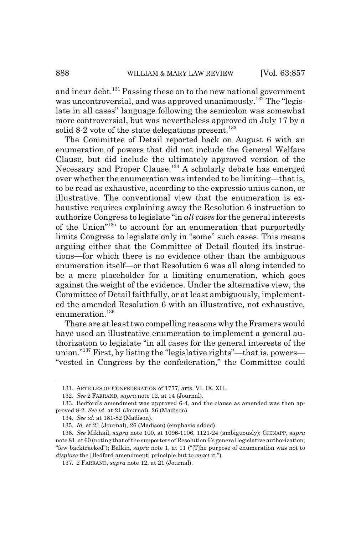and incur debt.131 Passing these on to the new national government was uncontroversial, and was approved unanimously.<sup>132</sup> The "legislate in all cases" language following the semicolon was somewhat more controversial, but was nevertheless approved on July 17 by a solid 8-2 vote of the state delegations present. $133$ 

The Committee of Detail reported back on August 6 with an enumeration of powers that did not include the General Welfare Clause, but did include the ultimately approved version of the Necessary and Proper Clause.<sup>134</sup> A scholarly debate has emerged over whether the enumeration was intended to be limiting—that is, to be read as exhaustive, according to the expressio unius canon, or illustrative. The conventional view that the enumeration is exhaustive requires explaining away the Resolution 6 instruction to authorize Congress to legislate "in *all cases* for the general interests of the Union"135 to account for an enumeration that purportedly limits Congress to legislate only in "some" such cases. This means arguing either that the Committee of Detail flouted its instructions—for which there is no evidence other than the ambiguous enumeration itself—or that Resolution 6 was all along intended to be a mere placeholder for a limiting enumeration, which goes against the weight of the evidence. Under the alternative view, the Committee of Detail faithfully, or at least ambiguously, implemented the amended Resolution 6 with an illustrative, not exhaustive, enumeration.<sup>136</sup>

There are at least two compelling reasons why the Framers would have used an illustrative enumeration to implement a general authorization to legislate "in all cases for the general interests of the union."137 First, by listing the "legislative rights"—that is, powers— "vested in Congress by the confederation," the Committee could

<sup>131.</sup> ARTICLES OF CONFEDERATION of 1777, arts. VI, IX, XII.

<sup>132.</sup> *See* 2 FARRAND, *supra* note 12, at 14 (Journal).

<sup>133.</sup> Bedford's amendment was approved 6-4, and the clause as amended was then approved 8-2. *See id.* at 21 (Journal), 26 (Madison).

<sup>134.</sup> *See id.* at 181-82 (Madison).

<sup>135.</sup> *Id.* at 21 (Journal), 26 (Madison) (emphasis added).

<sup>136.</sup> *See* Mikhail, *supra* note 100, at 1096-1106, 1121-24 (ambiguously); GIENAPP, *supra* note 81, at 60 (noting that of the supporters of Resolution 6's general legislative authorization, "few backtracked"); Balkin, *supra* note 1, at 11 ("[T]he purpose of enumeration was not to *displace* the [Bedford amendment] principle but to *enact* it.").

<sup>137. 2</sup> FARRAND, *supra* note 12, at 21 (Journal).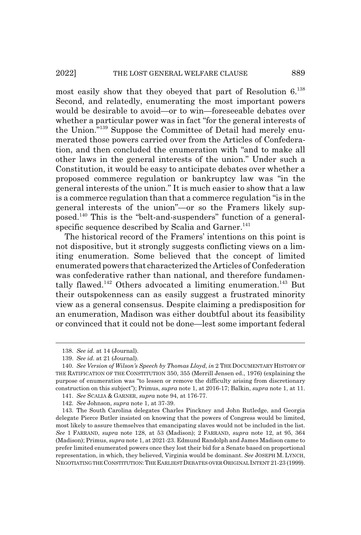most easily show that they obeyed that part of Resolution 6.138 Second, and relatedly, enumerating the most important powers would be desirable to avoid—or to win—foreseeable debates over whether a particular power was in fact "for the general interests of the Union."139 Suppose the Committee of Detail had merely enumerated those powers carried over from the Articles of Confederation, and then concluded the enumeration with "and to make all other laws in the general interests of the union." Under such a Constitution, it would be easy to anticipate debates over whether a proposed commerce regulation or bankruptcy law was "in the general interests of the union." It is much easier to show that a law is a commerce regulation than that a commerce regulation "is in the general interests of the union"—or so the Framers likely supposed.140 This is the "belt-and-suspenders" function of a generalspecific sequence described by Scalia and Garner. $141$ 

The historical record of the Framers' intentions on this point is not dispositive, but it strongly suggests conflicting views on a limiting enumeration. Some believed that the concept of limited enumerated powers that characterized the Articles of Confederation was confederative rather than national, and therefore fundamentally flawed.<sup>142</sup> Others advocated a limiting enumeration.<sup>143</sup> But their outspokenness can as easily suggest a frustrated minority view as a general consensus. Despite claiming a predisposition for an enumeration, Madison was either doubtful about its feasibility or convinced that it could not be done—lest some important federal

<sup>138.</sup> *See id.* at 14 (Journal).

<sup>139.</sup> *See id.* at 21 (Journal).

<sup>140.</sup> *See Version of Wilson's Speech by Thomas Lloyd*, *in* 2 THE DOCUMENTARY HISTORY OF THE RATIFICATION OF THE CONSTITUTION 350, 355 (Merrill Jensen ed., 1976) (explaining the purpose of enumeration was "to lessen or remove the difficulty arising from discretionary construction on this subject"); Primus, *supra* note 1, at 2016-17; Balkin, *supra* note 1, at 11.

<sup>141.</sup> *See* SCALIA & GARNER, *supra* note 94, at 176-77.

<sup>142.</sup> *See* Johnson, *supra* note 1, at 37-39.

<sup>143.</sup> The South Carolina delegates Charles Pinckney and John Rutledge, and Georgia delegate Pierce Butler insisted on knowing that the powers of Congress would be limited, most likely to assure themselves that emancipating slaves would not be included in the list. *See* 1 FARRAND, *supra* note 128, at 53 (Madison); 2 FARRAND, *supra* note 12, at 95, 364 (Madison); Primus, *supra* note 1, at 2021-23. Edmund Randolph and James Madison came to prefer limited enumerated powers once they lost their bid for a Senate based on proportional representation, in which, they believed, Virginia would be dominant. *See* JOSEPH M. LYNCH, NEGOTIATING THE CONSTITUTION:THE EARLIESTDEBATES OVER ORIGINAL INTENT 21-23 (1999).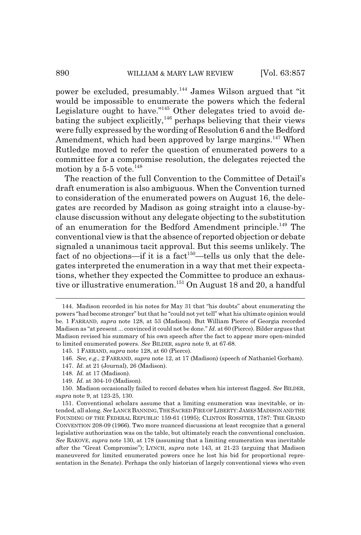power be excluded, presumably.144 James Wilson argued that "it would be impossible to enumerate the powers which the federal Legislature ought to have."<sup>145</sup> Other delegates tried to avoid debating the subject explicitly, $146$  perhaps believing that their views were fully expressed by the wording of Resolution 6 and the Bedford Amendment, which had been approved by large margins.<sup>147</sup> When Rutledge moved to refer the question of enumerated powers to a committee for a compromise resolution, the delegates rejected the motion by a  $5-5$  vote.<sup>148</sup>

The reaction of the full Convention to the Committee of Detail's draft enumeration is also ambiguous. When the Convention turned to consideration of the enumerated powers on August 16, the delegates are recorded by Madison as going straight into a clause-byclause discussion without any delegate objecting to the substitution of an enumeration for the Bedford Amendment principle.<sup>149</sup> The conventional view is that the absence of reported objection or debate signaled a unanimous tacit approval. But this seems unlikely. The fact of no objections—if it is a fact<sup>150</sup>—tells us only that the delegates interpreted the enumeration in a way that met their expectations, whether they expected the Committee to produce an exhaustive or illustrative enumeration.<sup>151</sup> On August 18 and 20, a handful

- 147. *Id.* at 21 (Journal), 26 (Madison).
- 148. *Id.* at 17 (Madison).

<sup>144.</sup> Madison recorded in his notes for May 31 that "his doubts" about enumerating the powers "had become stronger" but that he "could not yet tell" what his ultimate opinion would be. 1 FARRAND, *supra* note 128, at 53 (Madison). But William Pierce of Georgia recorded Madison as "at present ... convinced it could not be done." *Id.* at 60 (Pierce). Bilder argues that Madison revised his summary of his own speech after the fact to appear more open-minded to limited enumerated powers. *See* BILDER, *supra* note 9, at 67-68.

<sup>145. 1</sup> FARRAND, *supra* note 128, at 60 (Pierce).

<sup>146.</sup> *See, e.g.*, 2 FARRAND, *supra* note 12, at 17 (Madison) (speech of Nathaniel Gorham).

<sup>149.</sup> *Id.* at 304-10 (Madison).

<sup>150.</sup> Madison occasionally failed to record debates when his interest flagged. *See* BILDER, *supra* note 9, at 123-25, 130.

<sup>151.</sup> Conventional scholars assume that a limiting enumeration was inevitable, or intended, all along. *See* LANCE BANNING,THE SACRED FIRE OF LIBERTY:JAMESMADISON AND THE FOUNDING OF THE FEDERAL REPUBLIC 159-61 (1995); CLINTON ROSSITER, 1787: THE GRAND CONVENTION 208-09 (1966). Two more nuanced discussions at least recognize that a general legislative authorization was on the table, but ultimately reach the conventional conclusion. *See* RAKOVE, *supra* note 130, at 178 (assuming that a limiting enumeration was inevitable after the "Great Compromise"); LYNCH, *supra* note 143, at 21-23 (arguing that Madison maneuvered for limited enumerated powers once he lost his bid for proportional representation in the Senate). Perhaps the only historian of largely conventional views who even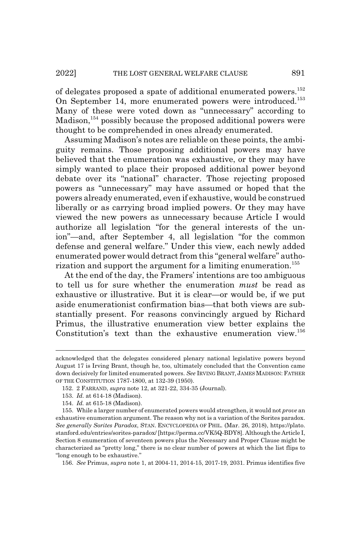of delegates proposed a spate of additional enumerated powers.<sup>152</sup> On September 14, more enumerated powers were introduced.<sup>153</sup> Many of these were voted down as "unnecessary" according to Madison,  $154$  possibly because the proposed additional powers were thought to be comprehended in ones already enumerated.

Assuming Madison's notes are reliable on these points, the ambiguity remains. Those proposing additional powers may have believed that the enumeration was exhaustive, or they may have simply wanted to place their proposed additional power beyond debate over its "national" character. Those rejecting proposed powers as "unnecessary" may have assumed or hoped that the powers already enumerated, even if exhaustive, would be construed liberally or as carrying broad implied powers. Or they may have viewed the new powers as unnecessary because Article I would authorize all legislation "for the general interests of the union"—and, after September 4, all legislation "for the common defense and general welfare." Under this view, each newly added enumerated power would detract from this "general welfare" authorization and support the argument for a limiting enumeration.<sup>155</sup>

At the end of the day, the Framers' intentions are too ambiguous to tell us for sure whether the enumeration *must* be read as exhaustive or illustrative. But it is clear—or would be, if we put aside enumerationist confirmation bias—that both views are substantially present. For reasons convincingly argued by Richard Primus, the illustrative enumeration view better explains the Constitution's text than the exhaustive enumeration view.156

156. *See* Primus, *supra* note 1, at 2004-11, 2014-15, 2017-19, 2031. Primus identifies five

acknowledged that the delegates considered plenary national legislative powers beyond August 17 is Irving Brant, though he, too, ultimately concluded that the Convention came down decisively for limited enumerated powers. *See* IRVING BRANT, JAMES MADISON: FATHER OF THE CONSTITUTION 1787-1800, at 132-39 (1950).

<sup>152. 2</sup> FARRAND, *supra* note 12, at 321-22, 334-35 (Journal).

<sup>153.</sup> *Id.* at 614-18 (Madison).

<sup>154.</sup> *Id.* at 615-18 (Madison).

<sup>155.</sup> While a larger number of enumerated powers would strengthen, it would not *prove* an exhaustive enumeration argument. The reason why not is a variation of the Sorites paradox. *See generally Sorites Paradox*, STAN. ENCYCLOPEDIA OF PHIL. (Mar. 26, 2018), https://plato. stanford.edu/entries/sorites-paradox/ [https://perma.cc/VK5Q-BDY8]. Although the Article I, Section 8 enumeration of seventeen powers plus the Necessary and Proper Clause might be characterized as "pretty long," there is no clear number of powers at which the list flips to "long enough to be exhaustive."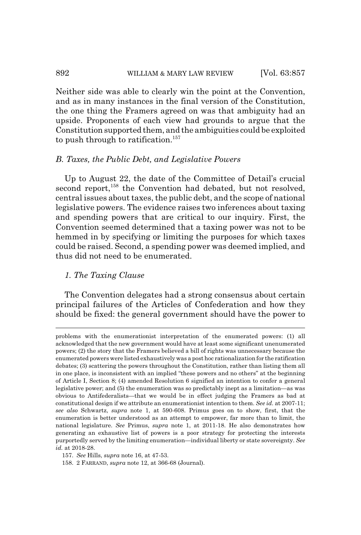### 892 WILLIAM & MARY LAW REVIEW [Vol. 63:857]

Neither side was able to clearly win the point at the Convention, and as in many instances in the final version of the Constitution, the one thing the Framers agreed on was that ambiguity had an upside. Proponents of each view had grounds to argue that the Constitution supported them, and the ambiguities could be exploited to push through to ratification.<sup>157</sup>

# *B. Taxes, the Public Debt, and Legislative Powers*

Up to August 22, the date of the Committee of Detail's crucial second report,<sup>158</sup> the Convention had debated, but not resolved, central issues about taxes, the public debt, and the scope of national legislative powers. The evidence raises two inferences about taxing and spending powers that are critical to our inquiry. First, the Convention seemed determined that a taxing power was not to be hemmed in by specifying or limiting the purposes for which taxes could be raised. Second, a spending power was deemed implied, and thus did not need to be enumerated.

## *1. The Taxing Clause*

The Convention delegates had a strong consensus about certain principal failures of the Articles of Confederation and how they should be fixed: the general government should have the power to

problems with the enumerationist interpretation of the enumerated powers: (1) all acknowledged that the new government would have at least some significant unenumerated powers; (2) the story that the Framers believed a bill of rights was unnecessary because the enumerated powers were listed exhaustively was a post hoc rationalization for the ratification debates; (3) scattering the powers throughout the Constitution, rather than listing them all in one place, is inconsistent with an implied "these powers and no others" at the beginning of Article I, Section 8; (4) amended Resolution 6 signified an intention to confer a general legislative power; and (5) the enumeration was so predictably inept as a limitation—as was obvious to Antifederalists—that we would be in effect judging the Framers as bad at constitutional design if we attribute an enumerationist intention to them. *See id.* at 2007-11; *see also* Schwartz, *supra* note 1, at 590-608. Primus goes on to show, first, that the enumeration is better understood as an attempt to empower, far more than to limit, the national legislature. *See* Primus, *supra* note 1, at 2011-18. He also demonstrates how generating an exhaustive list of powers is a poor strategy for protecting the interests purportedly served by the limiting enumeration—individual liberty or state sovereignty. *See id.* at 2018-28.

<sup>157.</sup> *See* Hills, *supra* note 16, at 47-53.

<sup>158. 2</sup> FARRAND, *supra* note 12, at 366-68 (Journal).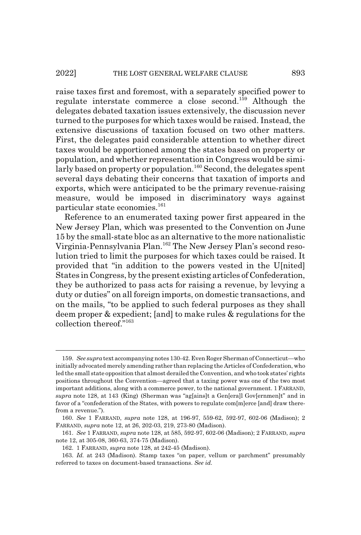raise taxes first and foremost, with a separately specified power to regulate interstate commerce a close second.<sup>159</sup> Although the delegates debated taxation issues extensively, the discussion never turned to the purposes for which taxes would be raised. Instead, the extensive discussions of taxation focused on two other matters. First, the delegates paid considerable attention to whether direct taxes would be apportioned among the states based on property or population, and whether representation in Congress would be similarly based on property or population.<sup>160</sup> Second, the delegates spent several days debating their concerns that taxation of imports and exports, which were anticipated to be the primary revenue-raising measure, would be imposed in discriminatory ways against particular state economies.<sup>161</sup>

Reference to an enumerated taxing power first appeared in the New Jersey Plan, which was presented to the Convention on June 15 by the small-state bloc as an alternative to the more nationalistic Virginia-Pennsylvania Plan.162 The New Jersey Plan's second resolution tried to limit the purposes for which taxes could be raised. It provided that "in addition to the powers vested in the U[nited] States in Congress, by the present existing articles of Confederation, they be authorized to pass acts for raising a revenue, by levying a duty or duties" on all foreign imports, on domestic transactions, and on the mails, "to be applied to such federal purposes as they shall deem proper & expedient; [and] to make rules & regulations for the collection thereof."163

<sup>159.</sup> *See supra* text accompanying notes 130-42. Even Roger Sherman of Connecticut—who initially advocated merely amending rather than replacing the Articles of Confederation, who led the small state opposition that almost derailed the Convention, and who took states' rights positions throughout the Convention—agreed that a taxing power was one of the two most important additions, along with a commerce power, to the national government. 1 FARRAND, *supra* note 128, at 143 (King) (Sherman was "ag[ains]t a Gen[era]l Gov[ernmen]t" and in favor of a "confederation of the States, with powers to regulate com[m]erce [and] draw therefrom a revenue.").

<sup>160.</sup> *See* 1 FARRAND, *supra* note 128, at 196-97, 559-62, 592-97, 602-06 (Madison); 2 FARRAND, *supra* note 12, at 26, 202-03, 219, 273-80 (Madison).

<sup>161.</sup> *See* 1 FARRAND, *supra* note 128, at 585, 592-97, 602-06 (Madison); 2 FARRAND, *supra* note 12, at 305-08, 360-63, 374-75 (Madison).

<sup>162. 1</sup> FARRAND, *supra* note 128, at 242-45 (Madison).

<sup>163.</sup> *Id.* at 243 (Madison). Stamp taxes "on paper, vellum or parchment" presumably referred to taxes on document-based transactions. *See id.*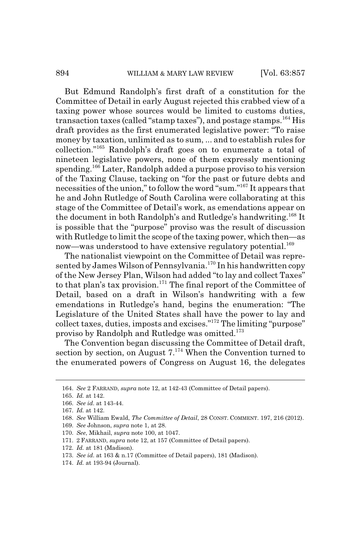#### 894 WILLIAM & MARY LAW REVIEW [Vol. 63:857

But Edmund Randolph's first draft of a constitution for the Committee of Detail in early August rejected this crabbed view of a taxing power whose sources would be limited to customs duties, transaction taxes (called "stamp taxes"), and postage stamps.<sup>164</sup> His draft provides as the first enumerated legislative power: "To raise money by taxation, unlimited as to sum, ... and to establish rules for collection."165 Randolph's draft goes on to enumerate a total of nineteen legislative powers, none of them expressly mentioning spending.166 Later, Randolph added a purpose proviso to his version of the Taxing Clause, tacking on "for the past or future debts and necessities of the union," to follow the word "sum."167 It appears that he and John Rutledge of South Carolina were collaborating at this stage of the Committee of Detail's work, as emendations appear on the document in both Randolph's and Rutledge's handwriting.168 It is possible that the "purpose" proviso was the result of discussion with Rutledge to limit the scope of the taxing power, which then—as now—was understood to have extensive regulatory potential.<sup>169</sup>

The nationalist viewpoint on the Committee of Detail was represented by James Wilson of Pennsylvania.<sup>170</sup> In his handwritten copy of the New Jersey Plan, Wilson had added "to lay and collect Taxes" to that plan's tax provision.<sup>171</sup> The final report of the Committee of Detail, based on a draft in Wilson's handwriting with a few emendations in Rutledge's hand, begins the enumeration: "The Legislature of the United States shall have the power to lay and collect taxes, duties, imposts and excises."172 The limiting "purpose" proviso by Randolph and Rutledge was omitted.173

The Convention began discussing the Committee of Detail draft, section by section, on August  $7.^{174}$  When the Convention turned to the enumerated powers of Congress on August 16, the delegates

170. *See*, Mikhail, *supra* note 100, at 1047.

<sup>164.</sup> *See* 2 FARRAND, *supra* note 12, at 142-43 (Committee of Detail papers).

<sup>165.</sup> *Id.* at 142.

<sup>166.</sup> *See id.* at 143-44.

<sup>167.</sup> *Id.* at 142.

<sup>168.</sup> *See* William Ewald, *The Committee of Detail*, 28 CONST. COMMENT. 197, 216 (2012).

<sup>169.</sup> *See* Johnson, *supra* note 1, at 28.

<sup>171. 2</sup> FARRAND, *supra* note 12, at 157 (Committee of Detail papers).

<sup>172.</sup> *Id.* at 181 (Madison).

<sup>173.</sup> *See id.* at 163 & n.17 (Committee of Detail papers), 181 (Madison).

<sup>174.</sup> *Id.* at 193-94 (Journal).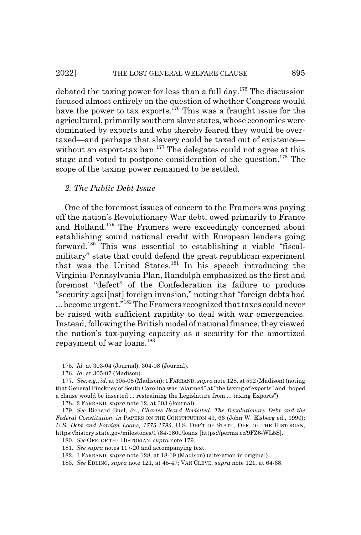debated the taxing power for less than a full day.175 The discussion focused almost entirely on the question of whether Congress would have the power to tax exports.<sup>176</sup> This was a fraught issue for the agricultural, primarily southern slave states, whose economies were dominated by exports and who thereby feared they would be overtaxed—and perhaps that slavery could be taxed out of existence without an export-tax ban.<sup>177</sup> The delegates could not agree at this stage and voted to postpone consideration of the question.<sup>178</sup> The scope of the taxing power remained to be settled.

#### *2. The Public Debt Issue*

One of the foremost issues of concern to the Framers was paying off the nation's Revolutionary War debt, owed primarily to France and Holland.179 The Framers were exceedingly concerned about establishing sound national credit with European lenders going forward.180 This was essential to establishing a viable "fiscalmilitary" state that could defend the great republican experiment that was the United States.181 In his speech introducing the Virginia-Pennsylvania Plan, Randolph emphasized as the first and foremost "defect" of the Confederation its failure to produce "security agai[nst] foreign invasion," noting that "foreign debts had ... become urgent."182 The Framers recognized that taxes could never be raised with sufficient rapidity to deal with war emergencies. Instead, following the British model of national finance, they viewed the nation's tax-paying capacity as a security for the amortized repayment of war loans.<sup>183</sup>

<sup>175.</sup> *Id.* at 303-04 (Journal), 304-08 (Journal).

<sup>176.</sup> *Id.* at 305-07 (Madison).

<sup>177.</sup> *See, e.g.*, *id.* at 305-08 (Madison); 1FARRAND, *supra* note 128, at 592 (Madison) (noting that General Pinckney of South Carolina was "alarmed" at "the taxing of exports" and "hoped a clause would be inserted ... restraining the Legislature from ... taxing Exports").

<sup>178. 2</sup> FARRAND, *supra* note 12, at 303 (Journal).

<sup>179.</sup> *See* Richard Buel, Jr., *Charles Beard Revisited: The Revolutionary Debt and the Federal Constitution*, *in* PAPERS ON THE CONSTITUTION 49, 66 (John W. Elsberg ed., 1990); *U.S. Debt and Foreign Loans, 1775-1795*, U.S. DEP'T OF STATE, OFF. OF THE HISTORIAN, https://history.state.gov/milestones/1784-1800/loans [https://perma.cc/9FZ6-WL5S].

<sup>180.</sup> *See* OFF. OF THE HISTORIAN, *supra* note 179.

<sup>181.</sup> *See supra* notes 117-20 and accompanying text.

<sup>182. 1</sup> FARRAND, *supra* note 128, at 18-19 (Madison) (alteration in original).

<sup>183.</sup> *See* EDLING, *supra* note 121, at 45-47; VAN CLEVE, *supra* note 121, at 64-68.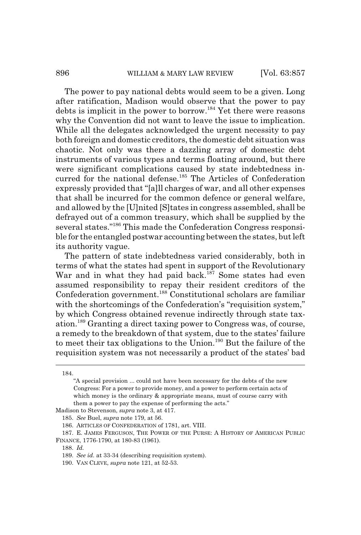The power to pay national debts would seem to be a given. Long after ratification, Madison would observe that the power to pay debts is implicit in the power to borrow.184 Yet there were reasons why the Convention did not want to leave the issue to implication. While all the delegates acknowledged the urgent necessity to pay both foreign and domestic creditors, the domestic debt situation was chaotic. Not only was there a dazzling array of domestic debt instruments of various types and terms floating around, but there were significant complications caused by state indebtedness incurred for the national defense.<sup>185</sup> The Articles of Confederation expressly provided that "[a]ll charges of war, and all other expenses that shall be incurred for the common defence or general welfare, and allowed by the [U]nited [S]tates in congress assembled, shall be defrayed out of a common treasury, which shall be supplied by the several states."186 This made the Confederation Congress responsible for the entangled postwar accounting between the states, but left its authority vague.

The pattern of state indebtedness varied considerably, both in terms of what the states had spent in support of the Revolutionary War and in what they had paid back.<sup>187</sup> Some states had even assumed responsibility to repay their resident creditors of the Confederation government.<sup>188</sup> Constitutional scholars are familiar with the shortcomings of the Confederation's "requisition system," by which Congress obtained revenue indirectly through state taxation.189 Granting a direct taxing power to Congress was, of course, a remedy to the breakdown of that system, due to the states' failure to meet their tax obligations to the Union.190 But the failure of the requisition system was not necessarily a product of the states' bad

Madison to Stevenson, *supra* note 3, at 417.

<sup>184.</sup>

<sup>&</sup>quot;A special provision ... could not have been necessary for the debts of the new Congress: For a power to provide money, and a power to perform certain acts of which money is the ordinary  $\&$  appropriate means, must of course carry with them a power to pay the expense of performing the acts."

<sup>185.</sup> *See* Buel, *supra* note 179, at 56.

<sup>186.</sup> ARTICLES OF CONFEDERATION of 1781, art. VIII.

<sup>187.</sup> E. JAMES FERGUSON, THE POWER OF THE PURSE: A HISTORY OF AMERICAN PUBLIC FINANCE, 1776-1790, at 180-83 (1961).

<sup>188.</sup> *Id.*

<sup>189.</sup> *See id.* at 33-34 (describing requisition system).

<sup>190.</sup> VAN CLEVE, *supra* note 121, at 52-53.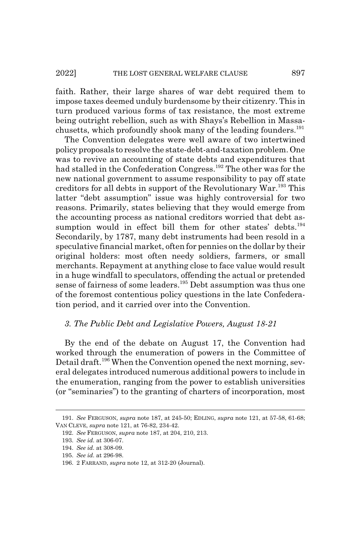faith. Rather, their large shares of war debt required them to impose taxes deemed unduly burdensome by their citizenry. This in turn produced various forms of tax resistance, the most extreme being outright rebellion, such as with Shays's Rebellion in Massachusetts, which profoundly shook many of the leading founders.<sup>191</sup>

The Convention delegates were well aware of two intertwined policy proposals to resolve the state-debt-and-taxation problem. One was to revive an accounting of state debts and expenditures that had stalled in the Confederation Congress.<sup>192</sup> The other was for the new national government to assume responsibility to pay off state creditors for all debts in support of the Revolutionary War.193 This latter "debt assumption" issue was highly controversial for two reasons. Primarily, states believing that they would emerge from the accounting process as national creditors worried that debt assumption would in effect bill them for other states' debts.<sup>194</sup> Secondarily, by 1787, many debt instruments had been resold in a speculative financial market, often for pennies on the dollar by their original holders: most often needy soldiers, farmers, or small merchants. Repayment at anything close to face value would result in a huge windfall to speculators, offending the actual or pretended sense of fairness of some leaders.<sup>195</sup> Debt assumption was thus one of the foremost contentious policy questions in the late Confederation period, and it carried over into the Convention.

# *3. The Public Debt and Legislative Powers, August 18-21*

By the end of the debate on August 17, the Convention had worked through the enumeration of powers in the Committee of Detail draft.<sup>196</sup> When the Convention opened the next morning, several delegates introduced numerous additional powers to include in the enumeration, ranging from the power to establish universities (or "seminaries") to the granting of charters of incorporation, most

<sup>191.</sup> *See* FERGUSON, *supra* note 187, at 245-50; EDLING, *supra* note 121, at 57-58, 61-68; VAN CLEVE, *supra* note 121, at 76-82, 234-42.

<sup>192.</sup> *See* FERGUSON, *supra* note 187, at 204, 210, 213.

<sup>193.</sup> *See id.* at 306-07.

<sup>194.</sup> *See id.* at 308-09.

<sup>195.</sup> *See id.* at 296-98.

<sup>196. 2</sup> FARRAND, *supra* note 12, at 312-20 (Journal).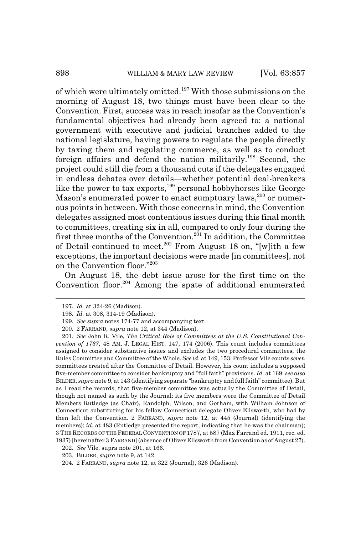of which were ultimately omitted.197 With those submissions on the morning of August 18, two things must have been clear to the Convention. First, success was in reach insofar as the Convention's fundamental objectives had already been agreed to: a national government with executive and judicial branches added to the national legislature, having powers to regulate the people directly by taxing them and regulating commerce, as well as to conduct foreign affairs and defend the nation militarily.<sup>198</sup> Second, the project could still die from a thousand cuts if the delegates engaged in endless debates over details—whether potential deal-breakers like the power to tax exports,<sup>199</sup> personal hobbyhorses like George Mason's enumerated power to enact sumptuary laws,<sup>200</sup> or numerous points in between. With those concerns in mind, the Convention delegates assigned most contentious issues during this final month to committees, creating six in all, compared to only four during the first three months of the Convention.<sup>201</sup> In addition, the Committee of Detail continued to meet.<sup>202</sup> From August 18 on, "[w]ith a few exceptions, the important decisions were made [in committees], not on the Convention floor."203

On August 18, the debt issue arose for the first time on the Convention floor.<sup>204</sup> Among the spate of additional enumerated

<sup>197.</sup> *Id.* at 324-26 (Madison).

<sup>198.</sup> *Id.* at 308, 314-19 (Madison).

<sup>199.</sup> *See supra* notes 174-77 and accompanying text.

<sup>200. 2</sup> FARRAND, *supra* note 12, at 344 (Madison).

<sup>201.</sup> *See* John R. Vile, *The Critical Role of Committees at the U.S. Constitutional Convention of 1787*, 48 AM. J. LEGAL HIST. 147, 174 (2006). This count includes committees assigned to consider substantive issues and excludes the two procedural committees, the Rules Committee and Committee of the Whole. *See id.* at 149, 153. Professor Vile counts *seven* committees created after the Committee of Detail. However, his count includes a supposed five-member committee to consider bankruptcy and "full faith" provisions. *Id.* at 169; *see also* BILDER, *supra* note 9, at 143 (identifying separate "bankruptcy and full faith" committee). But as I read the records, that five-member committee was actually the Committee of Detail, though not named as such by the Journal: its five members were the Committee of Detail Members Rutledge (as Chair), Randolph, Wilson, and Gorham, with William Johnson of Connecticut substituting for his fellow Connecticut delegate Oliver Ellsworth, who had by then left the Convention. 2 FARRAND, *supra* note 12, at 445 (Journal) (identifying the members); *id.* at 483 (Rutledge presented the report, indicating that he was the chairman); 3 THE RECORDS OF THE FEDERAL CONVENTION OF 1787, at 587 (Max Farrand ed. 1911, rec. ed. 1937) [hereinafter 3 FARRAND] (absence of Oliver Ellsworth from Convention as of August 27).

<sup>202.</sup> *See* Vile, supra note 201, at 166.

<sup>203.</sup> BILDER, *supra* note 9, at 142.

<sup>204. 2</sup> FARRAND, *supra* note 12, at 322 (Journal), 326 (Madison).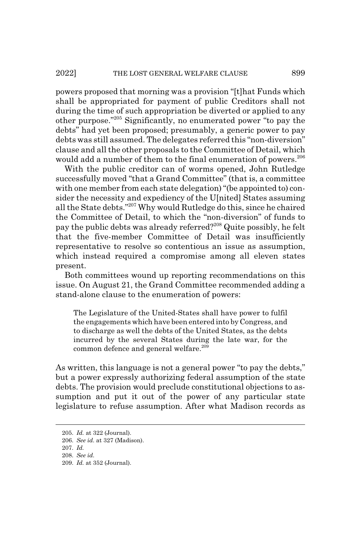powers proposed that morning was a provision "[t]hat Funds which shall be appropriated for payment of public Creditors shall not during the time of such appropriation be diverted or applied to any other purpose."205 Significantly, no enumerated power "to pay the debts" had yet been proposed; presumably, a generic power to pay debts was still assumed. The delegates referred this "non-diversion" clause and all the other proposals to the Committee of Detail, which would add a number of them to the final enumeration of powers.<sup>206</sup>

With the public creditor can of worms opened, John Rutledge successfully moved "that a Grand Committee" (that is, a committee with one member from each state delegation) "(be appointed to) consider the necessity and expediency of the U[nited] States assuming all the State debts."207 Why would Rutledge do this, since he chaired the Committee of Detail, to which the "non-diversion" of funds to pay the public debts was already referred?208 Quite possibly, he felt that the five-member Committee of Detail was insufficiently representative to resolve so contentious an issue as assumption, which instead required a compromise among all eleven states present.

Both committees wound up reporting recommendations on this issue. On August 21, the Grand Committee recommended adding a stand-alone clause to the enumeration of powers:

The Legislature of the United-States shall have power to fulfil the engagements which have been entered into by Congress, and to discharge as well the debts of the United States, as the debts incurred by the several States during the late war, for the common defence and general welfare.<sup>209</sup>

As written, this language is not a general power "to pay the debts," but a power expressly authorizing federal assumption of the state debts. The provision would preclude constitutional objections to assumption and put it out of the power of any particular state legislature to refuse assumption. After what Madison records as

<sup>205.</sup> *Id.* at 322 (Journal).

<sup>206.</sup> *See id.* at 327 (Madison).

<sup>207.</sup> *Id.*

<sup>208.</sup> *See id.*

<sup>209.</sup> *Id.* at 352 (Journal).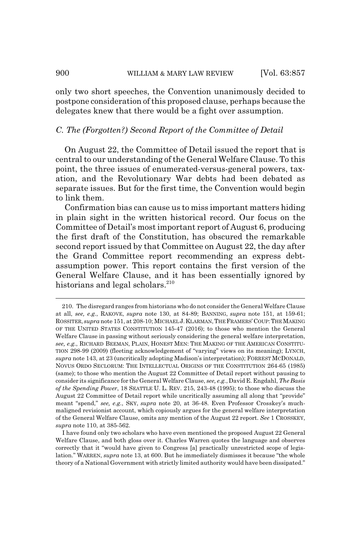only two short speeches, the Convention unanimously decided to postpone consideration of this proposed clause, perhaps because the delegates knew that there would be a fight over assumption.

### *C. The (Forgotten?) Second Report of the Committee of Detail*

On August 22, the Committee of Detail issued the report that is central to our understanding of the General Welfare Clause. To this point, the three issues of enumerated-versus-general powers, taxation, and the Revolutionary War debts had been debated as separate issues. But for the first time, the Convention would begin to link them.

Confirmation bias can cause us to miss important matters hiding in plain sight in the written historical record. Our focus on the Committee of Detail's most important report of August 6, producing the first draft of the Constitution, has obscured the remarkable second report issued by that Committee on August 22, the day after the Grand Committee report recommending an express debtassumption power. This report contains the first version of the General Welfare Clause, and it has been essentially ignored by historians and legal scholars. $210$ 

<sup>210.</sup> The disregard ranges from historians who do not consider the General Welfare Clause at all, *see, e.g.*, RAKOVE, *supra* note 130, at 84-89; BANNING, *supra* note 151, at 159-61; ROSSITER, *supra* note 151, at 208-10; MICHAEL J.KLARMAN,THE FRAMERS'COUP:THE MAKING OF THE UNITED STATES CONSTITUTION 145-47 (2016); to those who mention the General Welfare Clause in passing without seriously considering the general welfare interpretation, *see, e.g.*, RICHARD BEEMAN, PLAIN, HONEST MEN: THE MAKING OF THE AMERICAN CONSTITU-TION 298-99 (2009) (fleeting acknowledgement of "varying" views on its meaning); LYNCH, *supra* note 143, at 23 (uncritically adopting Madison's interpretation); FORREST MCDONALD, NOVUS ORDO SECLORUM: THE INTELLECTUAL ORIGINS OF THE CONSTITUTION 264-65 (1985) (same); to those who mention the August 22 Committee of Detail report without pausing to consider its significance for the General Welfare Clause, *see, e.g.*, David E. Engdahl, *The Basis of the Spending Power*, 18 SEATTLE U. L. REV. 215, 243-48 (1995); to those who discuss the August 22 Committee of Detail report while uncritically assuming all along that "provide" meant "spend," *see, e.g.*, SKY, *supra* note 20, at 36-48. Even Professor Crosskey's muchmaligned revisionist account, which copiously argues for the general welfare interpretation of the General Welfare Clause, omits any mention of the August 22 report. *See* 1 CROSSKEY, *supra* note 110, at 385-562.

I have found only two scholars who have even mentioned the proposed August 22 General Welfare Clause, and both gloss over it. Charles Warren quotes the language and observes correctly that it "would have given to Congress [a] practically unrestricted scope of legislation." WARREN, *supra* note 13, at 600. But he immediately dismisses it because "the whole theory of a National Government with strictly limited authority would have been dissipated."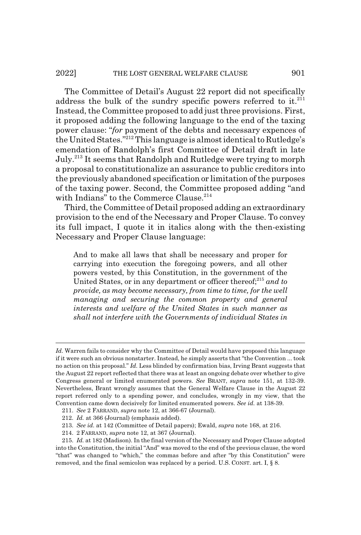The Committee of Detail's August 22 report did not specifically address the bulk of the sundry specific powers referred to it. $^{211}$ Instead, the Committee proposed to add just three provisions. First, it proposed adding the following language to the end of the taxing power clause: "*for* payment of the debts and necessary expences of the United States."212 This language is almost identical to Rutledge's emendation of Randolph's first Committee of Detail draft in late July.213 It seems that Randolph and Rutledge were trying to morph a proposal to constitutionalize an assurance to public creditors into the previously abandoned specification or limitation of the purposes of the taxing power. Second, the Committee proposed adding "and with Indians" to the Commerce Clause.<sup>214</sup>

Third, the Committee of Detail proposed adding an extraordinary provision to the end of the Necessary and Proper Clause. To convey its full impact, I quote it in italics along with the then-existing Necessary and Proper Clause language:

And to make all laws that shall be necessary and proper for carrying into execution the foregoing powers, and all other powers vested, by this Constitution, in the government of the United States, or in any department or officer thereof;<sup>215</sup> and to *provide, as may become necessary, from time to time, for the well managing and securing the common property and general interests and welfare of the United States in such manner as shall not interfere with the Governments of individual States in*

*Id.* Warren fails to consider why the Committee of Detail would have proposed this language if it were such an obvious nonstarter. Instead, he simply asserts that "the Convention ... took no action on this proposal." *Id.* Less blinded by confirmation bias, Irving Brant suggests that the August 22 report reflected that there was at least an ongoing debate over whether to give Congress general or limited enumerated powers. *See* BRANT, *supra* note 151, at 132-39. Nevertheless, Brant wrongly assumes that the General Welfare Clause in the August 22 report referred only to a spending power, and concludes, wrongly in my view, that the Convention came down decisively for limited enumerated powers. *See id.* at 138-39.

<sup>211.</sup> *See* 2 FARRAND, *supra* note 12, at 366-67 (Journal).

<sup>212.</sup> *Id.* at 366 (Journal) (emphasis added).

<sup>213.</sup> *See id.* at 142 (Committee of Detail papers); Ewald, *supra* note 168, at 216.

<sup>214. 2</sup> FARRAND, *supra* note 12, at 367 (Journal).

<sup>215.</sup> *Id.* at 182 (Madison). In the final version of the Necessary and Proper Clause adopted into the Constitution, the initial "And" was moved to the end of the previous clause, the word "that" was changed to "which," the commas before and after "by this Constitution" were removed, and the final semicolon was replaced by a period. U.S. CONST. art. I, § 8.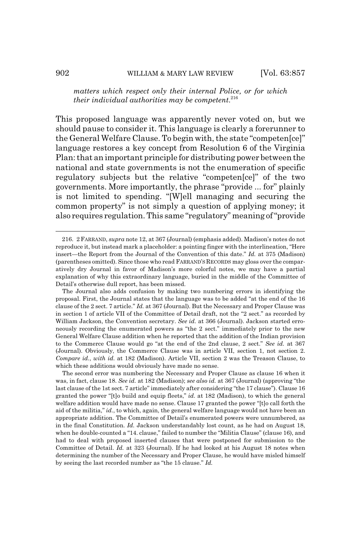*matters which respect only their internal Police, or for which their individual authorities may be competent*. 216

This proposed language was apparently never voted on, but we should pause to consider it. This language is clearly a forerunner to the General Welfare Clause. To begin with, the state "competen[ce]" language restores a key concept from Resolution 6 of the Virginia Plan: that an important principle for distributing power between the national and state governments is not the enumeration of specific regulatory subjects but the relative "competen[ce]" of the two governments. More importantly, the phrase "provide ... for" plainly is not limited to spending. "[W]ell managing and securing the common property" is not simply a question of applying money; it also requires regulation. This same "regulatory" meaning of "provide

The second error was numbering the Necessary and Proper Clause as clause 16 when it was, in fact, clause 18. *See id.* at 182 (Madison); *see also id.* at 367 (Journal) (approving "the last clause of the 1st sect. 7 article" immediately after considering "the 17 clause"). Clause 16 granted the power "[t]o build and equip fleets," *id.* at 182 (Madison), to which the general welfare addition would have made no sense. Clause 17 granted the power "[t]o call forth the aid of the militia," *id.*, to which, again, the general welfare language would not have been an appropriate addition. The Committee of Detail's enumerated powers were unnumbered, as in the final Constitution. *Id.* Jackson understandably lost count, as he had on August 18, when he double-counted a "14. clause," failed to number the "Militia Clause" (clause 16), and had to deal with proposed inserted clauses that were postponed for submission to the Committee of Detail. *Id.* at 323 (Journal). If he had looked at his August 18 notes when determining the number of the Necessary and Proper Clause, he would have misled himself by seeing the last recorded number as "the 15 clause." *Id.*

<sup>216. 2</sup> FARRAND, *supra* note 12, at 367 (Journal) (emphasis added). Madison's notes do not reproduce it, but instead mark a placeholder: a pointing finger with the interlineation, "Here insert—the Report from the Journal of the Convention of this date." *Id.* at 375 (Madison) (parentheses omitted). Since those who read FARRAND'S RECORDS may gloss over the comparatively dry Journal in favor of Madison's more colorful notes, we may have a partial explanation of why this extraordinary language, buried in the middle of the Committee of Detail's otherwise dull report, has been missed.

The Journal also adds confusion by making two numbering errors in identifying the proposal. First, the Journal states that the language was to be added "at the end of the 16 clause of the 2 sect. 7 article." *Id.* at 367 (Journal). But the Necessary and Proper Clause was in section 1 of article VII of the Committee of Detail draft, not the "2 sect." as recorded by William Jackson, the Convention secretary. *See id.* at 366 (Journal). Jackson started erroneously recording the enumerated powers as "the 2 sect." immediately prior to the new General Welfare Clause addition when he reported that the addition of the Indian provision to the Commerce Clause would go "at the end of the 2nd clause, 2 sect." *See id.* at 367 (Journal). Obviously, the Commerce Clause was in article VII, section 1, not section 2. *Compare id.*, *with id.* at 182 (Madison). Article VII, section 2 was the Treason Clause, to which these additions would obviously have made no sense.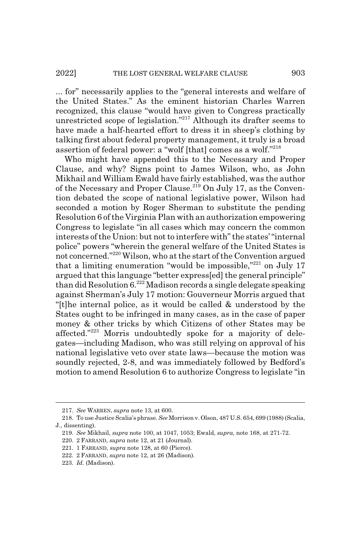... for" necessarily applies to the "general interests and welfare of the United States." As the eminent historian Charles Warren recognized, this clause "would have given to Congress practically unrestricted scope of legislation."217 Although its drafter seems to have made a half-hearted effort to dress it in sheep's clothing by talking first about federal property management, it truly is a broad assertion of federal power: a "wolf [that] comes as a wolf."218

Who might have appended this to the Necessary and Proper Clause, and why? Signs point to James Wilson, who, as John Mikhail and William Ewald have fairly established, was the author of the Necessary and Proper Clause.<sup>219</sup> On July 17, as the Convention debated the scope of national legislative power, Wilson had seconded a motion by Roger Sherman to substitute the pending Resolution 6 of the Virginia Plan with an authorization empowering Congress to legislate "in all cases which may concern the common interests of the Union: but not to interfere with" the states' "internal police" powers "wherein the general welfare of the United States is not concerned."220 Wilson, who at the start of the Convention argued that a limiting enumeration "would be impossible," $221$  on July 17 argued that this language "better express[ed] the general principle" than did Resolution  $6^{222}$  Madison records a single delegate speaking against Sherman's July 17 motion: Gouverneur Morris argued that "[t]he internal police, as it would be called & understood by the States ought to be infringed in many cases, as in the case of paper money & other tricks by which Citizens of other States may be affected."223 Morris undoubtedly spoke for a majority of delegates—including Madison, who was still relying on approval of his national legislative veto over state laws—because the motion was soundly rejected, 2-8, and was immediately followed by Bedford's motion to amend Resolution 6 to authorize Congress to legislate "in

<sup>217.</sup> *See* WARREN, *supra* note 13, at 600.

<sup>218.</sup> To use Justice Scalia's phrase. *See* Morrison v. Olson, 487 U.S. 654, 699 (1988) (Scalia, J., dissenting).

<sup>219.</sup> *See* Mikhail, *supra* note 100, at 1047, 1053; Ewald, *supra*, note 168, at 271-72.

<sup>220. 2</sup> FARRAND, *supra* note 12, at 21 (Journal).

<sup>221. 1</sup> FARRAND, *supra* note 128, at 60 (Pierce).

<sup>222. 2</sup> FARRAND, *supra* note 12, at 26 (Madison).

<sup>223.</sup> *Id.* (Madison).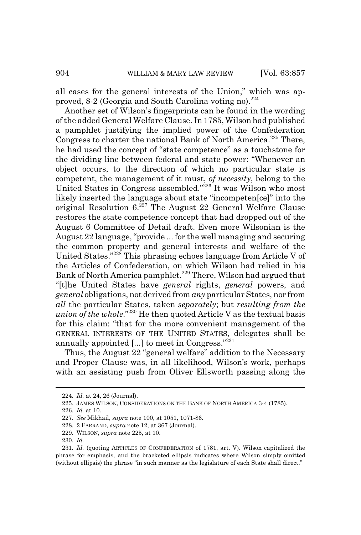all cases for the general interests of the Union," which was approved, 8-2 (Georgia and South Carolina voting no). $^{224}$ 

Another set of Wilson's fingerprints can be found in the wording of the added General Welfare Clause. In 1785, Wilson had published a pamphlet justifying the implied power of the Confederation Congress to charter the national Bank of North America.<sup>225</sup> There, he had used the concept of "state competence" as a touchstone for the dividing line between federal and state power: "Whenever an object occurs, to the direction of which no particular state is competent, the management of it must, *of necessity*, belong to the United States in Congress assembled."226 It was Wilson who most likely inserted the language about state "incompeten[ce]" into the original Resolution  $6^{227}$  The August 22 General Welfare Clause restores the state competence concept that had dropped out of the August 6 Committee of Detail draft. Even more Wilsonian is the August 22 language, "provide ... for the well managing and securing the common property and general interests and welfare of the United States."228 This phrasing echoes language from Article V of the Articles of Confederation, on which Wilson had relied in his Bank of North America pamphlet.<sup>229</sup> There, Wilson had argued that "[t]he United States have *general* rights, *general* powers, and *general* obligations, not derived from *any* particular States, nor from *all* the particular States, taken *separately*; but *resulting from the union of the whole*."230 He then quoted Article V as the textual basis for this claim: "that for the more convenient management of the GENERAL INTERESTS OF THE UNITED STATES, delegates shall be annually appointed [...] to meet in Congress."231

Thus, the August 22 "general welfare" addition to the Necessary and Proper Clause was, in all likelihood, Wilson's work, perhaps with an assisting push from Oliver Ellsworth passing along the

<sup>224.</sup> *Id.* at 24, 26 (Journal).

<sup>225.</sup> JAMES WILSON, CONSIDERATIONS ON THE BANK OF NORTH AMERICA 3-4 (1785).

<sup>226.</sup> *Id.* at 10.

<sup>227.</sup> *See* Mikhail, *supra* note 100, at 1051, 1071-86.

<sup>228. 2</sup> FARRAND, *supra* note 12, at 367 (Journal).

<sup>229.</sup> WILSON, *supra* note 225, at 10.

<sup>230.</sup> *Id.*

<sup>231.</sup> *Id.* (quoting ARTICLES OF CONFEDERATION of 1781, art. V). Wilson capitalized the phrase for emphasis, and the bracketed ellipsis indicates where Wilson simply omitted (without ellipsis) the phrase "in such manner as the legislature of each State shall direct."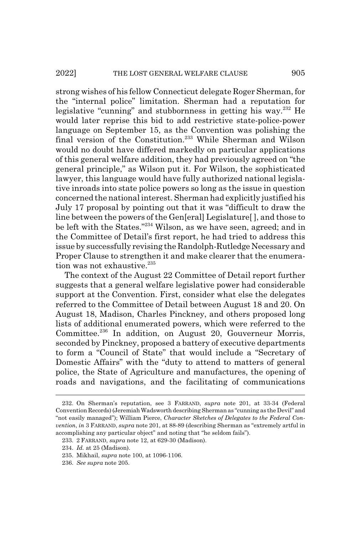strong wishes of his fellow Connecticut delegate Roger Sherman, for the "internal police" limitation. Sherman had a reputation for legislative "cunning" and stubbornness in getting his way.<sup>232</sup> He would later reprise this bid to add restrictive state-police-power language on September 15, as the Convention was polishing the final version of the Constitution.<sup>233</sup> While Sherman and Wilson would no doubt have differed markedly on particular applications of this general welfare addition, they had previously agreed on "the general principle," as Wilson put it. For Wilson, the sophisticated lawyer, this language would have fully authorized national legislative inroads into state police powers so long as the issue in question concerned the national interest. Sherman had explicitly justified his July 17 proposal by pointing out that it was "difficult to draw the line between the powers of the Gen[eral] Legislature[ ], and those to be left with the States."234 Wilson, as we have seen, agreed; and in the Committee of Detail's first report, he had tried to address this issue by successfully revising the Randolph-Rutledge Necessary and Proper Clause to strengthen it and make clearer that the enumeration was not exhaustive.<sup>235</sup>

The context of the August 22 Committee of Detail report further suggests that a general welfare legislative power had considerable support at the Convention. First, consider what else the delegates referred to the Committee of Detail between August 18 and 20. On August 18, Madison, Charles Pinckney, and others proposed long lists of additional enumerated powers, which were referred to the Committee.236 In addition, on August 20, Gouverneur Morris, seconded by Pinckney, proposed a battery of executive departments to form a "Council of State" that would include a "Secretary of Domestic Affairs" with the "duty to attend to matters of general police, the State of Agriculture and manufactures, the opening of roads and navigations, and the facilitating of communications

<sup>232.</sup> On Sherman's reputation, see 3 FARRAND, *supra* note 201, at 33-34 (Federal Convention Records) (Jeremiah Wadsworth describing Sherman as "cunning as the Devil" and "not easily managed"); William Pierce, *Character Sketches of Delegates to the Federal Convention*, *in* 3 FARRAND, *supra* note 201, at 88-89 (describing Sherman as "extremely artful in accomplishing any particular object" and noting that "he seldom fails").

<sup>233. 2</sup> FARRAND, *supra* note 12, at 629-30 (Madison).

<sup>234.</sup> *Id.* at 25 (Madison).

<sup>235.</sup> Mikhail, *supra* note 100, at 1096-1106.

<sup>236.</sup> *See supra* note 205.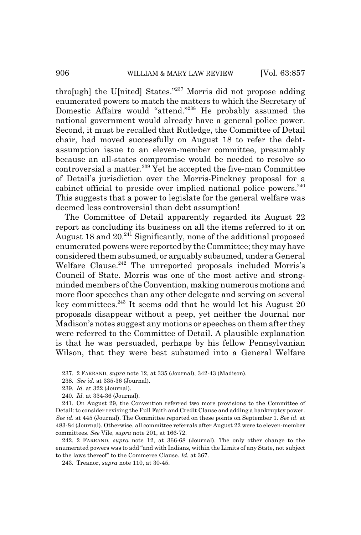thro[ugh] the U[nited] States."237 Morris did not propose adding enumerated powers to match the matters to which the Secretary of Domestic Affairs would "attend."238 He probably assumed the national government would already have a general police power. Second, it must be recalled that Rutledge, the Committee of Detail chair, had moved successfully on August 18 to refer the debtassumption issue to an eleven-member committee, presumably because an all-states compromise would be needed to resolve so controversial a matter.<sup>239</sup> Yet he accepted the five-man Committee of Detail's jurisdiction over the Morris-Pinckney proposal for a cabinet official to preside over implied national police powers.<sup>240</sup> This suggests that a power to legislate for the general welfare was deemed less controversial than debt assumption!

The Committee of Detail apparently regarded its August 22 report as concluding its business on all the items referred to it on August 18 and 20.<sup>241</sup> Significantly, none of the additional proposed enumerated powers were reported by the Committee; they may have considered them subsumed, or arguably subsumed, under a General Welfare Clause.<sup>242</sup> The unreported proposals included Morris's Council of State. Morris was one of the most active and strongminded members of the Convention, making numerous motions and more floor speeches than any other delegate and serving on several key committees.243 It seems odd that he would let his August 20 proposals disappear without a peep, yet neither the Journal nor Madison's notes suggest any motions or speeches on them after they were referred to the Committee of Detail. A plausible explanation is that he was persuaded, perhaps by his fellow Pennsylvanian Wilson, that they were best subsumed into a General Welfare

<sup>237. 2</sup> FARRAND, *supra* note 12, at 335 (Journal), 342-43 (Madison).

<sup>238.</sup> *See id.* at 335-36 (Journal).

<sup>239.</sup> *Id.* at 322 (Journal).

<sup>240.</sup> *Id.* at 334-36 (Journal).

<sup>241.</sup> On August 29, the Convention referred two more provisions to the Committee of Detail: to consider revising the Full Faith and Credit Clause and adding a bankruptcy power. *See id.* at 445 (Journal). The Committee reported on these points on September 1. *See id.* at 483-84 (Journal). Otherwise, all committee referrals after August 22 were to eleven-member committees. *See* Vile, *supra* note 201, at 166-72.

<sup>242. 2</sup> FARRAND, *supra* note 12, at 366-68 (Journal). The only other change to the enumerated powers was to add "and with Indians, within the Limits of any State, not subject to the laws thereof" to the Commerce Clause. *Id.* at 367.

<sup>243.</sup> Treanor, *supra* note 110, at 30-45.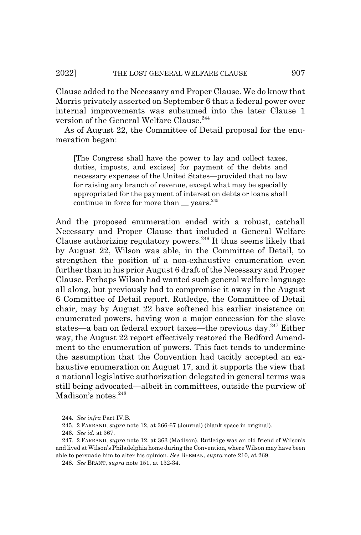Clause added to the Necessary and Proper Clause. We do know that Morris privately asserted on September 6 that a federal power over internal improvements was subsumed into the later Clause 1 version of the General Welfare Clause.<sup>244</sup>

As of August 22, the Committee of Detail proposal for the enumeration began:

[The Congress shall have the power to lay and collect taxes, duties, imposts, and excises] for payment of the debts and necessary expenses of the United States—provided that no law for raising any branch of revenue, except what may be specially appropriated for the payment of interest on debts or loans shall continue in force for more than vears. $245$ 

And the proposed enumeration ended with a robust, catchall Necessary and Proper Clause that included a General Welfare Clause authorizing regulatory powers.<sup>246</sup> It thus seems likely that by August 22, Wilson was able, in the Committee of Detail, to strengthen the position of a non-exhaustive enumeration even further than in his prior August 6 draft of the Necessary and Proper Clause. Perhaps Wilson had wanted such general welfare language all along, but previously had to compromise it away in the August 6 Committee of Detail report. Rutledge, the Committee of Detail chair, may by August 22 have softened his earlier insistence on enumerated powers, having won a major concession for the slave states—a ban on federal export taxes—the previous day. $247$  Either way, the August 22 report effectively restored the Bedford Amendment to the enumeration of powers. This fact tends to undermine the assumption that the Convention had tacitly accepted an exhaustive enumeration on August 17, and it supports the view that a national legislative authorization delegated in general terms was still being advocated—albeit in committees, outside the purview of Madison's notes.<sup>248</sup>

<sup>244.</sup> *See infra* Part IV.B.

<sup>245. 2</sup> FARRAND, *supra* note 12, at 366-67 (Journal) (blank space in original).

<sup>246.</sup> *See id.* at 367.

<sup>247. 2</sup> FARRAND, *supra* note 12, at 363 (Madison). Rutledge was an old friend of Wilson's and lived at Wilson's Philadelphia home during the Convention, where Wilson may have been able to persuade him to alter his opinion. *See* BEEMAN, *supra* note 210, at 269.

<sup>248.</sup> *See* BRANT, *supra* note 151, at 132-34.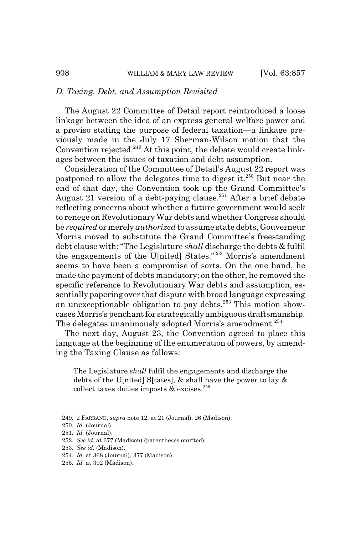### *D. Taxing, Debt, and Assumption Revisited*

The August 22 Committee of Detail report reintroduced a loose linkage between the idea of an express general welfare power and a proviso stating the purpose of federal taxation—a linkage previously made in the July 17 Sherman-Wilson motion that the Convention rejected. $249$  At this point, the debate would create linkages between the issues of taxation and debt assumption.

Consideration of the Committee of Detail's August 22 report was postponed to allow the delegates time to digest it.<sup>250</sup> But near the end of that day, the Convention took up the Grand Committee's August 21 version of a debt-paying clause.<sup>251</sup> After a brief debate reflecting concerns about whether a future government would seek to renege on Revolutionary War debts and whether Congress should be *required* or merely *authorized* to assume state debts, Gouverneur Morris moved to substitute the Grand Committee's freestanding debt clause with: "The Legislature *shall* discharge the debts & fulfil the engagements of the U[nited] States."252 Morris's amendment seems to have been a compromise of sorts. On the one hand, he made the payment of debts mandatory; on the other, he removed the specific reference to Revolutionary War debts and assumption, essentially papering over that dispute with broad language expressing an unexceptionable obligation to pay debts.253 This motion showcases Morris's penchant for strategically ambiguous draftsmanship. The delegates unanimously adopted Morris's amendment.<sup>254</sup>

The next day, August 23, the Convention agreed to place this language at the beginning of the enumeration of powers, by amending the Taxing Clause as follows:

The Legislature *shall* fulfil the engagements and discharge the debts of the U[nited] S[tates], & shall have the power to lay & collect taxes duties imposts  $&$  excises.<sup>255</sup>

<sup>249. 2</sup> FARRAND, *supra* note 12, at 21 (Journal), 26 (Madison).

<sup>250.</sup> *Id.* (Journal).

<sup>251.</sup> *Id.* (Journal).

<sup>252.</sup> *See id.* at 377 (Madison) (parentheses omitted).

<sup>253.</sup> *See id.* (Madison).

<sup>254.</sup> *Id.* at 368 (Journal), 377 (Madison).

<sup>255.</sup> *Id.* at 392 (Madison).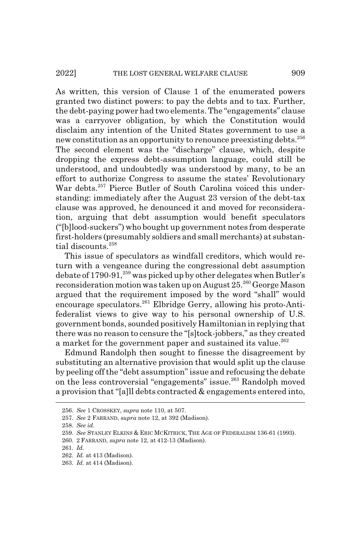As written, this version of Clause 1 of the enumerated powers granted two distinct powers: to pay the debts and to tax. Further, the debt-paying power had two elements. The "engagements" clause was a carryover obligation, by which the Constitution would disclaim any intention of the United States government to use a new constitution as an opportunity to renounce preexisting debts.<sup>256</sup> The second element was the "discharge" clause, which, despite dropping the express debt-assumption language, could still be understood, and undoubtedly was understood by many, to be an effort to authorize Congress to assume the states' Revolutionary War debts.<sup>257</sup> Pierce Butler of South Carolina voiced this understanding: immediately after the August 23 version of the debt-tax clause was approved, he denounced it and moved for reconsideration, arguing that debt assumption would benefit speculators ("[b]lood-suckers") who bought up government notes from desperate first-holders (presumably soldiers and small merchants) at substantial discounts.<sup>258</sup>

This issue of speculators as windfall creditors, which would return with a vengeance during the congressional debt assumption debate of  $1790-91$ ,<sup>259</sup> was picked up by other delegates when Butler's reconsideration motion was taken up on August 25.<sup>260</sup> George Mason argued that the requirement imposed by the word "shall" would encourage speculators.<sup>261</sup> Elbridge Gerry, allowing his proto-Antifederalist views to give way to his personal ownership of U.S. government bonds, sounded positively Hamiltonian in replying that there was no reason to censure the "[s]tock-jobbers," as they created a market for the government paper and sustained its value.<sup>262</sup>

Edmund Randolph then sought to finesse the disagreement by substituting an alternative provision that would split up the clause by peeling off the "debt assumption" issue and refocusing the debate on the less controversial "engagements" issue.<sup>263</sup> Randolph moved a provision that "[a]ll debts contracted & engagements entered into,

<sup>256.</sup> *See* 1 CROSSKEY, *supra* note 110, at 507.

<sup>257.</sup> *See* 2 FARRAND, *supra* note 12, at 392 (Madison).

<sup>258.</sup> *See id.*

<sup>259.</sup> *See* STANLEY ELKINS & ERIC MCKITRICK, THE AGE OF FEDERALISM 136-61 (1993).

<sup>260. 2</sup> FARRAND, *supra* note 12, at 412-13 (Madison).

<sup>261.</sup> *Id.*

<sup>262.</sup> *Id.* at 413 (Madison).

<sup>263.</sup> *Id.* at 414 (Madison).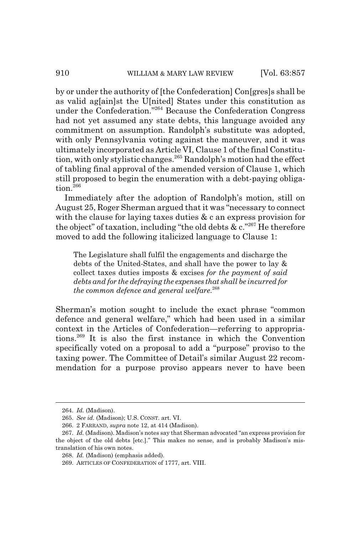by or under the authority of [the Confederation] Con[gres]s shall be as valid ag[ain]st the U[nited] States under this constitution as under the Confederation."264 Because the Confederation Congress had not yet assumed any state debts, this language avoided any commitment on assumption. Randolph's substitute was adopted, with only Pennsylvania voting against the maneuver, and it was ultimately incorporated as Article VI, Clause 1 of the final Constitution, with only stylistic changes.265 Randolph's motion had the effect of tabling final approval of the amended version of Clause 1, which still proposed to begin the enumeration with a debt-paying obligation.<sup>266</sup>

Immediately after the adoption of Randolph's motion, still on August 25, Roger Sherman argued that it was "necessary to connect with the clause for laying taxes duties & c an express provision for the object" of taxation, including "the old debts  $\&c$ ."<sup>267</sup> He therefore moved to add the following italicized language to Clause 1:

The Legislature shall fulfil the engagements and discharge the debts of the United-States, and shall have the power to lay & collect taxes duties imposts & excises *for the payment of said debts and for the defraying the expenses that shall be incurred for the common defence and general welfare*. 268

Sherman's motion sought to include the exact phrase "common defence and general welfare," which had been used in a similar context in the Articles of Confederation—referring to appropriations.269 It is also the first instance in which the Convention specifically voted on a proposal to add a "purpose" proviso to the taxing power. The Committee of Detail's similar August 22 recommendation for a purpose proviso appears never to have been

<sup>264.</sup> *Id.* (Madison).

<sup>265.</sup> *See id.* (Madison); U.S. CONST. art. VI.

<sup>266. 2</sup> FARRAND, *supra* note 12, at 414 (Madison).

<sup>267.</sup> *Id.* (Madison). Madison's notes say that Sherman advocated "an express provision for the object of the old debts [etc.]." This makes no sense, and is probably Madison's mistranslation of his own notes.

<sup>268.</sup> *Id.* (Madison) (emphasis added).

<sup>269.</sup> ARTICLES OF CONFEDERATION of 1777, art. VIII.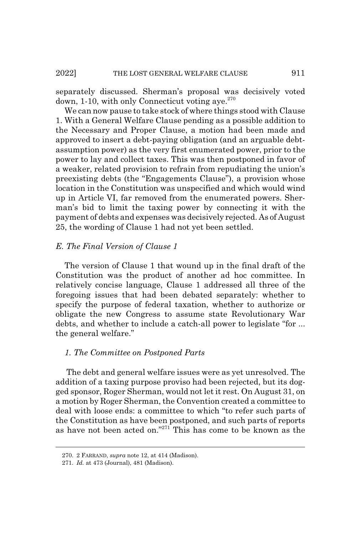separately discussed. Sherman's proposal was decisively voted down, 1-10, with only Connecticut voting ave. $270$ 

We can now pause to take stock of where things stood with Clause 1. With a General Welfare Clause pending as a possible addition to the Necessary and Proper Clause, a motion had been made and approved to insert a debt-paying obligation (and an arguable debtassumption power) as the very first enumerated power, prior to the power to lay and collect taxes. This was then postponed in favor of a weaker, related provision to refrain from repudiating the union's preexisting debts (the "Engagements Clause"), a provision whose location in the Constitution was unspecified and which would wind up in Article VI, far removed from the enumerated powers. Sherman's bid to limit the taxing power by connecting it with the payment of debts and expenses was decisively rejected. As of August 25, the wording of Clause 1 had not yet been settled.

## *E. The Final Version of Clause 1*

The version of Clause 1 that wound up in the final draft of the Constitution was the product of another ad hoc committee. In relatively concise language, Clause 1 addressed all three of the foregoing issues that had been debated separately: whether to specify the purpose of federal taxation, whether to authorize or obligate the new Congress to assume state Revolutionary War debts, and whether to include a catch-all power to legislate "for ... the general welfare."

#### *1. The Committee on Postponed Parts*

 The debt and general welfare issues were as yet unresolved. The addition of a taxing purpose proviso had been rejected, but its dogged sponsor, Roger Sherman, would not let it rest. On August 31, on a motion by Roger Sherman, the Convention created a committee to deal with loose ends: a committee to which "to refer such parts of the Constitution as have been postponed, and such parts of reports as have not been acted on."271 This has come to be known as the

<sup>270. 2</sup> FARRAND, *supra* note 12, at 414 (Madison).

<sup>271.</sup> *Id.* at 473 (Journal), 481 (Madison).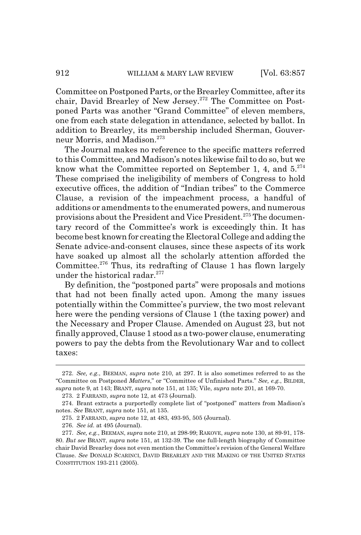Committee on Postponed Parts, or the Brearley Committee, after its chair, David Brearley of New Jersey.<sup>272</sup> The Committee on Postponed Parts was another "Grand Committee" of eleven members, one from each state delegation in attendance, selected by ballot. In addition to Brearley, its membership included Sherman, Gouverneur Morris, and Madison.273

The Journal makes no reference to the specific matters referred to this Committee, and Madison's notes likewise fail to do so, but we know what the Committee reported on September 1, 4, and  $5.^{274}$ These comprised the ineligibility of members of Congress to hold executive offices, the addition of "Indian tribes" to the Commerce Clause, a revision of the impeachment process, a handful of additions or amendments to the enumerated powers, and numerous provisions about the President and Vice President.<sup>275</sup> The documentary record of the Committee's work is exceedingly thin. It has become best known for creating the Electoral College and adding the Senate advice-and-consent clauses, since these aspects of its work have soaked up almost all the scholarly attention afforded the Committee.276 Thus, its redrafting of Clause 1 has flown largely under the historical radar.<sup>277</sup>

By definition, the "postponed parts" were proposals and motions that had not been finally acted upon. Among the many issues potentially within the Committee's purview, the two most relevant here were the pending versions of Clause 1 (the taxing power) and the Necessary and Proper Clause. Amended on August 23, but not finally approved, Clause 1 stood as a two-power clause, enumerating powers to pay the debts from the Revolutionary War and to collect taxes:

<sup>272.</sup> *See, e.g.*, BEEMAN, *supra* note 210, at 297. It is also sometimes referred to as the "Committee on Postponed *Matters*," or "Committee of Unfinished Parts." *See, e.g.*, BILDER, *supra* note 9, at 143; BRANT, *supra* note 151, at 135; Vile, *supra* note 201, at 169-70.

<sup>273. 2</sup> FARRAND, *supra* note 12, at 473 (Journal).

<sup>274.</sup> Brant extracts a purportedly complete list of "postponed" matters from Madison's notes. *See* BRANT, *supra* note 151, at 135.

<sup>275. 2</sup> FARRAND, *supra* note 12, at 483, 493-95, 505 (Journal).

<sup>276.</sup> *See id.* at 495 (Journal).

<sup>277.</sup> *See, e.g.*, BEEMAN, *supra* note 210, at 298-99; RAKOVE, *supra* note 130, at 89-91, 178- 80. *But see* BRANT, *supra* note 151, at 132-39. The one full-length biography of Committee chair David Brearley does not even mention the Committee's revision of the General Welfare Clause. *See* DONALD SCARINCI, DAVID BREARLEY AND THE MAKING OF THE UNITED STATES CONSTITUTION 193-211 (2005).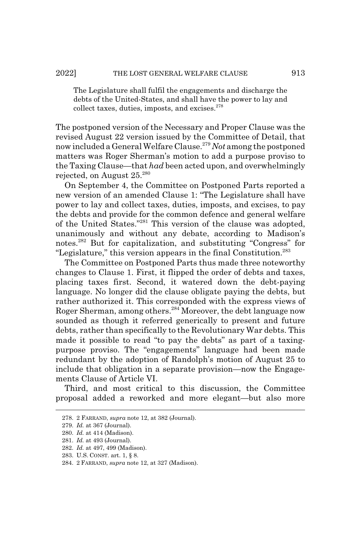### 2022] THE LOST GENERAL WELFARE CLAUSE 913

The Legislature shall fulfil the engagements and discharge the debts of the United-States, and shall have the power to lay and collect taxes, duties, imposts, and excises. $278$ 

The postponed version of the Necessary and Proper Clause was the revised August 22 version issued by the Committee of Detail, that now included a General Welfare Clause.279 *Not* among the postponed matters was Roger Sherman's motion to add a purpose proviso to the Taxing Clause—that *had* been acted upon, and overwhelmingly rejected, on August 25.280

On September 4, the Committee on Postponed Parts reported a new version of an amended Clause 1: "The Legislature shall have power to lay and collect taxes, duties, imposts, and excises, to pay the debts and provide for the common defence and general welfare of the United States."281 This version of the clause was adopted, unanimously and without any debate, according to Madison's notes.282 But for capitalization, and substituting "Congress" for "Legislature," this version appears in the final Constitution.283

The Committee on Postponed Parts thus made three noteworthy changes to Clause 1. First, it flipped the order of debts and taxes, placing taxes first. Second, it watered down the debt-paying language. No longer did the clause obligate paying the debts, but rather authorized it. This corresponded with the express views of Roger Sherman, among others.<sup>284</sup> Moreover, the debt language now sounded as though it referred generically to present and future debts, rather than specifically to the Revolutionary War debts. This made it possible to read "to pay the debts" as part of a taxingpurpose proviso. The "engagements" language had been made redundant by the adoption of Randolph's motion of August 25 to include that obligation in a separate provision—now the Engagements Clause of Article VI.

Third, and most critical to this discussion, the Committee proposal added a reworked and more elegant—but also more

<sup>278. 2</sup> FARRAND, *supra* note 12, at 382 (Journal).

<sup>279.</sup> *Id.* at 367 (Journal).

<sup>280.</sup> *Id.* at 414 (Madison).

<sup>281.</sup> *Id.* at 493 (Journal).

<sup>282.</sup> *Id.* at 497, 499 (Madison).

<sup>283.</sup> U.S. CONST. art. 1, § 8.

<sup>284. 2</sup> FARRAND, *supra* note 12, at 327 (Madison).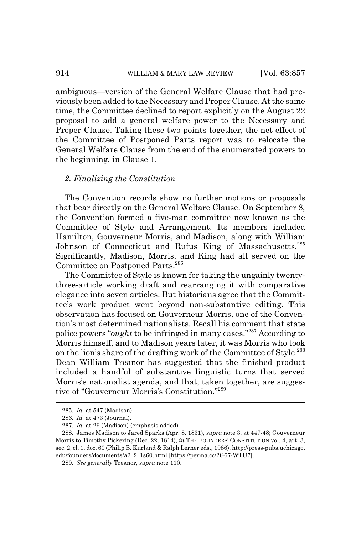ambiguous—version of the General Welfare Clause that had previously been added to the Necessary and Proper Clause. At the same time, the Committee declined to report explicitly on the August 22 proposal to add a general welfare power to the Necessary and Proper Clause. Taking these two points together, the net effect of the Committee of Postponed Parts report was to relocate the General Welfare Clause from the end of the enumerated powers to the beginning, in Clause 1.

#### *2. Finalizing the Constitution*

The Convention records show no further motions or proposals that bear directly on the General Welfare Clause. On September 8, the Convention formed a five-man committee now known as the Committee of Style and Arrangement. Its members included Hamilton, Gouverneur Morris, and Madison, along with William Johnson of Connecticut and Rufus King of Massachusetts.<sup>285</sup> Significantly, Madison, Morris, and King had all served on the Committee on Postponed Parts.<sup>286</sup>

The Committee of Style is known for taking the ungainly twentythree-article working draft and rearranging it with comparative elegance into seven articles. But historians agree that the Committee's work product went beyond non-substantive editing. This observation has focused on Gouverneur Morris, one of the Convention's most determined nationalists. Recall his comment that state police powers "*ought* to be infringed in many cases."287 According to Morris himself, and to Madison years later, it was Morris who took on the lion's share of the drafting work of the Committee of Style.<sup>288</sup> Dean William Treanor has suggested that the finished product included a handful of substantive linguistic turns that served Morris's nationalist agenda, and that, taken together, are suggestive of "Gouverneur Morris's Constitution."289

<sup>285.</sup> *Id.* at 547 (Madison).

<sup>286.</sup> *Id.* at 473 (Journal).

<sup>287.</sup> *Id.* at 26 (Madison) (emphasis added).

<sup>288.</sup> James Madison to Jared Sparks (Apr. 8, 1831), *supra* note 3, at 447-48; Gouverneur Morris to Timothy Pickering (Dec. 22, 1814), *in* THE FOUNDERS' CONSTITUTION vol. 4, art. 3, sec. 2, cl. 1, doc. 60 (Philip B. Kurland & Ralph Lerner eds., 1986), http://press-pubs.uchicago. edu/founders/documents/a3\_2\_1s60.html [https://perma.cc/2G67-WTU7].

<sup>289.</sup> *See generally* Treanor, *supra* note 110.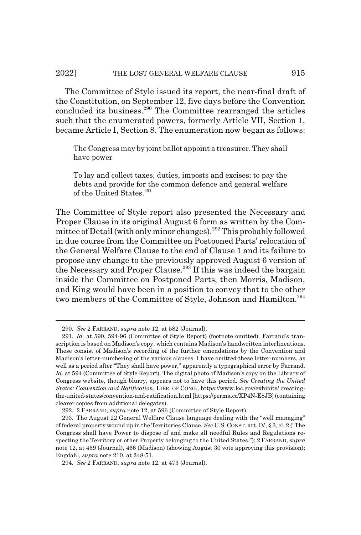The Committee of Style issued its report, the near-final draft of the Constitution, on September 12, five days before the Convention concluded its business.<sup>290</sup> The Committee rearranged the articles such that the enumerated powers, formerly Article VII, Section 1, became Article I, Section 8. The enumeration now began as follows:

The Congress may by joint ballot appoint a treasurer. They shall have power

To lay and collect taxes, duties, imposts and excises; to pay the debts and provide for the common defence and general welfare of the United States.<sup>291</sup>

The Committee of Style report also presented the Necessary and Proper Clause in its original August 6 form as written by the Committee of Detail (with only minor changes).<sup>292</sup> This probably followed in due course from the Committee on Postponed Parts' relocation of the General Welfare Clause to the end of Clause 1 and its failure to propose any change to the previously approved August 6 version of the Necessary and Proper Clause.<sup>293</sup> If this was indeed the bargain inside the Committee on Postponed Parts, then Morris, Madison, and King would have been in a position to convey that to the other two members of the Committee of Style, Johnson and Hamilton.<sup>294</sup>

<sup>290.</sup> *See* 2 FARRAND, *supra* note 12, at 582 (Journal).

<sup>291.</sup> *Id.* at 590, 594-96 (Committee of Style Report) (footnote omitted). Farrand's transcription is based on Madison's copy, which contains Madison's handwritten interlineations. These consist of Madison's recording of the further emendations by the Convention and Madison's letter-numbering of the various clauses. I have omitted these letter-numbers, as well as a period after "They shall have power," apparently a typographical error by Farrand. *Id.* at 594 (Committee of Style Report). The digital photo of Madison's copy on the Library of Congress website, though blurry, appears not to have this period. *See Creating the United States: Convention and Ratification*, LIBR. OF CONG., https://www.loc.gov/exhibits/ creatingthe-united-states/convention-and-ratification.html [https://perma.cc/XP4N-E8JB] (containing clearer copies from additional delegates).

<sup>292. 2</sup> FARRAND, *supra* note 12, at 596 (Committee of Style Report).

<sup>293.</sup> The August 22 General Welfare Clause language dealing with the "well managing" of federal property wound up in the Territories Clause. *See* U.S.CONST. art. IV, § 3, cl. 2 ("The Congress shall have Power to dispose of and make all needful Rules and Regulations respecting the Territory or other Property belonging to the United States."); 2 FARRAND, *supra* note 12, at 459 (Journal), 466 (Madison) (showing August 30 vote approving this provision); Engdahl, *supra* note 210, at 248-51.

<sup>294.</sup> *See* 2 FARRAND, *supra* note 12, at 473 (Journal).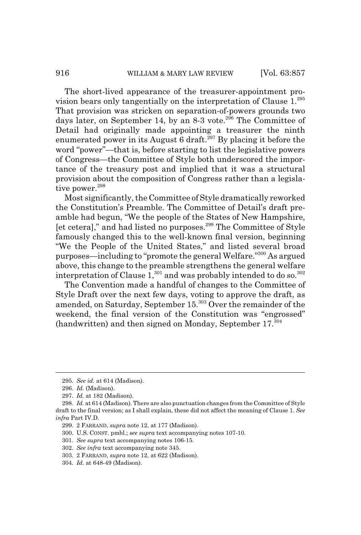The short-lived appearance of the treasurer-appointment provision bears only tangentially on the interpretation of Clause 1.<sup>295</sup> That provision was stricken on separation-of-powers grounds two days later, on September 14, by an  $8-3$  vote.<sup>296</sup> The Committee of Detail had originally made appointing a treasurer the ninth enumerated power in its August 6 draft.<sup>297</sup> By placing it before the word "power"—that is, before starting to list the legislative powers of Congress—the Committee of Style both underscored the importance of the treasury post and implied that it was a structural provision about the composition of Congress rather than a legislative power.<sup>298</sup>

Most significantly, the Committee of Style dramatically reworked the Constitution's Preamble. The Committee of Detail's draft preamble had begun, "We the people of the States of New Hampshire, [et cetera]," and had listed no purposes.299 The Committee of Style famously changed this to the well-known final version, beginning "We the People of the United States," and listed several broad purposes—including to "promote the general Welfare."300 As argued above, this change to the preamble strengthens the general welfare interpretation of Clause  $1$ <sup>301</sup> and was probably intended to do so.<sup>302</sup>

The Convention made a handful of changes to the Committee of Style Draft over the next few days, voting to approve the draft, as amended, on Saturday, September 15.<sup>303</sup> Over the remainder of the weekend, the final version of the Constitution was "engrossed" (handwritten) and then signed on Monday, September 17.<sup>304</sup>

<sup>295.</sup> *See id.* at 614 (Madison).

<sup>296.</sup> *Id.* (Madison).

<sup>297.</sup> *Id.* at 182 (Madison).

<sup>298.</sup> *Id.* at 614 (Madison). There are also punctuation changes from the Committee of Style draft to the final version; as I shall explain, these did not affect the meaning of Clause 1. *See infra* Part IV.D.

<sup>299. 2</sup> FARRAND, *supra* note 12, at 177 (Madison).

<sup>300.</sup> U.S. CONST. pmbl.; *see supra* text accompanying notes 107-10.

<sup>301.</sup> *See supra* text accompanying notes 106-15.

<sup>302.</sup> *See infra* text accompanying note 345.

<sup>303. 2</sup> FARRAND, *supra* note 12, at 622 (Madison).

<sup>304.</sup> *Id.* at 648-49 (Madison).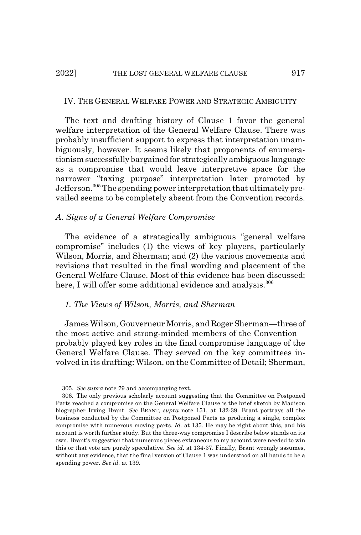### 2022] THE LOST GENERAL WELFARE CLAUSE 917

#### IV. THE GENERAL WELFARE POWER AND STRATEGIC AMBIGUITY

The text and drafting history of Clause 1 favor the general welfare interpretation of the General Welfare Clause. There was probably insufficient support to express that interpretation unambiguously, however. It seems likely that proponents of enumerationism successfully bargained for strategically ambiguous language as a compromise that would leave interpretive space for the narrower "taxing purpose" interpretation later promoted by Jefferson.305 The spending power interpretation that ultimately prevailed seems to be completely absent from the Convention records.

### *A. Signs of a General Welfare Compromise*

The evidence of a strategically ambiguous "general welfare compromise" includes (1) the views of key players, particularly Wilson, Morris, and Sherman; and (2) the various movements and revisions that resulted in the final wording and placement of the General Welfare Clause. Most of this evidence has been discussed; here, I will offer some additional evidence and analysis.<sup>306</sup>

## *1. The Views of Wilson, Morris, and Sherman*

James Wilson, Gouverneur Morris, and Roger Sherman—three of the most active and strong-minded members of the Convention probably played key roles in the final compromise language of the General Welfare Clause. They served on the key committees involved in its drafting: Wilson, on the Committee of Detail; Sherman,

<sup>305.</sup> *See supra* note 79 and accompanying text.

<sup>306.</sup> The only previous scholarly account suggesting that the Committee on Postponed Parts reached a compromise on the General Welfare Clause is the brief sketch by Madison biographer Irving Brant. *See* BRANT, *supra* note 151, at 132-39. Brant portrays all the business conducted by the Committee on Postponed Parts as producing a single, complex compromise with numerous moving parts. *Id.* at 135. He may be right about this, and his account is worth further study. But the three-way compromise I describe below stands on its own. Brant's suggestion that numerous pieces extraneous to my account were needed to win this or that vote are purely speculative. *See id.* at 134-37. Finally, Brant wrongly assumes, without any evidence, that the final version of Clause 1 was understood on all hands to be a spending power. *See id.* at 139.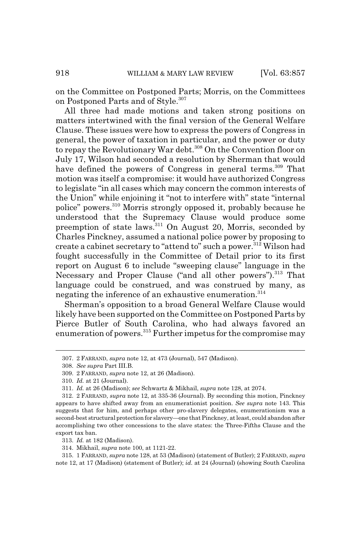on the Committee on Postponed Parts; Morris, on the Committees on Postponed Parts and of Style.<sup>307</sup>

All three had made motions and taken strong positions on matters intertwined with the final version of the General Welfare Clause. These issues were how to express the powers of Congress in general, the power of taxation in particular, and the power or duty to repay the Revolutionary War debt.<sup>308</sup> On the Convention floor on July 17, Wilson had seconded a resolution by Sherman that would have defined the powers of Congress in general terms.<sup>309</sup> That motion was itself a compromise: it would have authorized Congress to legislate "in all cases which may concern the common interests of the Union" while enjoining it "not to interfere with" state "internal police" powers.310 Morris strongly opposed it, probably because he understood that the Supremacy Clause would produce some preemption of state laws.<sup>311</sup> On August 20, Morris, seconded by Charles Pinckney, assumed a national police power by proposing to create a cabinet secretary to "attend to" such a power.<sup>312</sup> Wilson had fought successfully in the Committee of Detail prior to its first report on August 6 to include "sweeping clause" language in the Necessary and Proper Clause ("and all other powers").<sup>313</sup> That language could be construed, and was construed by many, as negating the inference of an exhaustive enumeration.<sup>314</sup>

Sherman's opposition to a broad General Welfare Clause would likely have been supported on the Committee on Postponed Parts by Pierce Butler of South Carolina, who had always favored an enumeration of powers.<sup>315</sup> Further impetus for the compromise may

<sup>307. 2</sup> FARRAND, *supra* note 12, at 473 (Journal), 547 (Madison).

<sup>308.</sup> *See supra* Part III.B.

<sup>309. 2</sup> FARRAND, *supra* note 12, at 26 (Madison).

<sup>310.</sup> *Id.* at 21 (Journal).

<sup>311.</sup> *Id.* at 26 (Madison); *see* Schwartz & Mikhail, *supra* note 128, at 2074.

<sup>312. 2</sup> FARRAND, *supra* note 12, at 335-36 (Journal). By seconding this motion, Pinckney appears to have shifted away from an enumerationist position. *See supra* note 143. This suggests that for him, and perhaps other pro-slavery delegates, enumerationism was a second-best structural protection for slavery—one that Pinckney, at least, could abandon after accomplishing two other concessions to the slave states: the Three-Fifths Clause and the export tax ban.

<sup>313.</sup> *Id.* at 182 (Madison).

<sup>314.</sup> Mikhail, *supra* note 100, at 1121-22.

<sup>315. 1</sup> FARRAND, *supra* note 128, at 53 (Madison) (statement of Butler); 2 FARRAND, *supra* note 12, at 17 (Madison) (statement of Butler); *id.* at 24 (Journal) (showing South Carolina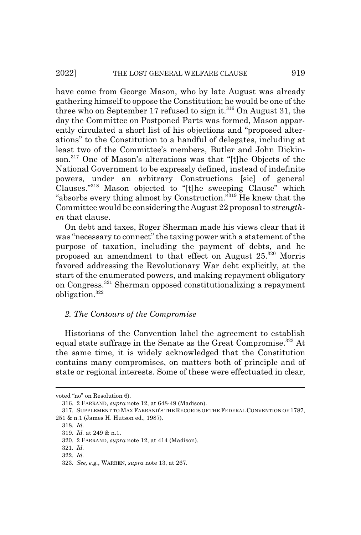have come from George Mason, who by late August was already gathering himself to oppose the Constitution; he would be one of the three who on September 17 refused to sign it.<sup>316</sup> On August 31, the day the Committee on Postponed Parts was formed, Mason apparently circulated a short list of his objections and "proposed alterations" to the Constitution to a handful of delegates, including at least two of the Committee's members, Butler and John Dickinson.<sup>317</sup> One of Mason's alterations was that "[t]he Objects of the National Government to be expressly defined, instead of indefinite powers, under an arbitrary Constructions [sic] of general Clauses."318 Mason objected to "[t]he sweeping Clause" which "absorbs every thing almost by Construction."<sup>319</sup> He knew that the Committee would be considering the August 22 proposal to *strengthen* that clause.

On debt and taxes, Roger Sherman made his views clear that it was "necessary to connect" the taxing power with a statement of the purpose of taxation, including the payment of debts, and he proposed an amendment to that effect on August 25.320 Morris favored addressing the Revolutionary War debt explicitly, at the start of the enumerated powers, and making repayment obligatory on Congress.321 Sherman opposed constitutionalizing a repayment obligation.<sup>322</sup>

## *2. The Contours of the Compromise*

Historians of the Convention label the agreement to establish equal state suffrage in the Senate as the Great Compromise.<sup>323</sup> At the same time, it is widely acknowledged that the Constitution contains many compromises, on matters both of principle and of state or regional interests. Some of these were effectuated in clear,

318. *Id.*

voted "no" on Resolution 6).

<sup>316. 2</sup> FARRAND, *supra* note 12, at 648-49 (Madison).

<sup>317.</sup> SUPPLEMENT TO MAX FARRAND'S THE RECORDS OF THE FEDERAL CONVENTION OF 1787, 251 & n.1 (James H. Hutson ed., 1987).

<sup>319.</sup> *Id.* at 249 & n.1.

<sup>320. 2</sup> FARRAND, *supra* note 12, at 414 (Madison).

<sup>321.</sup> *Id.*

<sup>322.</sup> *Id.*

<sup>323.</sup> *See, e.g.*, WARREN, *supra* note 13, at 267.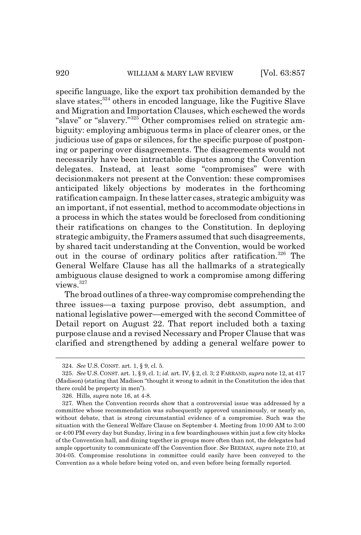specific language, like the export tax prohibition demanded by the slave states;<sup>324</sup> others in encoded language, like the Fugitive Slave and Migration and Importation Clauses, which eschewed the words "slave" or "slavery."325 Other compromises relied on strategic ambiguity: employing ambiguous terms in place of clearer ones, or the judicious use of gaps or silences, for the specific purpose of postponing or papering over disagreements. The disagreements would not necessarily have been intractable disputes among the Convention delegates. Instead, at least some "compromises" were with decisionmakers not present at the Convention: these compromises anticipated likely objections by moderates in the forthcoming ratification campaign. In these latter cases, strategic ambiguity was an important, if not essential, method to accommodate objections in a process in which the states would be foreclosed from conditioning their ratifications on changes to the Constitution. In deploying strategic ambiguity, the Framers assumed that such disagreements, by shared tacit understanding at the Convention, would be worked out in the course of ordinary politics after ratification.<sup>326</sup> The General Welfare Clause has all the hallmarks of a strategically ambiguous clause designed to work a compromise among differing views.327

The broad outlines of a three-way compromise comprehending the three issues—a taxing purpose proviso, debt assumption, and national legislative power—emerged with the second Committee of Detail report on August 22. That report included both a taxing purpose clause and a revised Necessary and Proper Clause that was clarified and strengthened by adding a general welfare power to

<sup>324.</sup> *See* U.S. CONST. art. 1, § 9, cl. 5.

<sup>325.</sup> *See* U.S. CONST. art. 1, § 9, cl. 1; *id.* art. IV, § 2, cl. 3; 2 FARRAND, *supra* note 12, at 417 (Madison) (stating that Madison "thought it wrong to admit in the Constitution the idea that there could be property in men").

<sup>326.</sup> Hills, *supra* note 16, at 4-8.

<sup>327.</sup> When the Convention records show that a controversial issue was addressed by a committee whose recommendation was subsequently approved unanimously, or nearly so, without debate, that is strong circumstantial evidence of a compromise. Such was the situation with the General Welfare Clause on September 4. Meeting from 10:00 AM to 3:00 or 4:00 PM every day but Sunday, living in a few boardinghouses within just a few city blocks of the Convention hall, and dining together in groups more often than not, the delegates had ample opportunity to communicate off the Convention floor. *See* BEEMAN, *supra* note 210, at 304-05. Compromise resolutions in committee could easily have been conveyed to the Convention as a whole before being voted on, and even before being formally reported.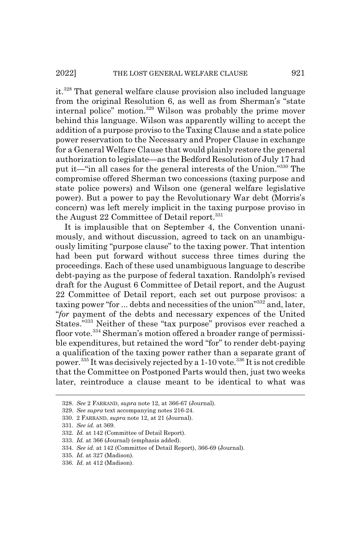it.328 That general welfare clause provision also included language from the original Resolution 6, as well as from Sherman's "state internal police" motion.<sup>329</sup> Wilson was probably the prime mover behind this language. Wilson was apparently willing to accept the addition of a purpose proviso to the Taxing Clause and a state police power reservation to the Necessary and Proper Clause in exchange for a General Welfare Clause that would plainly restore the general authorization to legislate—as the Bedford Resolution of July 17 had put it—"in all cases for the general interests of the Union."330 The compromise offered Sherman two concessions (taxing purpose and state police powers) and Wilson one (general welfare legislative power). But a power to pay the Revolutionary War debt (Morris's concern) was left merely implicit in the taxing purpose proviso in the August 22 Committee of Detail report. $331$ 

It is implausible that on September 4, the Convention unanimously, and without discussion, agreed to tack on an unambiguously limiting "purpose clause" to the taxing power. That intention had been put forward without success three times during the proceedings. Each of these used unambiguous language to describe debt-paying as the purpose of federal taxation. Randolph's revised draft for the August 6 Committee of Detail report, and the August 22 Committee of Detail report, each set out purpose provisos: a taxing power "for ... debts and necessities of the union"332 and, later, "*for* payment of the debts and necessary expences of the United States."333 Neither of these "tax purpose" provisos ever reached a floor vote.<sup>334</sup> Sherman's motion offered a broader range of permissible expenditures, but retained the word "for" to render debt-paying a qualification of the taxing power rather than a separate grant of power.<sup>335</sup> It was decisively rejected by a 1-10 vote.<sup>336</sup> It is not credible that the Committee on Postponed Parts would then, just two weeks later, reintroduce a clause meant to be identical to what was

<sup>328.</sup> *See* 2 FARRAND, *supra* note 12, at 366-67 (Journal).

<sup>329.</sup> *See supra* text accompanying notes 216-24.

<sup>330. 2</sup> FARRAND, *supra* note 12, at 21 (Journal).

<sup>331.</sup> *See id.* at 369.

<sup>332.</sup> *Id.* at 142 (Committee of Detail Report).

<sup>333.</sup> *Id.* at 366 (Journal) (emphasis added).

<sup>334.</sup> *See id.* at 142 (Committee of Detail Report), 366-69 (Journal).

<sup>335.</sup> *Id.* at 327 (Madison).

<sup>336.</sup> *Id.* at 412 (Madison).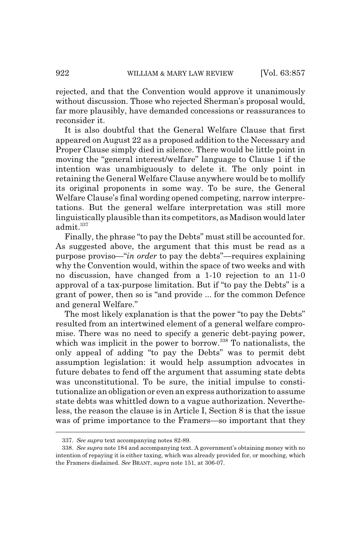rejected, and that the Convention would approve it unanimously without discussion. Those who rejected Sherman's proposal would, far more plausibly, have demanded concessions or reassurances to reconsider it.

It is also doubtful that the General Welfare Clause that first appeared on August 22 as a proposed addition to the Necessary and Proper Clause simply died in silence. There would be little point in moving the "general interest/welfare" language to Clause 1 if the intention was unambiguously to delete it. The only point in retaining the General Welfare Clause anywhere would be to mollify its original proponents in some way. To be sure, the General Welfare Clause's final wording opened competing, narrow interpretations. But the general welfare interpretation was still more linguistically plausible than its competitors, as Madison would later admit. $337$ 

Finally, the phrase "to pay the Debts" must still be accounted for. As suggested above, the argument that this must be read as a purpose proviso—"*in order* to pay the debts"—requires explaining why the Convention would, within the space of two weeks and with no discussion, have changed from a 1-10 rejection to an 11-0 approval of a tax-purpose limitation. But if "to pay the Debts" is a grant of power, then so is "and provide ... for the common Defence and general Welfare."

The most likely explanation is that the power "to pay the Debts" resulted from an intertwined element of a general welfare compromise. There was no need to specify a generic debt-paying power, which was implicit in the power to borrow.<sup>338</sup> To nationalists, the only appeal of adding "to pay the Debts" was to permit debt assumption legislation: it would help assumption advocates in future debates to fend off the argument that assuming state debts was unconstitutional. To be sure, the initial impulse to constitutionalize an obligation or even an express authorization to assume state debts was whittled down to a vague authorization. Nevertheless, the reason the clause is in Article I, Section 8 is that the issue was of prime importance to the Framers—so important that they

<sup>337.</sup> *See supra* text accompanying notes 82-89.

<sup>338.</sup> *See supra* note 184 and accompanying text. A government's obtaining money with no intention of repaying it is either taxing, which was already provided for, or mooching, which the Framers disdained. *See* BRANT, *supra* note 151, at 306-07.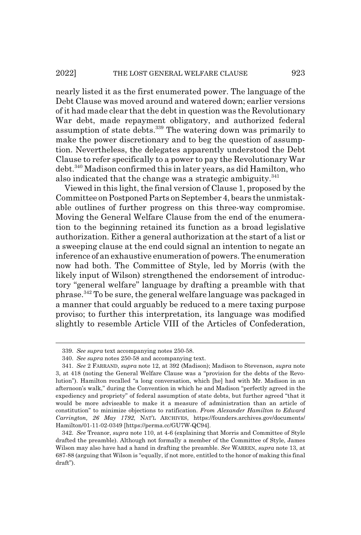nearly listed it as the first enumerated power. The language of the Debt Clause was moved around and watered down; earlier versions of it had made clear that the debt in question was the Revolutionary War debt, made repayment obligatory, and authorized federal assumption of state debts.<sup>339</sup> The watering down was primarily to make the power discretionary and to beg the question of assumption. Nevertheless, the delegates apparently understood the Debt Clause to refer specifically to a power to pay the Revolutionary War debt.340 Madison confirmed this in later years, as did Hamilton, who also indicated that the change was a strategic ambiguity.<sup>341</sup>

Viewed in this light, the final version of Clause 1, proposed by the Committee on Postponed Parts on September 4, bears the unmistakable outlines of further progress on this three-way compromise. Moving the General Welfare Clause from the end of the enumeration to the beginning retained its function as a broad legislative authorization. Either a general authorization at the start of a list or a sweeping clause at the end could signal an intention to negate an inference of an exhaustive enumeration of powers. The enumeration now had both. The Committee of Style, led by Morris (with the likely input of Wilson) strengthened the endorsement of introductory "general welfare" language by drafting a preamble with that phrase.342 To be sure, the general welfare language was packaged in a manner that could arguably be reduced to a mere taxing purpose proviso; to further this interpretation, its language was modified slightly to resemble Article VIII of the Articles of Confederation,

<sup>339.</sup> *See supra* text accompanying notes 250-58.

<sup>340.</sup> *See supra* notes 250-58 and accompanying text.

<sup>341.</sup> *See* 2 FARRAND, *supra* note 12, at 392 (Madison); Madison to Stevenson, *supra* note 3, at 418 (noting the General Welfare Clause was a "provision for the debts of the Revolution"). Hamilton recalled "a long conversation, which [he] had with Mr. Madison in an afternoon's walk," during the Convention in which he and Madison "perfectly agreed in the expediency and propriety" of federal assumption of state debts, but further agreed "that it would be more adviseable to make it a measure of administration than an article of constitution" to minimize objections to ratification. *From Alexander Hamilton to Edward Carrington, 26 May 1792*, NAT'L ARCHIVES, https://founders.archives.gov/documents/ Hamilton/01-11-02-0349 [https://perma.cc/GU7W-QC94].

<sup>342.</sup> *See* Treanor, *supra* note 110, at 4-6 (explaining that Morris and Committee of Style drafted the preamble). Although not formally a member of the Committee of Style, James Wilson may also have had a hand in drafting the preamble. *See* WARREN, *supra* note 13, at 687-88 (arguing that Wilson is "equally, if not more, entitled to the honor of making this final draft").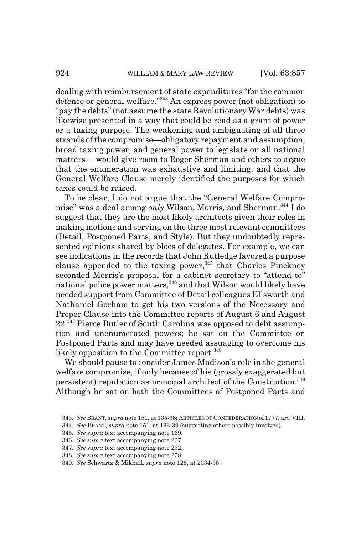dealing with reimbursement of state expenditures "for the common defence or general welfare."343 An express power (not obligation) to "pay the debts" (not assume the state Revolutionary War debts) was likewise presented in a way that could be read as a grant of power or a taxing purpose. The weakening and ambiguating of all three strands of the compromise—obligatory repayment and assumption, broad taxing power, and general power to legislate on all national matters— would give room to Roger Sherman and others to argue that the enumeration was exhaustive and limiting, and that the General Welfare Clause merely identified the purposes for which taxes could be raised.

To be clear, I do not argue that the "General Welfare Compromise" was a deal among *only* Wilson, Morris, and Sherman.<sup>344</sup> I do suggest that they are the most likely architects given their roles in making motions and serving on the three most relevant committees (Detail, Postponed Parts, and Style). But they undoubtedly represented opinions shared by blocs of delegates. For example, we can see indications in the records that John Rutledge favored a purpose clause appended to the taxing power,  $345$  that Charles Pinckney seconded Morris's proposal for a cabinet secretary to "attend to" national police power matters,<sup>346</sup> and that Wilson would likely have needed support from Committee of Detail colleagues Ellsworth and Nathaniel Gorham to get his two versions of the Necessary and Proper Clause into the Committee reports of August 6 and August 22.<sup>347</sup> Pierce Butler of South Carolina was opposed to debt assumption and unenumerated powers; he sat on the Committee on Postponed Parts and may have needed assuaging to overcome his likely opposition to the Committee report.<sup>348</sup>

We should pause to consider James Madison's role in the general welfare compromise, if only because of his (grossly exaggerated but persistent) reputation as principal architect of the Constitution.<sup>349</sup> Although he sat on both the Committees of Postponed Parts and

<sup>343.</sup> *See* BRANT, *supra* note 151, at 135-38; ARTICLES OF CONFEDERATION of 1777, art. VIII.

<sup>344.</sup> *See* BRANT, *supra* note 151, at 133-39 (suggesting others possibly involved).

<sup>345.</sup> *See supra* text accompanying note 169.

<sup>346.</sup> *See supra* text accompanying note 237.

<sup>347.</sup> *See supra* text accompanying note 232.

<sup>348.</sup> *See supra* text accompanying note 258.

<sup>349.</sup> *See* Schwartz & Mikhail, *supra* note 128, at 2034-35.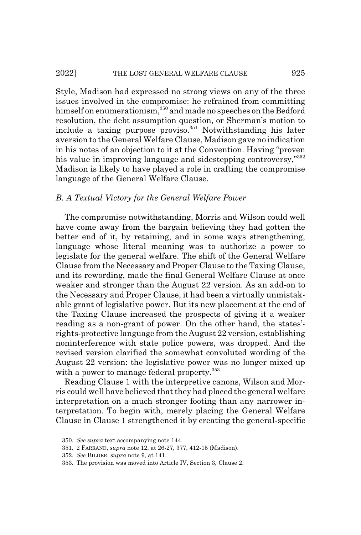Style, Madison had expressed no strong views on any of the three issues involved in the compromise: he refrained from committing himself on enumerationism,<sup>350</sup> and made no speeches on the Bedford resolution, the debt assumption question, or Sherman's motion to include a taxing purpose proviso. $351}$  Notwithstanding his later aversion to the General Welfare Clause, Madison gave no indication in his notes of an objection to it at the Convention. Having "proven his value in improving language and sidestepping controversy,"352 Madison is likely to have played a role in crafting the compromise language of the General Welfare Clause.

### *B. A Textual Victory for the General Welfare Power*

The compromise notwithstanding, Morris and Wilson could well have come away from the bargain believing they had gotten the better end of it, by retaining, and in some ways strengthening, language whose literal meaning was to authorize a power to legislate for the general welfare. The shift of the General Welfare Clause from the Necessary and Proper Clause to the Taxing Clause, and its rewording, made the final General Welfare Clause at once weaker and stronger than the August 22 version. As an add-on to the Necessary and Proper Clause, it had been a virtually unmistakable grant of legislative power. But its new placement at the end of the Taxing Clause increased the prospects of giving it a weaker reading as a non-grant of power. On the other hand, the states' rights-protective language from the August 22 version, establishing noninterference with state police powers, was dropped. And the revised version clarified the somewhat convoluted wording of the August 22 version: the legislative power was no longer mixed up with a power to manage federal property.<sup>353</sup>

Reading Clause 1 with the interpretive canons, Wilson and Morris could well have believed that they had placed the general welfare interpretation on a much stronger footing than any narrower interpretation. To begin with, merely placing the General Welfare Clause in Clause 1 strengthened it by creating the general-specific

<sup>350.</sup> *See supra* text accompanying note 144.

<sup>351. 2</sup> FARRAND, *supra* note 12, at 26-27, 377, 412-15 (Madison).

<sup>352.</sup> *See* BILDER, *supra* note 9, at 141.

<sup>353.</sup> The provision was moved into Article IV, Section 3, Clause 2.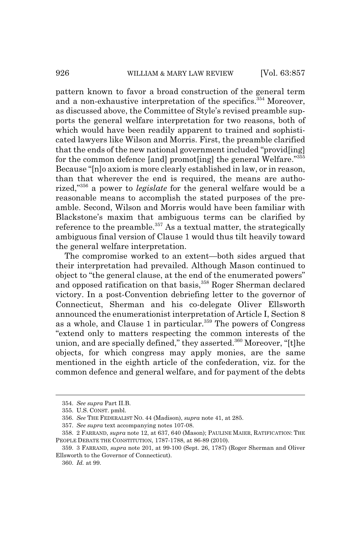pattern known to favor a broad construction of the general term and a non-exhaustive interpretation of the specifics.<sup>354</sup> Moreover, as discussed above, the Committee of Style's revised preamble supports the general welfare interpretation for two reasons, both of which would have been readily apparent to trained and sophisticated lawyers like Wilson and Morris. First, the preamble clarified that the ends of the new national government included "provid[ing] for the common defence [and] promot[ing] the general Welfare."355 Because "[n]o axiom is more clearly established in law, or in reason, than that wherever the end is required, the means are authorized,"356 a power to *legislate* for the general welfare would be a reasonable means to accomplish the stated purposes of the preamble. Second, Wilson and Morris would have been familiar with Blackstone's maxim that ambiguous terms can be clarified by reference to the preamble. $357$  As a textual matter, the strategically ambiguous final version of Clause 1 would thus tilt heavily toward the general welfare interpretation.

The compromise worked to an extent—both sides argued that their interpretation had prevailed. Although Mason continued to object to "the general clause, at the end of the enumerated powers" and opposed ratification on that basis,<sup>358</sup> Roger Sherman declared victory. In a post-Convention debriefing letter to the governor of Connecticut, Sherman and his co-delegate Oliver Ellsworth announced the enumerationist interpretation of Article I, Section 8 as a whole, and Clause 1 in particular.<sup>359</sup> The powers of Congress "extend only to matters respecting the common interests of the union, and are specially defined," they asserted.<sup>360</sup> Moreover, "[t]he objects, for which congress may apply monies, are the same mentioned in the eighth article of the confederation, viz. for the common defence and general welfare, and for payment of the debts

<sup>354.</sup> *See supra* Part II.B.

<sup>355.</sup> U.S. CONST. pmbl.

<sup>356.</sup> *See* THE FEDERALIST NO. 44 (Madison), *supra* note 41, at 285.

<sup>357.</sup> *See supra* text accompanying notes 107-08.

<sup>358. 2</sup> FARRAND, *supra* note 12, at 637, 640 (Mason); PAULINE MAIER, RATIFICATION: THE PEOPLE DEBATE THE CONSTITUTION, 1787-1788, at 86-89 (2010).

<sup>359. 3</sup> FARRAND, *supra* note 201, at 99-100 (Sept. 26, 1787) (Roger Sherman and Oliver Ellsworth to the Governor of Connecticut).

<sup>360.</sup> *Id.* at 99.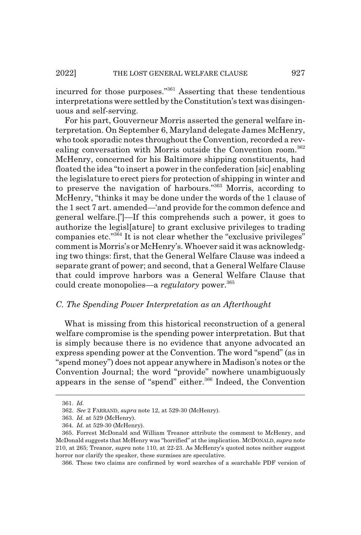incurred for those purposes."361 Asserting that these tendentious interpretations were settled by the Constitution's text was disingenuous and self-serving.

For his part, Gouverneur Morris asserted the general welfare interpretation. On September 6, Maryland delegate James McHenry, who took sporadic notes throughout the Convention, recorded a revealing conversation with Morris outside the Convention room.<sup>362</sup> McHenry, concerned for his Baltimore shipping constituents, had floated the idea "to insert a power in the confederation [sic] enabling the legislature to erect piers for protection of shipping in winter and to preserve the navigation of harbours."363 Morris, according to McHenry, "thinks it may be done under the words of the 1 clause of the 1 sect 7 art. amended—'and provide for the common defence and general welfare.[']—If this comprehends such a power, it goes to authorize the legisl[ature] to grant exclusive privileges to trading companies etc."364 It is not clear whether the "exclusive privileges" comment is Morris's or McHenry's. Whoever said it was acknowledging two things: first, that the General Welfare Clause was indeed a separate grant of power; and second, that a General Welfare Clause that could improve harbors was a General Welfare Clause that could create monopolies—a *regulatory* power.<sup>365</sup>

## *C. The Spending Power Interpretation as an Afterthought*

What is missing from this historical reconstruction of a general welfare compromise is the spending power interpretation. But that is simply because there is no evidence that anyone advocated an express spending power at the Convention. The word "spend" (as in "spend money") does not appear anywhere in Madison's notes or the Convention Journal; the word "provide" nowhere unambiguously appears in the sense of "spend" either.<sup>366</sup> Indeed, the Convention

366. These two claims are confirmed by word searches of a searchable PDF version of

<sup>361.</sup> *Id.*

<sup>362.</sup> *See* 2 FARRAND, *supra* note 12, at 529-30 (McHenry).

<sup>363.</sup> *Id.* at 529 (McHenry).

<sup>364.</sup> *Id.* at 529-30 (McHenry).

<sup>365.</sup> Forrest McDonald and William Treanor attribute the comment to McHenry, and McDonald suggests that McHenry was "horrified" at the implication. MCDONALD, *supra* note 210, at 265; Treanor, *supra* note 110, at 22-23. As McHenry's quoted notes neither suggest horror nor clarify the speaker, these surmises are speculative.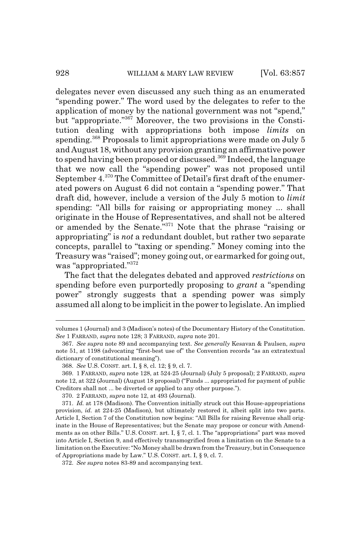delegates never even discussed any such thing as an enumerated "spending power." The word used by the delegates to refer to the application of money by the national government was not "spend," but "appropriate."367 Moreover, the two provisions in the Constitution dealing with appropriations both impose *limits* on spending.<sup>368</sup> Proposals to limit appropriations were made on July 5 and August 18, without any provision granting an affirmative power to spend having been proposed or discussed.<sup>369</sup> Indeed, the language that we now call the "spending power" was not proposed until September 4.370 The Committee of Detail's first draft of the enumerated powers on August 6 did not contain a "spending power." That draft did, however, include a version of the July 5 motion to *limit* spending: "All bills for raising or appropriating money ... shall originate in the House of Representatives, and shall not be altered or amended by the Senate."371 Note that the phrase "raising or appropriating" is *not* a redundant doublet, but rather two separate concepts, parallel to "taxing or spending." Money coming into the Treasury was "raised"; money going out, or earmarked for going out, was "appropriated."372

The fact that the delegates debated and approved *restrictions* on spending before even purportedly proposing to *grant* a "spending power" strongly suggests that a spending power was simply assumed all along to be implicit in the power to legislate. An implied

volumes 1 (Journal) and 3 (Madison's notes) of the Documentary History of the Constitution. *See* 1 FARRAND, *supra* note 128; 3 FARRAND, *supra* note 201.

<sup>367.</sup> *See supra* note 89 and accompanying text. *See generally* Kesavan & Paulsen, *supra* note 51, at 1198 (advocating "first-best use of" the Convention records "as an extratextual dictionary of constitutional meaning").

<sup>368.</sup> *See* U.S. CONST. art. I, § 8, cl. 12; § 9, cl. 7.

<sup>369. 1</sup> FARRAND, *supra* note 128, at 524-25 (Journal) (July 5 proposal); 2 FARRAND, *supra* note 12, at 322 (Journal) (August 18 proposal) ("Funds ... appropriated for payment of public Creditors shall not ... be diverted or applied to any other purpose.").

<sup>370. 2</sup> FARRAND, *supra* note 12, at 493 (Journal).

<sup>371.</sup> *Id.* at 178 (Madison). The Convention initially struck out this House-appropriations provision, *id.* at 224-25 (Madison), but ultimately restored it, albeit split into two parts. Article I, Section 7 of the Constitution now begins: "All Bills for raising Revenue shall originate in the House of Representatives; but the Senate may propose or concur with Amendments as on other Bills." U.S. CONST. art. I, § 7, cl. 1. The "appropriations" part was moved into Article I, Section 9, and effectively transmogrified from a limitation on the Senate to a limitation on the Executive: "No Money shall be drawn from the Treasury, but in Consequence of Appropriations made by Law." U.S. CONST. art. I, § 9, cl. 7.

<sup>372.</sup> *See supra* notes 83-89 and accompanying text.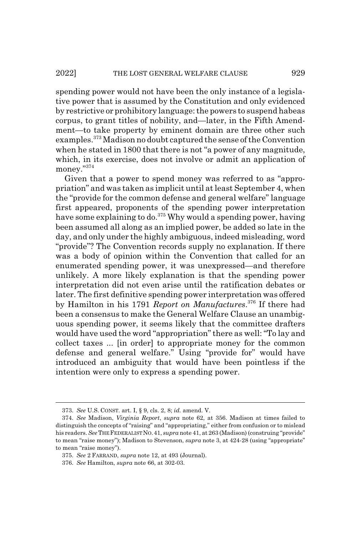spending power would not have been the only instance of a legislative power that is assumed by the Constitution and only evidenced by restrictive or prohibitory language: the powers to suspend habeas corpus, to grant titles of nobility, and—later, in the Fifth Amendment—to take property by eminent domain are three other such examples.373 Madison no doubt captured the sense of the Convention when he stated in 1800 that there is not "a power of any magnitude, which, in its exercise, does not involve or admit an application of money."374

Given that a power to spend money was referred to as "appropriation" and was taken as implicit until at least September 4, when the "provide for the common defense and general welfare" language first appeared, proponents of the spending power interpretation have some explaining to do.375 Why would a spending power, having been assumed all along as an implied power, be added so late in the day, and only under the highly ambiguous, indeed misleading, word "provide"? The Convention records supply no explanation. If there was a body of opinion within the Convention that called for an enumerated spending power, it was unexpressed—and therefore unlikely. A more likely explanation is that the spending power interpretation did not even arise until the ratification debates or later. The first definitive spending power interpretation was offered by Hamilton in his 1791 *Report on Manufactures*. 376 If there had been a consensus to make the General Welfare Clause an unambiguous spending power, it seems likely that the committee drafters would have used the word "appropriation" there as well: "To lay and collect taxes ... [in order] to appropriate money for the common defense and general welfare." Using "provide for" would have introduced an ambiguity that would have been pointless if the intention were only to express a spending power.

<sup>373.</sup> *See* U.S. CONST. art. I, § 9, cls. 2, 8; *id.* amend. V.

<sup>374.</sup> *See* Madison, *Virginia Report*, *supra* note 62, at 356. Madison at times failed to distinguish the concepts of "raising" and "appropriating," either from confusion or to mislead his readers. *See*THE FEDERALIST NO.41, *supra* note 41, at 263 (Madison) (construing "provide" to mean "raise money"); Madison to Stevenson, *supra* note 3, at 424-28 (using "appropriate" to mean "raise money").

<sup>375.</sup> *See* 2 FARRAND, *supra* note 12, at 493 (Journal).

<sup>376.</sup> *See* Hamilton, *supra* note 66, at 302-03.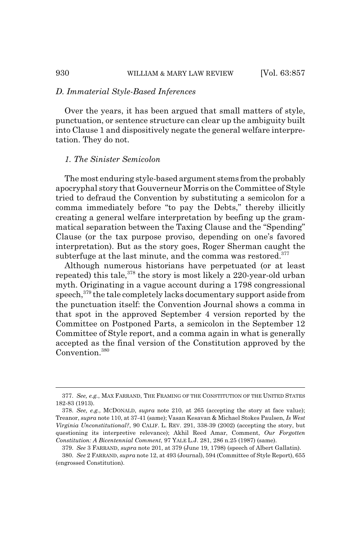## *D. Immaterial Style-Based Inferences*

Over the years, it has been argued that small matters of style, punctuation, or sentence structure can clear up the ambiguity built into Clause 1 and dispositively negate the general welfare interpretation. They do not.

## *1. The Sinister Semicolon*

The most enduring style-based argument stems from the probably apocryphal story that Gouverneur Morris on the Committee of Style tried to defraud the Convention by substituting a semicolon for a comma immediately before "to pay the Debts," thereby illicitly creating a general welfare interpretation by beefing up the grammatical separation between the Taxing Clause and the "Spending" Clause (or the tax purpose proviso, depending on one's favored interpretation). But as the story goes, Roger Sherman caught the subterfuge at the last minute, and the comma was restored.<sup>377</sup>

Although numerous historians have perpetuated (or at least repeated) this tale,  $378$  the story is most likely a 220-year-old urban myth. Originating in a vague account during a 1798 congressional speech,<sup>379</sup> the tale completely lacks documentary support aside from the punctuation itself: the Convention Journal shows a comma in that spot in the approved September 4 version reported by the Committee on Postponed Parts, a semicolon in the September 12 Committee of Style report, and a comma again in what is generally accepted as the final version of the Constitution approved by the Convention.<sup>380</sup>

<sup>377.</sup> *See, e.g.*, MAX FARRAND, THE FRAMING OF THE CONSTITUTION OF THE UNITED STATES 182-83 (1913).

<sup>378.</sup> *See, e.g.*, MCDONALD, *supra* note 210, at 265 (accepting the story at face value); Treanor, *supra* note 110, at 37-41 (same); Vasan Kesavan & Michael Stokes Paulsen, *Is West Virginia Unconstitutional?*, 90 CALIF. L. REV. 291, 338-39 (2002) (accepting the story, but questioning its interpretive relevance); Akhil Reed Amar, Comment, *Our Forgotten Constitution: A Bicentennial Comment*, 97 YALE L.J. 281, 286 n.25 (1987) (same).

<sup>379.</sup> *See* 3 FARRAND, *supra* note 201, at 379 (June 19, 1798) (speech of Albert Gallatin).

<sup>380.</sup> *See* 2 FARRAND, *supra* note 12, at 493 (Journal), 594 (Committee of Style Report), 655 (engrossed Constitution).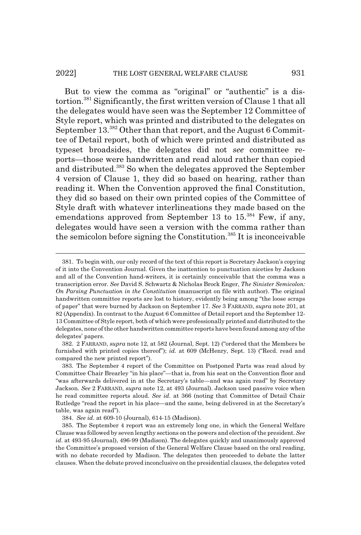### 2022] THE LOST GENERAL WELFARE CLAUSE 931

But to view the comma as "original" or "authentic" is a distortion.381 Significantly, the first written version of Clause 1 that all the delegates would have seen was the September 12 Committee of Style report, which was printed and distributed to the delegates on September 13.<sup>382</sup> Other than that report, and the August 6 Committee of Detail report, both of which were printed and distributed as typeset broadsides, the delegates did not *see* committee reports—those were handwritten and read aloud rather than copied and distributed.383 So when the delegates approved the September 4 version of Clause 1, they did so based on hearing, rather than reading it. When the Convention approved the final Constitution, they did so based on their own printed copies of the Committee of Style draft with whatever interlineations they made based on the emendations approved from September 13 to  $15^{384}$  Few, if any, delegates would have seen a version with the comma rather than the semicolon before signing the Constitution.385 It is inconceivable

382. 2 FARRAND, *supra* note 12, at 582 (Journal, Sept. 12) ("ordered that the Members be furnished with printed copies thereof"); *id.* at 609 (McHenry, Sept. 13) ("Recd. read and compared the new printed report").

<sup>381.</sup> To begin with, our only record of the text of this report is Secretary Jackson's copying of it into the Convention Journal. Given the inattention to punctuation niceties by Jackson and all of the Convention hand-writers, it is certainly conceivable that the comma was a transcription error. *See* David S. Schwartz & Nicholas Brock Enger, *The Sinister Semicolon: On Parsing Punctuation in the Constitution* (manuscript on file with author). The original handwritten committee reports are lost to history, evidently being among "the loose scraps of paper" that were burned by Jackson on September 17. *See* 3 FARRAND, *supra* note 201, at 82 (Appendix). In contrast to the August 6 Committee of Detail report and the September 12- 13 Committee of Style report, both of which were professionally printed and distributed to the delegates, none of the other handwritten committee reports have been found among any of the delegates' papers.

<sup>383.</sup> The September 4 report of the Committee on Postponed Parts was read aloud by Committee Chair Brearley "in his place"—that is, from his seat on the Convention floor and "was afterwards delivered in at the Secretary's table—and was again read" by Secretary Jackson. *See* 2 FARRAND, *supra* note 12, at 493 (Journal). Jackson used passive voice when he read committee reports aloud. *See id.* at 366 (noting that Committee of Detail Chair Rutledge "read the report in his place—and the same, being delivered in at the Secretary's table, was again read").

<sup>384.</sup> *See id.* at 609-10 (Journal), 614-15 (Madison).

<sup>385.</sup> The September 4 report was an extremely long one, in which the General Welfare Clause was followed by seven lengthy sections on the powers and election of the president. *See id.* at 493-95 (Journal), 496-99 (Madison). The delegates quickly and unanimously approved the Committee's proposed version of the General Welfare Clause based on the oral reading, with no debate recorded by Madison. The delegates then proceeded to debate the latter clauses. When the debate proved inconclusive on the presidential clauses, the delegates voted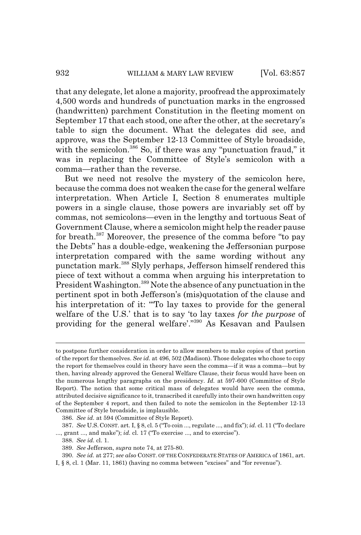that any delegate, let alone a majority, proofread the approximately 4,500 words and hundreds of punctuation marks in the engrossed (handwritten) parchment Constitution in the fleeting moment on September 17 that each stood, one after the other, at the secretary's table to sign the document. What the delegates did see, and approve, was the September 12-13 Committee of Style broadside, with the semicolon.<sup>386</sup> So, if there was any "punctuation fraud," it was in replacing the Committee of Style's semicolon with a comma—rather than the reverse.

But we need not resolve the mystery of the semicolon here, because the comma does not weaken the case for the general welfare interpretation. When Article I, Section 8 enumerates multiple powers in a single clause, those powers are invariably set off by commas, not semicolons—even in the lengthy and tortuous Seat of Government Clause, where a semicolon might help the reader pause for breath.387 Moreover, the presence of the comma before "to pay the Debts" has a double-edge, weakening the Jeffersonian purpose interpretation compared with the same wording without any punctation mark.388 Slyly perhaps, Jefferson himself rendered this piece of text without a comma when arguing his interpretation to President Washington.<sup>389</sup> Note the absence of any punctuation in the pertinent spot in both Jefferson's (mis)quotation of the clause and his interpretation of it: "To lay taxes to provide for the general welfare of the U.S.' that is to say 'to lay taxes *for the purpose* of providing for the general welfare'."390 As Kesavan and Paulsen

to postpone further consideration in order to allow members to make copies of that portion of the report for themselves. *See id.* at 496, 502 (Madison). Those delegates who chose to copy the report for themselves could in theory have seen the comma—if it was a comma—but by then, having already approved the General Welfare Clause, their focus would have been on the numerous lengthy paragraphs on the presidency. *Id.* at 597-600 (Committee of Style Report). The notion that some critical mass of delegates would have seen the comma, attributed decisive significance to it, transcribed it carefully into their own handwritten copy of the September 4 report, and then failed to note the semicolon in the September 12-13 Committee of Style broadside, is implausible.

<sup>386.</sup> *See id.* at 594 (Committee of Style Report).

<sup>387.</sup> *See* U.S. CONST. art. I, § 8, cl. 5 ("To coin ..., regulate ..., and fix"); *id.* cl. 11 ("To declare ..., grant ..., and make"); *id.* cl. 17 ("To exercise ..., and to exercise").

<sup>388.</sup> *See id.* cl. 1.

<sup>389.</sup> *See* Jefferson, *supra* note 74, at 275-80.

<sup>390.</sup> *See id.* at 277; *see also* CONST. OF THE CONFEDERATE STATES OF AMERICA of 1861, art.

I, § 8, cl. 1 (Mar. 11, 1861) (having no comma between "excises" and "for revenue").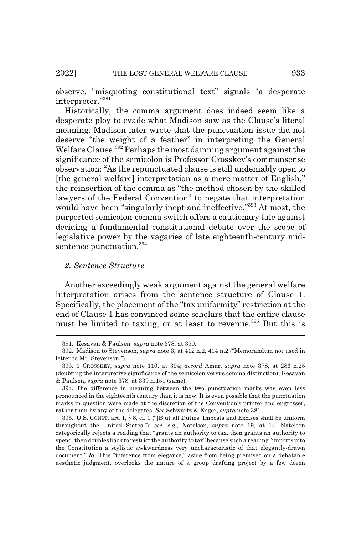observe, "misquoting constitutional text" signals "a desperate interpreter."391

Historically, the comma argument does indeed seem like a desperate ploy to evade what Madison saw as the Clause's literal meaning. Madison later wrote that the punctuation issue did not deserve "the weight of a feather" in interpreting the General Welfare Clause.<sup>392</sup> Perhaps the most damning argument against the significance of the semicolon is Professor Crosskey's commonsense observation: "As the repunctuated clause is still undeniably open to [the general welfare] interpretation as a mere matter of English," the reinsertion of the comma as "the method chosen by the skilled lawyers of the Federal Convention" to negate that interpretation would have been "singularly inept and ineffective."<sup>393</sup> At most, the purported semicolon-comma switch offers a cautionary tale against deciding a fundamental constitutional debate over the scope of legislative power by the vagaries of late eighteenth-century midsentence punctuation.<sup>394</sup>

# *2. Sentence Structure*

Another exceedingly weak argument against the general welfare interpretation arises from the sentence structure of Clause 1. Specifically, the placement of the "tax uniformity" restriction at the end of Clause 1 has convinced some scholars that the entire clause must be limited to taxing, or at least to revenue.<sup>395</sup> But this is

<sup>391.</sup> Kesavan & Paulsen, *supra* note 378, at 350.

<sup>392.</sup> Madison to Stevenson, *supra* note 3, at 412 n.2, 414 n.2 ("Memorandum not used in letter to Mr. Stevenson.").

<sup>393. 1</sup> CROSSKEY, *supra* note 110, at 394; *accord* Amar, *supra* note 378, at 286 n.25 (doubting the interpretive significance of the semicolon versus comma distinction); Kesavan & Paulsen, *supra* note 378, at 339 n.151 (same).

<sup>394.</sup> The difference in meaning between the two punctuation marks was even less pronounced in the eighteenth century than it is now. It is even possible that the punctuation marks in question were made at the discretion of the Convention's printer and engrosser, rather than by any of the delegates. *See* Schwartz & Enger, *supra* note 381.

<sup>395.</sup> U.S. CONST. art. I, § 8, cl. 1 ("[B]ut all Duties, Imposts and Excises shall be uniform throughout the United States."); *see, e.g.*, Natelson, *supra* note 19, at 14. Natelson categorically rejects a reading that "grants an authority to tax, then grants an authority to spend, then doubles back to restrict the authority to tax" because such a reading "imports into the Constitution a stylistic awkwardness very uncharacteristic of that elegantly-drawn document." *Id.* This "inference from elegance," aside from being premised on a debatable aesthetic judgment, overlooks the nature of a group drafting project by a few dozen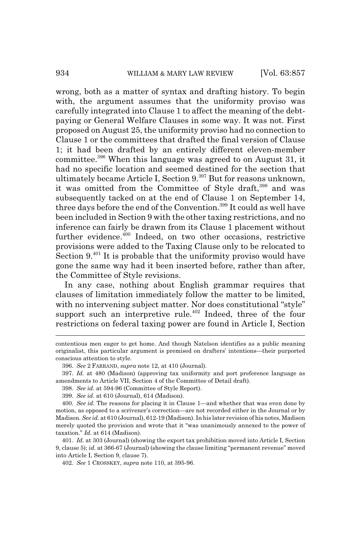wrong, both as a matter of syntax and drafting history. To begin with, the argument assumes that the uniformity proviso was carefully integrated into Clause 1 to affect the meaning of the debtpaying or General Welfare Clauses in some way. It was not. First proposed on August 25, the uniformity proviso had no connection to Clause 1 or the committees that drafted the final version of Clause 1; it had been drafted by an entirely different eleven-member committee.396 When this language was agreed to on August 31, it had no specific location and seemed destined for the section that ultimately became Article I, Section 9.<sup>397</sup> But for reasons unknown, it was omitted from the Committee of Style draft,<sup>398</sup> and was subsequently tacked on at the end of Clause 1 on September 14, three days before the end of the Convention.<sup>399</sup> It could as well have been included in Section 9 with the other taxing restrictions, and no inference can fairly be drawn from its Clause 1 placement without further evidence.<sup>400</sup> Indeed, on two other occasions, restrictive provisions were added to the Taxing Clause only to be relocated to Section 9.<sup>401</sup> It is probable that the uniformity proviso would have gone the same way had it been inserted before, rather than after, the Committee of Style revisions.

In any case, nothing about English grammar requires that clauses of limitation immediately follow the matter to be limited, with no intervening subject matter. Nor does constitutional "style" support such an interpretive rule.<sup>402</sup> Indeed, three of the four restrictions on federal taxing power are found in Article I, Section

contentious men eager to get home. And though Natelson identifies as a public meaning originalist, this particular argument is premised on drafters' intentions—their purported conscious attention to style.

<sup>396.</sup> *See* 2 FARRAND, *supra* note 12, at 410 (Journal).

<sup>397.</sup> *Id.* at 480 (Madison) (approving tax uniformity and port preference language as amendments to Article VII, Section 4 of the Committee of Detail draft).

<sup>398.</sup> *See id.* at 594-96 (Committee of Style Report).

<sup>399.</sup> *See id.* at 610 (Journal), 614 (Madison).

<sup>400.</sup> *See id.* The reasons for placing it in Clause 1—and whether that was even done by motion, as opposed to a scrivener's correction—are not recorded either in the Journal or by Madison. *See id.* at 610 (Journal), 612-19 (Madison). In his later revision of his notes, Madison merely quoted the provision and wrote that it "was unanimously annexed to the power of taxation." *Id.* at 614 (Madison).

<sup>401.</sup> *Id.* at 303 (Journal) (showing the export tax prohibition moved into Article I, Section 9, clause 5); *id.* at 366-67 (Journal) (showing the clause limiting "permanent revenue" moved into Article I, Section 9, clause 7).

<sup>402.</sup> *See* 1 CROSSKEY, *supra* note 110, at 395-96.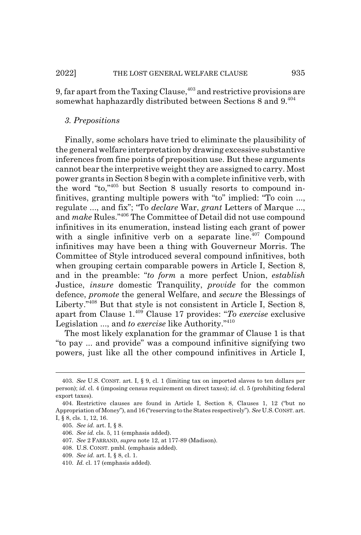9, far apart from the Taxing Clause, $403$  and restrictive provisions are somewhat haphazardly distributed between Sections 8 and 9.<sup>404</sup>

# *3. Prepositions*

Finally, some scholars have tried to eliminate the plausibility of the general welfare interpretation by drawing excessive substantive inferences from fine points of preposition use. But these arguments cannot bear the interpretive weight they are assigned to carry. Most power grants in Section 8 begin with a complete infinitive verb, with the word "to,"405 but Section 8 usually resorts to compound infinitives, granting multiple powers with "to" implied: "To coin ..., regulate ..., and fix"; "To *declare* War, *grant* Letters of Marque ..., and *make* Rules."406 The Committee of Detail did not use compound infinitives in its enumeration, instead listing each grant of power with a single infinitive verb on a separate line. $407$  Compound infinitives may have been a thing with Gouverneur Morris. The Committee of Style introduced several compound infinitives, both when grouping certain comparable powers in Article I, Section 8, and in the preamble: "*to form* a more perfect Union, *establish* Justice, *insure* domestic Tranquility, *provide* for the common defence, *promote* the general Welfare, and *secure* the Blessings of Liberty."408 But that style is not consistent in Article I, Section 8, apart from Clause 1.409 Clause 17 provides: "*To exercise* exclusive Legislation ..., and *to exercise* like Authority."410

The most likely explanation for the grammar of Clause 1 is that "to pay ... and provide" was a compound infinitive signifying two powers, just like all the other compound infinitives in Article I,

<sup>403.</sup> *See* U.S. CONST. art. I, § 9, cl. 1 (limiting tax on imported slaves to ten dollars per person); *id.* cl. 4 (imposing census requirement on direct taxes); *id.* cl. 5 (prohibiting federal export taxes).

<sup>404.</sup> Restrictive clauses are found in Article I, Section 8, Clauses 1, 12 ("but no Appropriation of Money"), and 16 ("reserving to the States respectively"). *See* U.S.CONST. art. I, § 8, cls. 1, 12, 16.

<sup>405.</sup> *See id.* art. I, § 8.

<sup>406.</sup> *See id.* cls. 5, 11 (emphasis added).

<sup>407.</sup> *See* 2 FARRAND, *supra* note 12, at 177-89 (Madison).

<sup>408.</sup> U.S. CONST. pmbl. (emphasis added).

<sup>409.</sup> *See id.* art. I, § 8, cl. 1.

<sup>410.</sup> *Id.* cl. 17 (emphasis added).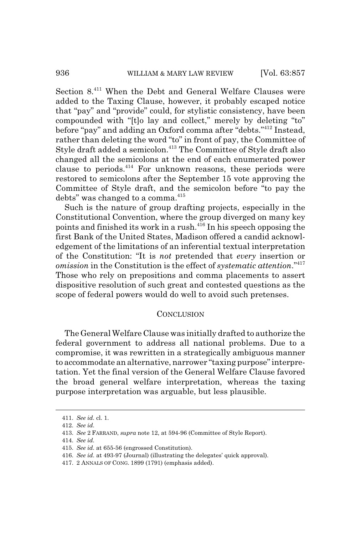Section 8.411 When the Debt and General Welfare Clauses were added to the Taxing Clause, however, it probably escaped notice that "pay" and "provide" could, for stylistic consistency, have been compounded with "[t]o lay and collect," merely by deleting "to" before "pay" and adding an Oxford comma after "debts."412 Instead, rather than deleting the word "to" in front of pay, the Committee of Style draft added a semicolon.<sup>413</sup> The Committee of Style draft also changed all the semicolons at the end of each enumerated power clause to periods. $414}$  For unknown reasons, these periods were restored to semicolons after the September 15 vote approving the Committee of Style draft, and the semicolon before "to pay the debts" was changed to a comma.<sup>415</sup>

Such is the nature of group drafting projects, especially in the Constitutional Convention, where the group diverged on many key points and finished its work in a rush.416 In his speech opposing the first Bank of the United States, Madison offered a candid acknowledgement of the limitations of an inferential textual interpretation of the Constitution: "It is *not* pretended that *every* insertion or *omission* in the Constitution is the effect of *systematic attention*."417 Those who rely on prepositions and comma placements to assert dispositive resolution of such great and contested questions as the scope of federal powers would do well to avoid such pretenses.

## **CONCLUSION**

The General Welfare Clause was initially drafted to authorize the federal government to address all national problems. Due to a compromise, it was rewritten in a strategically ambiguous manner to accommodate an alternative, narrower "taxing purpose" interpretation. Yet the final version of the General Welfare Clause favored the broad general welfare interpretation, whereas the taxing purpose interpretation was arguable, but less plausible.

<sup>411.</sup> *See id.* cl. 1.

<sup>412.</sup> *See id.*

<sup>413.</sup> *See* 2 FARRAND, *supra* note 12, at 594-96 (Committee of Style Report).

<sup>414.</sup> *See id.*

<sup>415.</sup> *See id.* at 655-56 (engrossed Constitution).

<sup>416.</sup> *See id.* at 493-97 (Journal) (illustrating the delegates' quick approval).

<sup>417. 2</sup> ANNALS OF CONG. 1899 (1791) (emphasis added).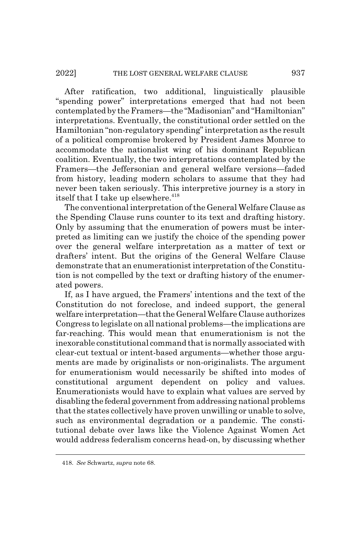After ratification, two additional, linguistically plausible "spending power" interpretations emerged that had not been contemplated by the Framers—the "Madisonian" and "Hamiltonian" interpretations. Eventually, the constitutional order settled on the Hamiltonian "non-regulatory spending" interpretation as the result of a political compromise brokered by President James Monroe to accommodate the nationalist wing of his dominant Republican coalition. Eventually, the two interpretations contemplated by the Framers—the Jeffersonian and general welfare versions—faded from history, leading modern scholars to assume that they had never been taken seriously. This interpretive journey is a story in itself that I take up elsewhere.<sup>418</sup>

The conventional interpretation of the General Welfare Clause as the Spending Clause runs counter to its text and drafting history. Only by assuming that the enumeration of powers must be interpreted as limiting can we justify the choice of the spending power over the general welfare interpretation as a matter of text or drafters' intent. But the origins of the General Welfare Clause demonstrate that an enumerationist interpretation of the Constitution is not compelled by the text or drafting history of the enumerated powers.

If, as I have argued, the Framers' intentions and the text of the Constitution do not foreclose, and indeed support, the general welfare interpretation—that the General Welfare Clause authorizes Congress to legislate on all national problems—the implications are far-reaching. This would mean that enumerationism is not the inexorable constitutional command that is normally associated with clear-cut textual or intent-based arguments—whether those arguments are made by originalists or non-originalists. The argument for enumerationism would necessarily be shifted into modes of constitutional argument dependent on policy and values. Enumerationists would have to explain what values are served by disabling the federal government from addressing national problems that the states collectively have proven unwilling or unable to solve, such as environmental degradation or a pandemic. The constitutional debate over laws like the Violence Against Women Act would address federalism concerns head-on, by discussing whether

<sup>418.</sup> *See* Schwartz, *supra* note 68.